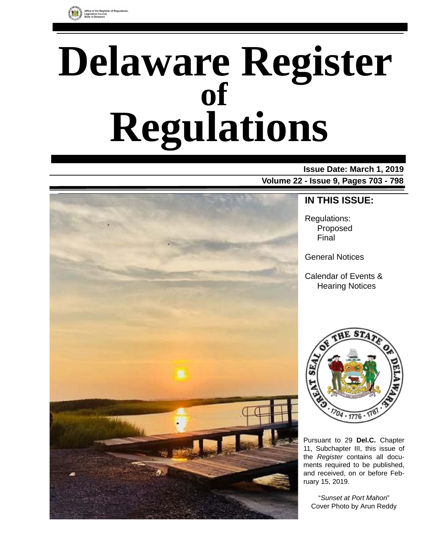

# **Delaware Register Regulations of**

# **Issue Date: March 1, 2019 Volume 22 - Issue 9, Pages 703 - 798**



**IN THIS ISSUE:**

Regulations: Proposed Final

General Notices

Calendar of Events & Hearing Notices



Pursuant to 29 **Del.C.** Chapter 11, Subchapter III, this issue of the *Register* contains all documents required to be published, and received, on or before February 15, 2019.

"*Sunset at Port Mahon*" Cover Photo by Arun Reddy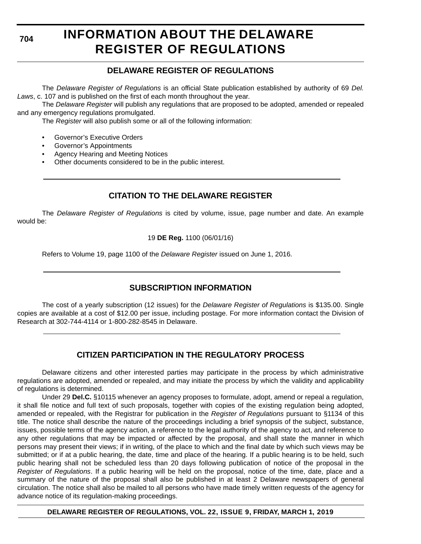**704**

# **INFORMATION ABOUT THE DELAWARE REGISTER OF REGULATIONS**

# **DELAWARE REGISTER OF REGULATIONS**

The *Delaware Register of Regulations* is an official State publication established by authority of 69 *Del. Laws*, c. 107 and is published on the first of each month throughout the year.

The *Delaware Register* will publish any regulations that are proposed to be adopted, amended or repealed and any emergency regulations promulgated.

The *Register* will also publish some or all of the following information:

- Governor's Executive Orders
- Governor's Appointments
- Agency Hearing and Meeting Notices
- Other documents considered to be in the public interest.

# **CITATION TO THE DELAWARE REGISTER**

The *Delaware Register of Regulations* is cited by volume, issue, page number and date. An example would be:

19 **DE Reg.** 1100 (06/01/16)

Refers to Volume 19, page 1100 of the *Delaware Register* issued on June 1, 2016.

# **SUBSCRIPTION INFORMATION**

The cost of a yearly subscription (12 issues) for the *Delaware Register of Regulations* is \$135.00. Single copies are available at a cost of \$12.00 per issue, including postage. For more information contact the Division of Research at 302-744-4114 or 1-800-282-8545 in Delaware.

# **CITIZEN PARTICIPATION IN THE REGULATORY PROCESS**

Delaware citizens and other interested parties may participate in the process by which administrative regulations are adopted, amended or repealed, and may initiate the process by which the validity and applicability of regulations is determined.

Under 29 **Del.C.** §10115 whenever an agency proposes to formulate, adopt, amend or repeal a regulation, it shall file notice and full text of such proposals, together with copies of the existing regulation being adopted, amended or repealed, with the Registrar for publication in the *Register of Regulations* pursuant to §1134 of this title. The notice shall describe the nature of the proceedings including a brief synopsis of the subject, substance, issues, possible terms of the agency action, a reference to the legal authority of the agency to act, and reference to any other regulations that may be impacted or affected by the proposal, and shall state the manner in which persons may present their views; if in writing, of the place to which and the final date by which such views may be submitted; or if at a public hearing, the date, time and place of the hearing. If a public hearing is to be held, such public hearing shall not be scheduled less than 20 days following publication of notice of the proposal in the *Register of Regulations*. If a public hearing will be held on the proposal, notice of the time, date, place and a summary of the nature of the proposal shall also be published in at least 2 Delaware newspapers of general circulation. The notice shall also be mailed to all persons who have made timely written requests of the agency for advance notice of its regulation-making proceedings.

**DELAWARE REGISTER OF REGULATIONS, VOL. 22, ISSUE 9, FRIDAY, MARCH 1, 2019**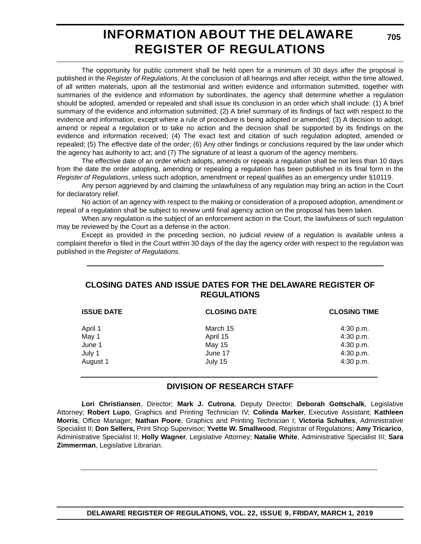# **INFORMATION ABOUT THE DELAWARE REGISTER OF REGULATIONS**

**705**

The opportunity for public comment shall be held open for a minimum of 30 days after the proposal is published in the *Register of Regulations*. At the conclusion of all hearings and after receipt, within the time allowed, of all written materials, upon all the testimonial and written evidence and information submitted, together with summaries of the evidence and information by subordinates, the agency shall determine whether a regulation should be adopted, amended or repealed and shall issue its conclusion in an order which shall include: (1) A brief summary of the evidence and information submitted; (2) A brief summary of its findings of fact with respect to the evidence and information, except where a rule of procedure is being adopted or amended; (3) A decision to adopt, amend or repeal a regulation or to take no action and the decision shall be supported by its findings on the evidence and information received; (4) The exact text and citation of such regulation adopted, amended or repealed; (5) The effective date of the order; (6) Any other findings or conclusions required by the law under which the agency has authority to act; and (7) The signature of at least a quorum of the agency members.

The effective date of an order which adopts, amends or repeals a regulation shall be not less than 10 days from the date the order adopting, amending or repealing a regulation has been published in its final form in the *Register of Regulations*, unless such adoption, amendment or repeal qualifies as an emergency under §10119.

Any person aggrieved by and claiming the unlawfulness of any regulation may bring an action in the Court for declaratory relief.

No action of an agency with respect to the making or consideration of a proposed adoption, amendment or repeal of a regulation shall be subject to review until final agency action on the proposal has been taken.

When any regulation is the subject of an enforcement action in the Court, the lawfulness of such regulation may be reviewed by the Court as a defense in the action.

Except as provided in the preceding section, no judicial review of a regulation is available unless a complaint therefor is filed in the Court within 30 days of the day the agency order with respect to the regulation was published in the *Register of Regulations*.

# **CLOSING DATES AND ISSUE DATES FOR THE DELAWARE REGISTER OF REGULATIONS**

| <b>ISSUE DATE</b> | <b>CLOSING DATE</b> | <b>CLOSING TIME</b> |
|-------------------|---------------------|---------------------|
| April 1           | March 15            | 4:30 p.m.           |
| May 1             | April 15            | 4:30 p.m.           |
| June 1            | May 15              | 4:30 p.m.           |
| July 1            | June 17             | 4:30 p.m.           |
| August 1          | July 15             | 4:30 p.m.           |

# **DIVISION OF RESEARCH STAFF**

**Lori Christiansen**, Director; **Mark J. Cutrona**, Deputy Director; **Deborah Gottschalk**, Legislative Attorney; **Robert Lupo**, Graphics and Printing Technician IV; **Colinda Marker**, Executive Assistant; **Kathleen Morris**, Office Manager; **Nathan Poore**, Graphics and Printing Technician I; **Victoria Schultes**, Administrative Specialist II; **Don Sellers,** Print Shop Supervisor; **Yvette W. Smallwood**, Registrar of Regulations; **Amy Tricarico**, Administrative Specialist II; **Holly Wagner**, Legislative Attorney; **Natalie White**, Administrative Specialist III; **Sara Zimmerman**, Legislative Librarian.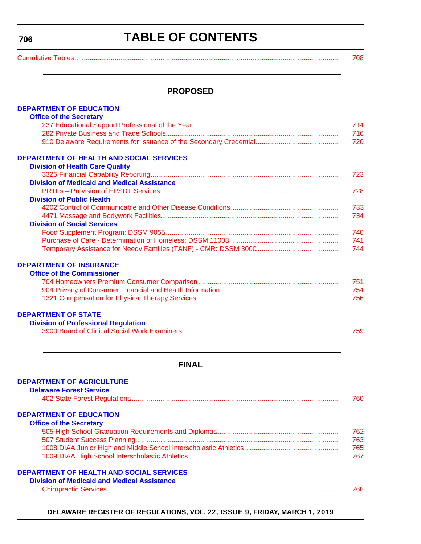#### <span id="page-3-0"></span>**706**

# **TABLE OF CONTENTS**

[Cumulative Tables............................................................................................................................. ............ 708](#page-5-0)

### **PROPOSED**

| <b>DEPARTMENT OF EDUCATION</b>                     |     |
|----------------------------------------------------|-----|
| <b>Office of the Secretary</b>                     |     |
|                                                    | 714 |
|                                                    | 716 |
|                                                    | 720 |
| <b>DEPARTMENT OF HEALTH AND SOCIAL SERVICES</b>    |     |
| <b>Division of Health Care Quality</b>             |     |
|                                                    | 723 |
| <b>Division of Medicaid and Medical Assistance</b> |     |
|                                                    | 728 |
| <b>Division of Public Health</b>                   |     |
|                                                    | 733 |
|                                                    | 734 |
| <b>Division of Social Services</b>                 |     |
|                                                    | 740 |
|                                                    | 741 |
|                                                    | 744 |
| <b>DEPARTMENT OF INSURANCE</b>                     |     |
| <b>Office of the Commissioner</b>                  |     |
|                                                    | 751 |
|                                                    | 754 |
|                                                    | 756 |
| <b>DEPARTMENT OF STATE</b>                         |     |
| <b>Division of Professional Regulation</b>         |     |
|                                                    | 759 |
|                                                    |     |
|                                                    |     |
|                                                    |     |

# **FINAL**

| <b>DEPARTMENT OF AGRICULTURE</b>                   |     |
|----------------------------------------------------|-----|
| <b>Delaware Forest Service</b>                     |     |
|                                                    | 760 |
| <b>DEPARTMENT OF EDUCATION</b>                     |     |
| <b>Office of the Secretary</b>                     |     |
|                                                    | 762 |
|                                                    | 763 |
|                                                    | 765 |
|                                                    | 767 |
| <b>DEPARTMENT OF HEALTH AND SOCIAL SERVICES</b>    |     |
| <b>Division of Medicaid and Medical Assistance</b> |     |
|                                                    | 768 |

**DELAWARE REGISTER OF REGULATIONS, VOL. 22, ISSUE 9, FRIDAY, MARCH 1, 2019**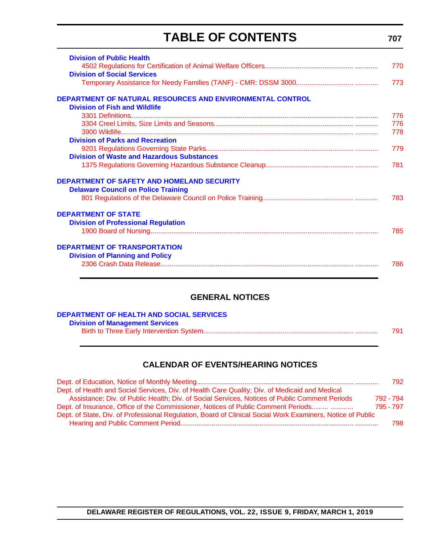# **TABLE OF CONTENTS**

| <b>Division of Public Health</b><br><b>Division of Social Services</b>                                   | 770<br>773 |
|----------------------------------------------------------------------------------------------------------|------------|
| <b>DEPARTMENT OF NATURAL RESOURCES AND ENVIRONMENTAL CONTROL</b><br><b>Division of Fish and Wildlife</b> |            |
|                                                                                                          | 776        |
|                                                                                                          | 776        |
|                                                                                                          | 778        |
| <b>Division of Parks and Recreation</b>                                                                  |            |
|                                                                                                          | 779        |
| <b>Division of Waste and Hazardous Substances</b>                                                        |            |
|                                                                                                          | 781        |
| <b>DEPARTMENT OF SAFETY AND HOMELAND SECURITY</b>                                                        |            |
| <b>Delaware Council on Police Training</b>                                                               |            |
|                                                                                                          | 783        |
|                                                                                                          |            |
| <b>DEPARTMENT OF STATE</b>                                                                               |            |
| <b>Division of Professional Regulation</b>                                                               |            |
|                                                                                                          | 785        |
|                                                                                                          |            |
| <b>DEPARTMENT OF TRANSPORTATION</b>                                                                      |            |
| <b>Division of Planning and Policy</b>                                                                   |            |
|                                                                                                          | 786        |
|                                                                                                          |            |
|                                                                                                          |            |

# **GENERAL NOTICES**

| DEPARTMENT OF HEALTH AND SOCIAL SERVICES |     |
|------------------------------------------|-----|
| <b>Division of Management Services</b>   |     |
|                                          | 791 |

# **CALENDAR OF EVENTS/HEARING NOTICES**

|                                                                                                            | 792       |
|------------------------------------------------------------------------------------------------------------|-----------|
| Dept. of Health and Social Services, Div. of Health Care Quality; Div. of Medicaid and Medical             |           |
| Assistance; Div. of Public Health; Div. of Social Services, Notices of Public Comment Periods              | 792 - 794 |
| Dept. of Insurance, Office of the Commissioner, Notices of Public Comment Periods                          | 795 - 797 |
| Dept. of State, Div. of Professional Regulation, Board of Clinical Social Work Examiners, Notice of Public |           |
|                                                                                                            | 798.      |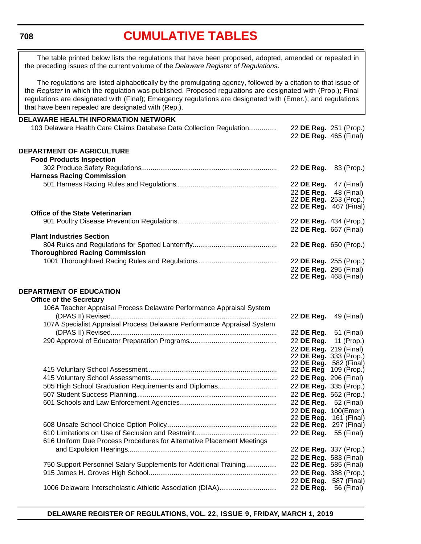#### <span id="page-5-0"></span>**708**

# **[CUMULATIVE TABLES](#page-3-0)**

The table printed below lists the regulations that have been proposed, adopted, amended or repealed in the preceding issues of the current volume of the *Delaware Register of Regulations*.

The regulations are listed alphabetically by the promulgating agency, followed by a citation to that issue of the *Register* in which the regulation was published. Proposed regulations are designated with (Prop.); Final regulations are designated with (Final); Emergency regulations are designated with (Emer.); and regulations that have been repealed are designated with (Rep.).

#### **DELAWARE HEALTH INFORMATION NETWORK** 103 Delaware Health Care Claims Database Data Collection Regulation............... 22 **DE Reg.** 251 (Prop.) 22 **DE Reg.** 465 (Final) **DEPARTMENT OF AGRICULTURE Food Products Inspection** 302 Produce Safety Regulations....................................................................... 22 **DE Reg.** 83 (Prop.) **Harness Racing Commission** 501 Harness Racing Rules and Regulations..................................................... 22 **DE Reg.** 47 (Final) 22 **DE Reg.** 48 (Final) 22 **DE Reg.** 253 (Prop.) 22 **DE Reg.** 467 (Final) **Office of the State Veterinarian** 901 Poultry Disease Prevention Regulations.................................................... 22 **DE Reg.** 434 (Prop.) 22 **DE Reg.** 667 (Final) **Plant Industries Section** 804 Rules and Regulations for Spotted Lanternfly............................................ 22 **DE Reg.** 650 (Prop.) **Thoroughbred Racing Commission** 1001 Thoroughbred Racing Rules and Regulations.......................................... 22 **DE Reg.** 255 (Prop.) 22 **DE Reg.** 295 (Final) 22 **DE Reg.** 468 (Final) **DEPARTMENT OF EDUCATION Office of the Secretary** 106A Teacher Appraisal Process Delaware Performance Appraisal System (DPAS II) Revised....................................................................................... 22 **DE Reg.** 49 (Final) 107A Specialist Appraisal Process Delaware Performance Appraisal System (DPAS II) Revised....................................................................................... 22 **DE Reg.** 51 (Final) 290 Approval of Educator Preparation Programs.............................................. 22 **DE Reg.** 11 (Prop.) 22 **DE Reg.** 219 (Final) 22 **DE Reg.** 333 (Prop.) 22 **DE Reg.** 582 (Final) 415 Voluntary School Assessment.................................................................... 22 **DE Reg** 109 (Prop.) 415 Voluntary School Assessments................................................................... 22 **DE Reg.** 296 (Final) 505 High School Graduation Requirements and Diplomas............................... 22 **DE Reg.** 335 (Prop.) 507 Student Success Planning.......................................................................... 22 **DE Reg.** 562 (Prop.) 601 Schools and Law Enforcement Agencies................................................... 22 **DE Reg.** 52 (Final) 22 **DE Reg.** 100(Emer.) 22 **DE Reg.** 161 (Final) 608 Unsafe School Choice Option Policy.......................................................... 22 **DE Reg.** 297 (Final) 610 Limitations on Use of Seclusion and Restraint........................................... 22 **DE Reg.** 55 (Final) 616 Uniform Due Process Procedures for Alternative Placement Meetings and Expulsion Hearings.............................................................................. 22 **DE Reg.** 337 (Prop.) 22 **DE Reg.** 583 (Final) 750 Support Personnel Salary Supplements for Additional Training................ 915 James H. Groves High School.................................................................... 22 **DE Reg.** 388 (Prop.) 22 **DE Reg.** 587 (Final) 1006 Delaware Interscholastic Athletic Association (DIAA)............................... 22 **DE Reg.** 56 (Final)

**DELAWARE REGISTER OF REGULATIONS, VOL. 22, ISSUE 9, FRIDAY, MARCH 1, 2019**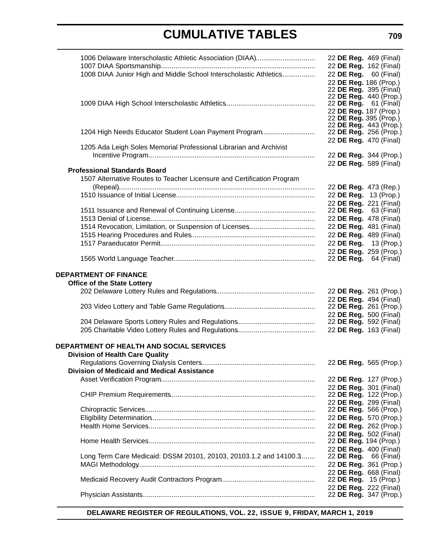| 1006 Delaware Interscholastic Athletic Association (DIAA)              | 22 DE Reg. 469 (Final)                                 |  |
|------------------------------------------------------------------------|--------------------------------------------------------|--|
|                                                                        | 22 DE Reg. 162 (Final)                                 |  |
| 1008 DIAA Junior High and Middle School Interscholastic Athletics      | 22 DE Reg. 60 (Final)                                  |  |
|                                                                        | 22 DE Reg. 186 (Prop.)                                 |  |
|                                                                        | 22 DE Reg. 395 (Final)                                 |  |
|                                                                        | 22 DE Reg. 440 (Prop.)<br>22 <b>DE Reg.</b> 61 (Final) |  |
|                                                                        | 22 DE Reg. 187 (Prop.)                                 |  |
|                                                                        | 22 DE Reg. 395 (Prop.)                                 |  |
|                                                                        | 22 DE Reg. 443 (Prop.)                                 |  |
| 1204 High Needs Educator Student Loan Payment Program                  | 22 DE Reg. 256 (Prop.)                                 |  |
|                                                                        | 22 DE Reg. 470 (Final)                                 |  |
| 1205 Ada Leigh Soles Memorial Professional Librarian and Archivist     |                                                        |  |
|                                                                        | 22 DE Reg. 344 (Prop.)                                 |  |
|                                                                        | 22 DE Reg. 589 (Final)                                 |  |
| <b>Professional Standards Board</b>                                    |                                                        |  |
| 1507 Alternative Routes to Teacher Licensure and Certification Program |                                                        |  |
|                                                                        | 22 DE Reg. 473 (Rep.)                                  |  |
|                                                                        | 22 DE Reg. 13 (Prop.)                                  |  |
|                                                                        | 22 DE Reg. 221 (Final)                                 |  |
|                                                                        | 22 <b>DE Reg.</b> 63 (Final)                           |  |
|                                                                        | 22 DE Reg. 478 (Final)                                 |  |
|                                                                        | 22 DE Reg. 481 (Final)                                 |  |
|                                                                        | 22 DE Reg. 489 (Final)                                 |  |
|                                                                        | 22 DE Reg. 13 (Prop.)                                  |  |
|                                                                        | 22 DE Reg. 259 (Prop.)                                 |  |
|                                                                        | 22 <b>DE Reg.</b> 64 (Final)                           |  |
| <b>DEPARTMENT OF FINANCE</b>                                           |                                                        |  |
| <b>Office of the State Lottery</b>                                     |                                                        |  |
|                                                                        |                                                        |  |
|                                                                        | 22 DE Reg. 261 (Prop.)                                 |  |
|                                                                        | 22 DE Reg. 494 (Final)<br>22 DE Reg. 261 (Prop.)       |  |
|                                                                        | 22 DE Reg. 500 (Final)                                 |  |
|                                                                        | 22 DE Reg. 592 (Final)                                 |  |
|                                                                        | 22 DE Reg. 163 (Final)                                 |  |
|                                                                        |                                                        |  |
| <b>DEPARTMENT OF HEALTH AND SOCIAL SERVICES</b>                        |                                                        |  |
| <b>Division of Health Care Quality</b>                                 |                                                        |  |
|                                                                        | 22 DE Reg. 565 (Prop.)                                 |  |
| <b>Division of Medicaid and Medical Assistance</b>                     |                                                        |  |
|                                                                        | 22 DE Reg. 127 (Prop.)                                 |  |
|                                                                        | 22 DE Reg. 301 (Final)                                 |  |
|                                                                        | 22 DE Reg. 122 (Prop.)                                 |  |
|                                                                        | 22 DE Reg. 299 (Final)                                 |  |
|                                                                        | 22 DE Reg. 566 (Prop.)                                 |  |
|                                                                        | 22 DE Reg. 570 (Prop.)                                 |  |
|                                                                        | 22 DE Reg. 262 (Prop.)                                 |  |
|                                                                        | 22 DE Reg. 502 (Final)                                 |  |
|                                                                        | 22 DE Reg. 194 (Prop.)                                 |  |
|                                                                        | 22 DE Reg. 400 (Final)                                 |  |
| Long Term Care Medicaid: DSSM 20101, 20103, 20103.1.2 and 14100.3      | 22 <b>DE Reg.</b> 66 (Final)                           |  |
|                                                                        | 22 DE Reg. 361 (Prop.)                                 |  |
|                                                                        | 22 DE Reg. 668 (Final)                                 |  |
|                                                                        | 22 DE Reg. 15 (Prop.)                                  |  |
|                                                                        | 22 DE Reg. 222 (Final)                                 |  |
|                                                                        | 22 DE Reg. 347 (Prop.)                                 |  |

**DELAWARE REGISTER OF REGULATIONS, VOL. 22, ISSUE 9, FRIDAY, MARCH 1, 2019**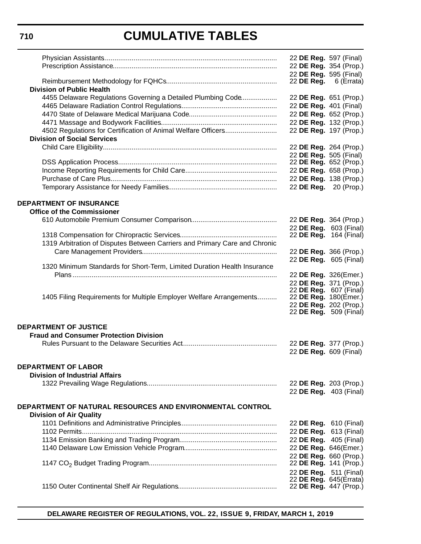|                                                                            | 22 DE Reg. 597 (Final)                           |            |
|----------------------------------------------------------------------------|--------------------------------------------------|------------|
|                                                                            | 22 DE Reg. 354 (Prop.)                           |            |
|                                                                            | 22 DE Reg. 595 (Final)                           |            |
|                                                                            | 22 DE Reg.                                       | 6 (Errata) |
| <b>Division of Public Health</b>                                           |                                                  |            |
| 4455 Delaware Regulations Governing a Detailed Plumbing Code               | 22 DE Reg. 651 (Prop.)                           |            |
|                                                                            | 22 DE Reg. 401 (Final)                           |            |
|                                                                            | 22 DE Reg. 652 (Prop.)<br>22 DE Reg. 132 (Prop.) |            |
| 4502 Regulations for Certification of Animal Welfare Officers              | 22 DE Reg. 197 (Prop.)                           |            |
| <b>Division of Social Services</b>                                         |                                                  |            |
|                                                                            | 22 DE Reg. 264 (Prop.)                           |            |
|                                                                            | 22 DE Reg. 505 (Final)                           |            |
|                                                                            | 22 DE Reg. 652 (Prop.)                           |            |
|                                                                            | 22 DE Reg. 658 (Prop.)                           |            |
|                                                                            | 22 DE Reg. 138 (Prop.)                           |            |
|                                                                            | 22 DE Reg. 20 (Prop.)                            |            |
|                                                                            |                                                  |            |
| <b>DEPARTMENT OF INSURANCE</b>                                             |                                                  |            |
| <b>Office of the Commissioner</b>                                          |                                                  |            |
|                                                                            | 22 DE Reg. 364 (Prop.)                           |            |
|                                                                            | 22 DE Reg. 603 (Final)                           |            |
|                                                                            | 22 DE Reg. 164 (Final)                           |            |
| 1319 Arbitration of Disputes Between Carriers and Primary Care and Chronic |                                                  |            |
|                                                                            | 22 DE Reg. 366 (Prop.)<br>22 DE Reg. 605 (Final) |            |
| 1320 Minimum Standards for Short-Term, Limited Duration Health Insurance   |                                                  |            |
|                                                                            | 22 DE Reg. 326(Emer.)                            |            |
|                                                                            | 22 DE Reg. 371 (Prop.)                           |            |
|                                                                            | 22 DE Reg. 607 (Final)                           |            |
| 1405 Filing Requirements for Multiple Employer Welfare Arrangements        | 22 DE Reg. 180(Emer.)                            |            |
|                                                                            | 22 DE Reg. 202 (Prop.)<br>22 DE Reg. 509 (Final) |            |
|                                                                            |                                                  |            |
| <b>DEPARTMENT OF JUSTICE</b>                                               |                                                  |            |
| <b>Fraud and Consumer Protection Division</b>                              |                                                  |            |
|                                                                            | 22 DE Reg. 377 (Prop.)                           |            |
|                                                                            | 22 DE Reg. 609 (Final)                           |            |
|                                                                            |                                                  |            |
| <b>DEPARTMENT OF LABOR</b>                                                 |                                                  |            |
| <b>Division of Industrial Affairs</b>                                      |                                                  |            |
|                                                                            | 22 DE Reg. 203 (Prop.)<br>22 DE Reg. 403 (Final) |            |
|                                                                            |                                                  |            |
| DEPARTMENT OF NATURAL RESOURCES AND ENVIRONMENTAL CONTROL                  |                                                  |            |
| <b>Division of Air Quality</b>                                             |                                                  |            |
|                                                                            | 22 DE Reg. 610 (Final)                           |            |
|                                                                            | 22 DE Reg. 613 (Final)                           |            |
|                                                                            | 22 DE Reg. 405 (Final)                           |            |
|                                                                            | 22 DE Reg. 646(Emer.)                            |            |
|                                                                            | 22 DE Reg. 660 (Prop.)                           |            |
|                                                                            | 22 DE Reg. 141 (Prop.)                           |            |
|                                                                            | 22 DE Reg. 511 (Final)<br>22 DE Reg. 645(Errata) |            |
|                                                                            | 22 DE Reg. 447 (Prop.)                           |            |
|                                                                            |                                                  |            |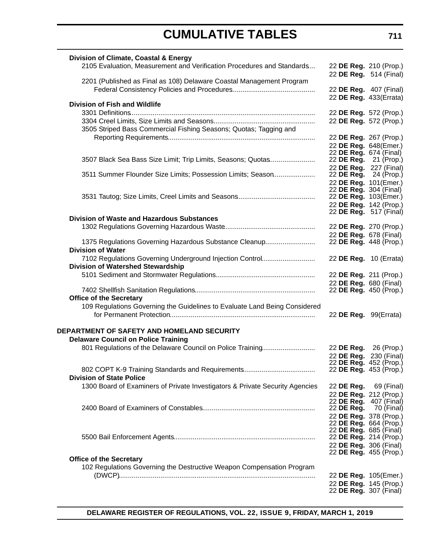| Division of Climate, Coastal & Energy                                              |                                                  |  |
|------------------------------------------------------------------------------------|--------------------------------------------------|--|
| 2105 Evaluation, Measurement and Verification Procedures and Standards             | 22 DE Reg. 210 (Prop.)<br>22 DE Reg. 514 (Final) |  |
| 2201 (Published as Final as 108) Delaware Coastal Management Program               |                                                  |  |
|                                                                                    | 22 DE Reg. 407 (Final)                           |  |
|                                                                                    | 22 DE Reg. 433(Errata)                           |  |
| <b>Division of Fish and Wildlife</b>                                               |                                                  |  |
|                                                                                    | 22 DE Reg. 572 (Prop.)                           |  |
| 3505 Striped Bass Commercial Fishing Seasons; Quotas; Tagging and                  | 22 DE Reg. 572 (Prop.)                           |  |
|                                                                                    | 22 DE Reg. 267 (Prop.)                           |  |
|                                                                                    | 22 DE Reg. 648(Emer.)                            |  |
|                                                                                    | 22 DE Reg. 674 (Final)                           |  |
| 3507 Black Sea Bass Size Limit; Trip Limits, Seasons; Quotas                       | 22 DE Reg. 21 (Prop.)                            |  |
|                                                                                    | 22 DE Reg. 227 (Final)                           |  |
| 3511 Summer Flounder Size Limits; Possession Limits; Season                        | 22 DE Reg. 24 (Prop.)                            |  |
|                                                                                    | 22 DE Reg. 101(Emer.)                            |  |
|                                                                                    | 22 <b>DE Reg.</b> 304 (Final)                    |  |
|                                                                                    | 22 DE Reg. 103(Emer.)                            |  |
|                                                                                    | 22 DE Reg. 142 (Prop.)<br>22 DE Reg. 517 (Final) |  |
| <b>Division of Waste and Hazardous Substances</b>                                  |                                                  |  |
|                                                                                    | 22 DE Reg. 270 (Prop.)                           |  |
|                                                                                    | 22 DE Reg. 678 (Final)                           |  |
| 1375 Regulations Governing Hazardous Substance Cleanup<br><b>Division of Water</b> | 22 DE Reg. 448 (Prop.)                           |  |
| 7102 Regulations Governing Underground Injection Control                           | 22 DE Reg. 10 (Errata)                           |  |
| <b>Division of Watershed Stewardship</b>                                           |                                                  |  |
|                                                                                    | 22 DE Reg. 211 (Prop.)                           |  |
|                                                                                    | 22 DE Reg. 680 (Final)                           |  |
| <b>Office of the Secretary</b>                                                     | 22 DE Reg. 450 (Prop.)                           |  |
| 109 Regulations Governing the Guidelines to Evaluate Land Being Considered         |                                                  |  |
|                                                                                    | 22 DE Reg. 99(Errata)                            |  |
|                                                                                    |                                                  |  |
| DEPARTMENT OF SAFETY AND HOMELAND SECURITY                                         |                                                  |  |
| <b>Delaware Council on Police Training</b>                                         |                                                  |  |
| 801 Regulations of the Delaware Council on Police Training                         | 22 DE Reg. 26 (Prop.)                            |  |
|                                                                                    | 22 DE Reg. 230 (Final)<br>22 DE Reg. 452 (Prop.) |  |
|                                                                                    | 22 <b>DE Reg.</b> 453 (Prop.)                    |  |
| <b>Division of State Police</b>                                                    |                                                  |  |
| 1300 Board of Examiners of Private Investigators & Private Security Agencies       | 22 <b>DE Reg.</b> 69 (Final)                     |  |
|                                                                                    | 22 DE Reg. 212 (Prop.)                           |  |
|                                                                                    | 22 <b>DE Reg.</b> 407 (Final)                    |  |
|                                                                                    | 22 DE Reg. 70 (Final)                            |  |
|                                                                                    | 22 DE Reg. 378 (Prop.)                           |  |
|                                                                                    | 22 DE Reg. 664 (Prop.)                           |  |
|                                                                                    | 22 DE Reg. 685 (Final)                           |  |
|                                                                                    | 22 DE Reg. 214 (Prop.)                           |  |
|                                                                                    | 22 DE Reg. 306 (Final)<br>22 DE Reg. 455 (Prop.) |  |
| <b>Office of the Secretary</b>                                                     |                                                  |  |
| 102 Regulations Governing the Destructive Weapon Compensation Program              |                                                  |  |
|                                                                                    | 22 DE Reg. 105(Emer.)                            |  |
|                                                                                    | 22 DE Reg. 145 (Prop.)                           |  |
|                                                                                    | 22 <b>DE Reg.</b> 307 (Final)                    |  |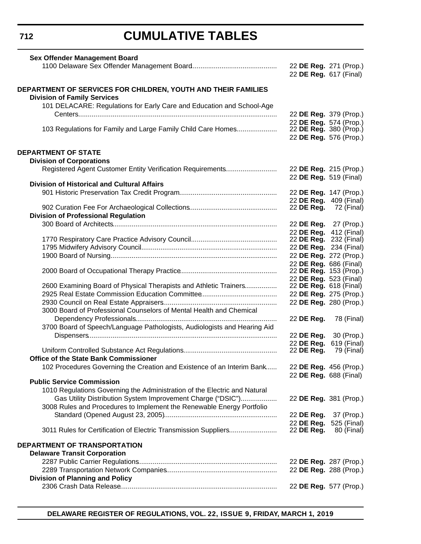**712**

# **CUMULATIVE TABLES**

| 22 DE Reg. 271 (Prop.)<br>22 DE Reg. 617 (Final)<br>DEPARTMENT OF SERVICES FOR CHILDREN, YOUTH AND THEIR FAMILIES<br><b>Division of Family Services</b><br>101 DELACARE: Regulations for Early Care and Education and School-Age<br>22 DE Reg. 379 (Prop.)<br>22 DE Reg. 574 (Prop.)<br>103 Regulations for Family and Large Family Child Care Homes<br>22 DE Reg. 380 (Prop.) |                           |
|--------------------------------------------------------------------------------------------------------------------------------------------------------------------------------------------------------------------------------------------------------------------------------------------------------------------------------------------------------------------------------|---------------------------|
|                                                                                                                                                                                                                                                                                                                                                                                |                           |
|                                                                                                                                                                                                                                                                                                                                                                                |                           |
|                                                                                                                                                                                                                                                                                                                                                                                |                           |
|                                                                                                                                                                                                                                                                                                                                                                                |                           |
|                                                                                                                                                                                                                                                                                                                                                                                |                           |
|                                                                                                                                                                                                                                                                                                                                                                                |                           |
|                                                                                                                                                                                                                                                                                                                                                                                |                           |
|                                                                                                                                                                                                                                                                                                                                                                                |                           |
|                                                                                                                                                                                                                                                                                                                                                                                |                           |
| 22 DE Reg. 576 (Prop.)                                                                                                                                                                                                                                                                                                                                                         |                           |
| <b>DEPARTMENT OF STATE</b>                                                                                                                                                                                                                                                                                                                                                     |                           |
| <b>Division of Corporations</b>                                                                                                                                                                                                                                                                                                                                                |                           |
| 22 DE Reg. 215 (Prop.)                                                                                                                                                                                                                                                                                                                                                         |                           |
| 22 DE Reg. 519 (Final)                                                                                                                                                                                                                                                                                                                                                         |                           |
| <b>Division of Historical and Cultural Affairs</b>                                                                                                                                                                                                                                                                                                                             |                           |
| 22 DE Reg. 147 (Prop.)                                                                                                                                                                                                                                                                                                                                                         |                           |
| 22 DE Reg. 409 (Final)                                                                                                                                                                                                                                                                                                                                                         |                           |
| 22 <b>DE Reg.</b> 72 (Final)                                                                                                                                                                                                                                                                                                                                                   |                           |
| <b>Division of Professional Regulation</b>                                                                                                                                                                                                                                                                                                                                     |                           |
| 22 DE Reg. 27 (Prop.)                                                                                                                                                                                                                                                                                                                                                          |                           |
| 22 DE Reg. 412 (Final)                                                                                                                                                                                                                                                                                                                                                         |                           |
| 22 <b>DE Reg.</b> 232 (Final)                                                                                                                                                                                                                                                                                                                                                  |                           |
| 22 DE Reg. 234 (Final)                                                                                                                                                                                                                                                                                                                                                         |                           |
| 22 DE Reg. 272 (Prop.)                                                                                                                                                                                                                                                                                                                                                         |                           |
| 22 DE Reg. 686 (Final)                                                                                                                                                                                                                                                                                                                                                         |                           |
| 22 DE Reg. 153 (Prop.)                                                                                                                                                                                                                                                                                                                                                         |                           |
| 22 DE Reg. 523 (Final)                                                                                                                                                                                                                                                                                                                                                         |                           |
| 2600 Examining Board of Physical Therapists and Athletic Trainers<br>22 DE Reg. 618 (Final)                                                                                                                                                                                                                                                                                    |                           |
| 22 DE Reg. 275 (Prop.)                                                                                                                                                                                                                                                                                                                                                         |                           |
| 22 DE Reg. 280 (Prop.)                                                                                                                                                                                                                                                                                                                                                         |                           |
| 3000 Board of Professional Counselors of Mental Health and Chemical                                                                                                                                                                                                                                                                                                            |                           |
| 22 DE Reg.                                                                                                                                                                                                                                                                                                                                                                     | 78 (Final)                |
| 3700 Board of Speech/Language Pathologists, Audiologists and Hearing Aid                                                                                                                                                                                                                                                                                                       |                           |
|                                                                                                                                                                                                                                                                                                                                                                                |                           |
| 22 DE Reg.                                                                                                                                                                                                                                                                                                                                                                     | 30 (Prop.)                |
| 22 DE Reg.<br>22 DE Reg.                                                                                                                                                                                                                                                                                                                                                       | 619 (Final)<br>79 (Final) |
| <b>Office of the State Bank Commissioner</b>                                                                                                                                                                                                                                                                                                                                   |                           |
| 102 Procedures Governing the Creation and Existence of an Interim Bank                                                                                                                                                                                                                                                                                                         |                           |
| 22 DE Reg. 456 (Prop.)                                                                                                                                                                                                                                                                                                                                                         |                           |
| 22 DE Reg. 688 (Final)<br><b>Public Service Commission</b>                                                                                                                                                                                                                                                                                                                     |                           |
| 1010 Regulations Governing the Administration of the Electric and Natural                                                                                                                                                                                                                                                                                                      |                           |
|                                                                                                                                                                                                                                                                                                                                                                                |                           |
| Gas Utility Distribution System Improvement Charge ("DSIC")<br>22 DE Reg. 381 (Prop.)                                                                                                                                                                                                                                                                                          |                           |
| 3008 Rules and Procedures to Implement the Renewable Energy Portfolio                                                                                                                                                                                                                                                                                                          |                           |
| 22 DE Reg.                                                                                                                                                                                                                                                                                                                                                                     | 37 (Prop.)                |
| 22 DE Reg. 525 (Final)                                                                                                                                                                                                                                                                                                                                                         |                           |
|                                                                                                                                                                                                                                                                                                                                                                                | 80 (Final)                |
| 3011 Rules for Certification of Electric Transmission Suppliers<br>22 DE Reg.                                                                                                                                                                                                                                                                                                  |                           |
|                                                                                                                                                                                                                                                                                                                                                                                |                           |
| DEPARTMENT OF TRANSPORTATION                                                                                                                                                                                                                                                                                                                                                   |                           |
| <b>Delaware Transit Corporation</b>                                                                                                                                                                                                                                                                                                                                            |                           |
| 22 DE Reg. 287 (Prop.)                                                                                                                                                                                                                                                                                                                                                         |                           |
| 22 DE Reg. 288 (Prop.)                                                                                                                                                                                                                                                                                                                                                         |                           |
| <b>Division of Planning and Policy</b><br>22 DE Reg. 577 (Prop.)                                                                                                                                                                                                                                                                                                               |                           |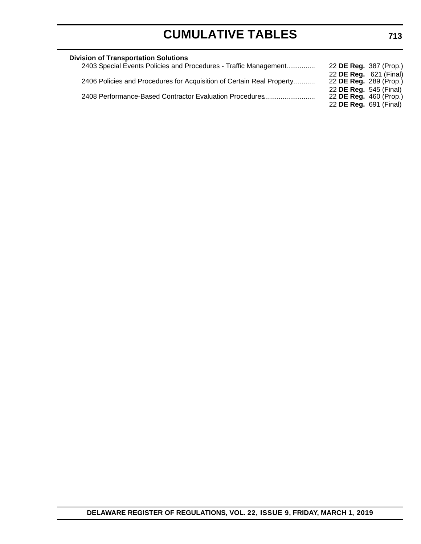| <b>Division of Transportation Solutions</b>                           |                               |
|-----------------------------------------------------------------------|-------------------------------|
| 2403 Special Events Policies and Procedures - Traffic Management      | 22 DE Reg. 387 (Prop.)        |
|                                                                       | 22 DE Reg. 621 (Final)        |
| 2406 Policies and Procedures for Acquisition of Certain Real Property | 22 DE Reg. 289 (Prop.)        |
|                                                                       | 22 DE Reg. 545 (Final)        |
| 2408 Performance-Based Contractor Evaluation Procedures               | 22 <b>DE Reg.</b> 460 (Prop.) |
|                                                                       | 22 <b>DE Reg.</b> 691 (Final) |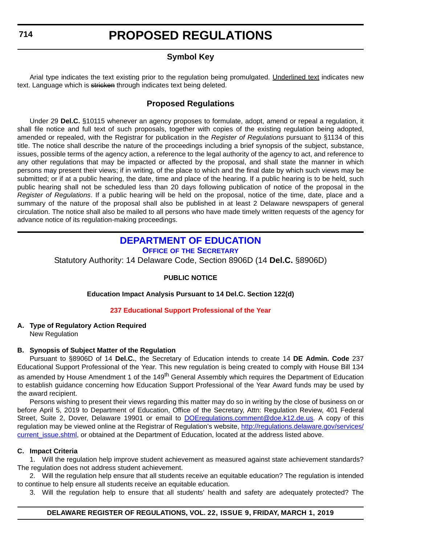# **Symbol Key**

<span id="page-11-0"></span>Arial type indicates the text existing prior to the regulation being promulgated. Underlined text indicates new text. Language which is stricken through indicates text being deleted.

# **Proposed Regulations**

Under 29 **Del.C.** §10115 whenever an agency proposes to formulate, adopt, amend or repeal a regulation, it shall file notice and full text of such proposals, together with copies of the existing regulation being adopted, amended or repealed, with the Registrar for publication in the *Register of Regulations* pursuant to §1134 of this title. The notice shall describe the nature of the proceedings including a brief synopsis of the subject, substance, issues, possible terms of the agency action, a reference to the legal authority of the agency to act, and reference to any other regulations that may be impacted or affected by the proposal, and shall state the manner in which persons may present their views; if in writing, of the place to which and the final date by which such views may be submitted; or if at a public hearing, the date, time and place of the hearing. If a public hearing is to be held, such public hearing shall not be scheduled less than 20 days following publication of notice of the proposal in the *Register of Regulations*. If a public hearing will be held on the proposal, notice of the time, date, place and a summary of the nature of the proposal shall also be published in at least 2 Delaware newspapers of general circulation. The notice shall also be mailed to all persons who have made timely written requests of the agency for advance notice of its regulation-making proceedings.

# **[DEPARTMENT OF EDUCATION](https://www.doe.k12.de.us/)**

**OFFICE OF [THE SECRETARY](https://www.doe.k12.de.us/Page/11)**

Statutory Authority: 14 Delaware Code, Section 8906D (14 **Del.C.** §8906D)

### **PUBLIC NOTICE**

**Education Impact Analysis Pursuant to 14 Del.C. Section 122(d)**

### **[237 Educational Support Professional of the Year](#page-3-0)**

# **A. Type of Regulatory Action Required**

New Regulation

# **B. Synopsis of Subject Matter of the Regulation**

Pursuant to §8906D of 14 **Del.C.**, the Secretary of Education intends to create 14 **DE Admin. Code** 237 Educational Support Professional of the Year. This new regulation is being created to comply with House Bill 134 as amended by House Amendment 1 of the 149<sup>th</sup> General Assembly which requires the Department of Education to establish guidance concerning how Education Support Professional of the Year Award funds may be used by the award recipient.

Persons wishing to present their views regarding this matter may do so in writing by the close of business on or before April 5, 2019 to Department of Education, Office of the Secretary, Attn: Regulation Review, 401 Federal Street, Suite 2, Dover, Delaware 19901 or email to **DOEregulations.comment@doe.k12.de.us**. A copy of this regulation may be viewed online at the Registrar of Regulation's website, [http://regulations.delaware.gov/services/](http://regulations.delaware.gov/services/current_issue.shtml) current issue.shtml, or obtained at the Department of Education, located at the address listed above.

### **C. Impact Criteria**

1. Will the regulation help improve student achievement as measured against state achievement standards? The regulation does not address student achievement.

2. Will the regulation help ensure that all students receive an equitable education? The regulation is intended to continue to help ensure all students receive an equitable education.

3. Will the regulation help to ensure that all students' health and safety are adequately protected? The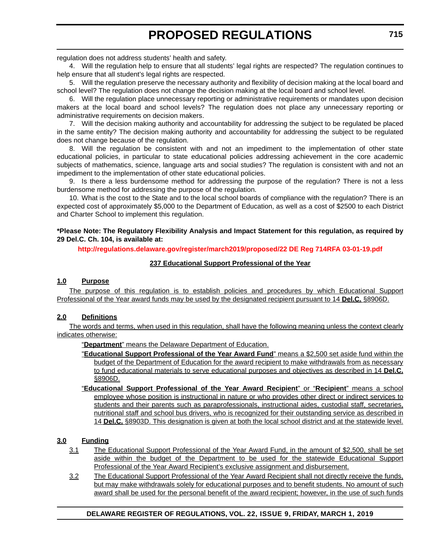regulation does not address students' health and safety.

4. Will the regulation help to ensure that all students' legal rights are respected? The regulation continues to help ensure that all student's legal rights are respected.

5. Will the regulation preserve the necessary authority and flexibility of decision making at the local board and school level? The regulation does not change the decision making at the local board and school level.

6. Will the regulation place unnecessary reporting or administrative requirements or mandates upon decision makers at the local board and school levels? The regulation does not place any unnecessary reporting or administrative requirements on decision makers.

7. Will the decision making authority and accountability for addressing the subject to be regulated be placed in the same entity? The decision making authority and accountability for addressing the subject to be regulated does not change because of the regulation.

8. Will the regulation be consistent with and not an impediment to the implementation of other state educational policies, in particular to state educational policies addressing achievement in the core academic subjects of mathematics, science, language arts and social studies? The regulation is consistent with and not an impediment to the implementation of other state educational policies.

9. Is there a less burdensome method for addressing the purpose of the regulation? There is not a less burdensome method for addressing the purpose of the regulation.

10. What is the cost to the State and to the local school boards of compliance with the regulation? There is an expected cost of approximately \$5,000 to the Department of Education, as well as a cost of \$2500 to each District and Charter School to implement this regulation.

**\*Please Note: The Regulatory Flexibility Analysis and Impact Statement for this regulation, as required by 29 Del.C. Ch. 104, is available at:**

**<http://regulations.delaware.gov/register/march2019/proposed/22 DE Reg 714RFA 03-01-19.pdf>**

### **237 Educational Support Professional of the Year**

### **1.0 Purpose**

The purpose of this regulation is to establish policies and procedures by which Educational Support Professional of the Year award funds may be used by the designated recipient pursuant to 14 **Del.C.** §8906D.

# **2.0 Definitions**

The words and terms, when used in this regulation, shall have the following meaning unless the context clearly indicates otherwise:

"**Department**" means the Delaware Department of Education.

- "**Educational Support Professional of the Year Award Fund**" means a \$2,500 set aside fund within the budget of the Department of Education for the award recipient to make withdrawals from as necessary to fund educational materials to serve educational purposes and objectives as described in 14 **Del.C.** §8906D.
- "**Educational Support Professional of the Year Award Recipient**" or "**Recipient**" means a school employee whose position is instructional in nature or who provides other direct or indirect services to students and their parents such as paraprofessionals, instructional aides, custodial staff, secretaries, nutritional staff and school bus drivers, who is recognized for their outstanding service as described in 14 **Del.C.** §8903D. This designation is given at both the local school district and at the statewide level.

# **3.0 Funding**

- 3.1 The Educational Support Professional of the Year Award Fund, in the amount of \$2,500, shall be set aside within the budget of the Department to be used for the statewide Educational Support Professional of the Year Award Recipient's exclusive assignment and disbursement.
- 3.2 The Educational Support Professional of the Year Award Recipient shall not directly receive the funds, but may make withdrawals solely for educational purposes and to benefit students. No amount of such award shall be used for the personal benefit of the award recipient; however, in the use of such funds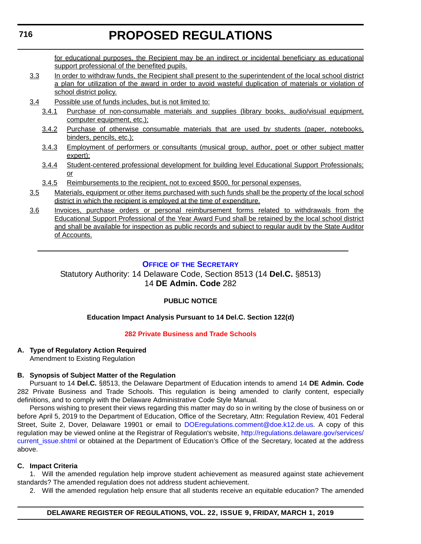<span id="page-13-0"></span>for educational purposes, the Recipient may be an indirect or incidental beneficiary as educational support professional of the benefited pupils.

- 3.3 In order to withdraw funds, the Recipient shall present to the superintendent of the local school district a plan for utilization of the award in order to avoid wasteful duplication of materials or violation of school district policy.
- 3.4 Possible use of funds includes, but is not limited to:
	- 3.4.1 Purchase of non-consumable materials and supplies (library books, audio/visual equipment, computer equipment, etc.);
	- 3.4.2 Purchase of otherwise consumable materials that are used by students (paper, notebooks, binders, pencils, etc.);
	- 3.4.3 Employment of performers or consultants (musical group, author, poet or other subject matter expert);
	- 3.4.4 Student-centered professional development for building level Educational Support Professionals; or
	- 3.4.5 Reimbursements to the recipient, not to exceed \$500, for personal expenses.
- 3.5 Materials, equipment or other items purchased with such funds shall be the property of the local school district in which the recipient is employed at the time of expenditure.
- 3.6 Invoices, purchase orders or personal reimbursement forms related to withdrawals from the Educational Support Professional of the Year Award Fund shall be retained by the local school district and shall be available for inspection as public records and subject to regular audit by the State Auditor of Accounts.

# **OFFICE OF [THE SECRETARY](https://www.doe.k12.de.us/Page/11)**

Statutory Authority: 14 Delaware Code, Section 8513 (14 **Del.C.** §8513) 14 **DE Admin. Code** 282

# **PUBLIC NOTICE**

# **Education Impact Analysis Pursuant to 14 Del.C. Section 122(d)**

### **[282 Private Business and Trade Schools](#page-3-0)**

# **A. Type of Regulatory Action Required**

Amendment to Existing Regulation

### **B. Synopsis of Subject Matter of the Regulation**

Pursuant to 14 **Del.C.** §8513, the Delaware Department of Education intends to amend 14 **DE Admin. Code** 282 Private Business and Trade Schools. This regulation is being amended to clarify content, especially definitions, and to comply with the Delaware Administrative Code Style Manual.

Persons wishing to present their views regarding this matter may do so in writing by the close of business on or before April 5, 2019 to the Department of Education, Office of the Secretary, Attn: Regulation Review, 401 Federal Street, Suite 2, Dover, Delaware 19901 or email to [DOEregulations.comment@doe.k12.de.us.](mailto:DOEregulations.comment@doe.k12.de.us) A copy of this regulation may be viewed online at the Registrar of Regulation's website, [http://regulations.delaware.gov/services/](http://regulations.delaware.gov/services/current_issue.shtml) [current\\_issue.shtml](http://regulations.delaware.gov/services/current_issue.shtml) or obtained at the Department of Education's Office of the Secretary, located at the address above.

### **C. Impact Criteria**

1. Will the amended regulation help improve student achievement as measured against state achievement standards? The amended regulation does not address student achievement.

2. Will the amended regulation help ensure that all students receive an equitable education? The amended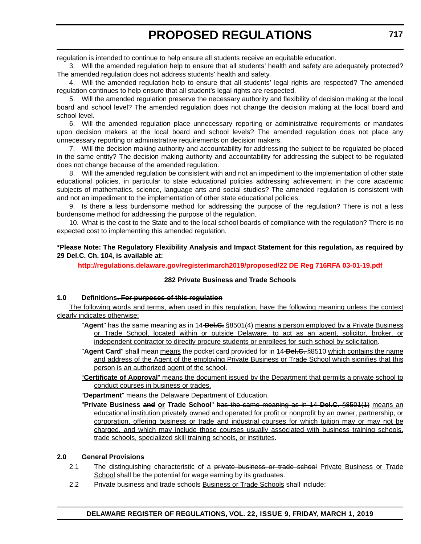regulation is intended to continue to help ensure all students receive an equitable education.

3. Will the amended regulation help to ensure that all students' health and safety are adequately protected? The amended regulation does not address students' health and safety.

4. Will the amended regulation help to ensure that all students' legal rights are respected? The amended regulation continues to help ensure that all student's legal rights are respected.

5. Will the amended regulation preserve the necessary authority and flexibility of decision making at the local board and school level? The amended regulation does not change the decision making at the local board and school level.

6. Will the amended regulation place unnecessary reporting or administrative requirements or mandates upon decision makers at the local board and school levels? The amended regulation does not place any unnecessary reporting or administrative requirements on decision makers.

7. Will the decision making authority and accountability for addressing the subject to be regulated be placed in the same entity? The decision making authority and accountability for addressing the subject to be regulated does not change because of the amended regulation.

8. Will the amended regulation be consistent with and not an impediment to the implementation of other state educational policies, in particular to state educational policies addressing achievement in the core academic subjects of mathematics, science, language arts and social studies? The amended regulation is consistent with and not an impediment to the implementation of other state educational policies.

9. Is there a less burdensome method for addressing the purpose of the regulation? There is not a less burdensome method for addressing the purpose of the regulation.

10. What is the cost to the State and to the local school boards of compliance with the regulation? There is no expected cost to implementing this amended regulation.

**\*Please Note: The Regulatory Flexibility Analysis and Impact Statement for this regulation, as required by 29 Del.C. Ch. 104, is available at:**

**<http://regulations.delaware.gov/register/march2019/proposed/22 DE Reg 716RFA 03-01-19.pdf>**

### **282 Private Business and Trade Schools**

### **1.0 Definitions. For purposes of this regulation**

The following words and terms, when used in this regulation, have the following meaning unless the context clearly indicates otherwise:

- "**Agent**" has the same meaning as in 14 **Del.C.** §8501(4) means a person employed by a Private Business or Trade School, located within or outside Delaware, to act as an agent, solicitor, broker, or independent contractor to directly procure students or enrollees for such school by solicitation.
- "**Agent Card**" shall mean means the pocket card provided for in 14 **Del.C.** §8510 which contains the name and address of the Agent of the employing Private Business or Trade School which signifies that this person is an authorized agent of the school.
- "**Certificate of Approval**" means the document issued by the Department that permits a private school to conduct courses in business or trades.

"**Department**" means the Delaware Department of Education.

"**Private Business and or Trade School**" has the same meaning as in 14 **Del.C.** §8501(1) means an educational institution privately owned and operated for profit or nonprofit by an owner, partnership, or corporation, offering business or trade and industrial courses for which tuition may or may not be charged, and which may include those courses usually associated with business training schools, trade schools, specialized skill training schools, or institutes.

### **2.0 General Provisions**

- 2.1 The distinguishing characteristic of a private business or trade school Private Business or Trade School shall be the potential for wage earning by its graduates.
- 2.2 Private business and trade schools Business or Trade Schools shall include: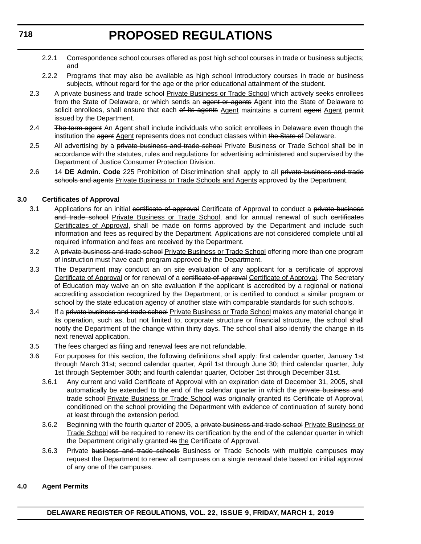- 2.2.1 Correspondence school courses offered as post high school courses in trade or business subjects; and
- 2.2.2 Programs that may also be available as high school introductory courses in trade or business subjects, without regard for the age or the prior educational attainment of the student.
- 2.3 A private business and trade school Private Business or Trade School which actively seeks enrollees from the State of Delaware, or which sends an agent or agents Agent into the State of Delaware to solicit enrollees, shall ensure that each of its agents Agent maintains a current agent Agent permit issued by the Department.
- 2.4 The term agent An Agent shall include individuals who solicit enrollees in Delaware even though the institution the agent Agent represents does not conduct classes within the State of Delaware.
- 2.5 All advertising by a private business and trade school Private Business or Trade School shall be in accordance with the statutes, rules and regulations for advertising administered and supervised by the Department of Justice Consumer Protection Division.
- 2.6 14 **DE Admin. Code** 225 Prohibition of Discrimination shall apply to all private business and trade schools and agents Private Business or Trade Schools and Agents approved by the Department.

## **3.0 Certificates of Approval**

- 3.1 Applications for an initial certificate of approval Certificate of Approval to conduct a private business and trade school Private Business or Trade School, and for annual renewal of such certificates Certificates of Approval, shall be made on forms approved by the Department and include such information and fees as required by the Department. Applications are not considered complete until all required information and fees are received by the Department.
- 3.2 A private business and trade school Private Business or Trade School offering more than one program of instruction must have each program approved by the Department.
- 3.3 The Department may conduct an on site evaluation of any applicant for a certificate of approval Certificate of Approval or for renewal of a certificate of approval Certificate of Approval. The Secretary of Education may waive an on site evaluation if the applicant is accredited by a regional or national accrediting association recognized by the Department, or is certified to conduct a similar program or school by the state education agency of another state with comparable standards for such schools.
- 3.4 If a private business and trade school Private Business or Trade School makes any material change in its operation, such as, but not limited to, corporate structure or financial structure, the school shall notify the Department of the change within thirty days. The school shall also identify the change in its next renewal application.
- 3.5 The fees charged as filing and renewal fees are not refundable.
- 3.6 For purposes for this section, the following definitions shall apply: first calendar quarter, January 1st through March 31st; second calendar quarter, April 1st through June 30; third calendar quarter, July 1st through September 30th; and fourth calendar quarter, October 1st through December 31st.
	- 3.6.1 Any current and valid Certificate of Approval with an expiration date of December 31, 2005, shall automatically be extended to the end of the calendar quarter in which the private business and trade school Private Business or Trade School was originally granted its Certificate of Approval, conditioned on the school providing the Department with evidence of continuation of surety bond at least through the extension period.
	- 3.6.2 Beginning with the fourth quarter of 2005, a private business and trade school Private Business or Trade School will be required to renew its certification by the end of the calendar quarter in which the Department originally granted its the Certificate of Approval.
	- 3.6.3 Private business and trade schools Business or Trade Schools with multiple campuses may request the Department to renew all campuses on a single renewal date based on initial approval of any one of the campuses.

### **4.0 Agent Permits**

**718**

**DELAWARE REGISTER OF REGULATIONS, VOL. 22, ISSUE 9, FRIDAY, MARCH 1, 2019**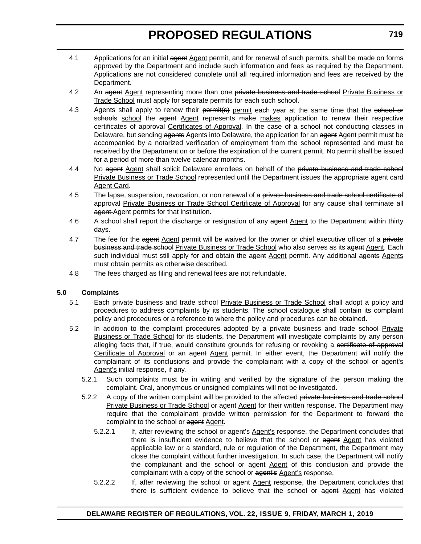- 4.1 Applications for an initial agent Agent permit, and for renewal of such permits, shall be made on forms approved by the Department and include such information and fees as required by the Department. Applications are not considered complete until all required information and fees are received by the Department.
- 4.2 An agent Agent representing more than one private business and trade school Private Business or Trade School must apply for separate permits for each such school.
- 4.3 Agents shall apply to renew their permit(s) permit each year at the same time that the school or schools school the agent Agent represents make makes application to renew their respective certificates of approval Certificates of Approval. In the case of a school not conducting classes in Delaware, but sending agents Agents into Delaware, the application for an agent Agent permit must be accompanied by a notarized verification of employment from the school represented and must be received by the Department on or before the expiration of the current permit. No permit shall be issued for a period of more than twelve calendar months.
- 4.4 No agent Agent shall solicit Delaware enrollees on behalf of the private business and trade school Private Business or Trade School represented until the Department issues the appropriate agent card Agent Card.
- 4.5 The lapse, suspension, revocation, or non renewal of a private business and trade school certificate of approval Private Business or Trade School Certificate of Approval for any cause shall terminate all agent Agent permits for that institution.
- 4.6 A school shall report the discharge or resignation of any agent Agent to the Department within thirty days.
- 4.7 The fee for the agent Agent permit will be waived for the owner or chief executive officer of a private business and trade school Private Business or Trade School who also serves as its agent Agent. Each such individual must still apply for and obtain the agent Agent permit. Any additional agents Agents must obtain permits as otherwise described.
- 4.8 The fees charged as filing and renewal fees are not refundable.

### **5.0 Complaints**

- 5.1 Each private business and trade school Private Business or Trade School shall adopt a policy and procedures to address complaints by its students. The school catalogue shall contain its complaint policy and procedures or a reference to where the policy and procedures can be obtained.
- 5.2 In addition to the complaint procedures adopted by a private business and trade school Private Business or Trade School for its students, the Department will investigate complaints by any person alleging facts that, if true, would constitute grounds for refusing or revoking a certificate of approval Certificate of Approval or an agent Agent permit. In either event, the Department will notify the complainant of its conclusions and provide the complainant with a copy of the school or agent's Agent's initial response, if any.
	- 5.2.1 Such complaints must be in writing and verified by the signature of the person making the complaint. Oral, anonymous or unsigned complaints will not be investigated.
	- 5.2.2 A copy of the written complaint will be provided to the affected private business and trade school Private Business or Trade School or agent Agent for their written response. The Department may require that the complainant provide written permission for the Department to forward the complaint to the school or agent Agent.
		- 5.2.2.1 If, after reviewing the school or agent's Agent's response, the Department concludes that there is insufficient evidence to believe that the school or agent Agent has violated applicable law or a standard, rule or regulation of the Department, the Department may close the complaint without further investigation. In such case, the Department will notify the complainant and the school or agent Agent of this conclusion and provide the complainant with a copy of the school or agent's Agent's response.
		- 5.2.2.2 If, after reviewing the school or agent Agent response, the Department concludes that there is sufficient evidence to believe that the school or agent Agent has violated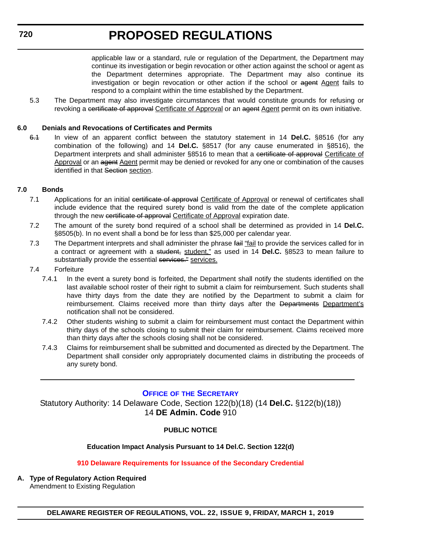applicable law or a standard, rule or regulation of the Department, the Department may continue its investigation or begin revocation or other action against the school or agent as the Department determines appropriate. The Department may also continue its investigation or begin revocation or other action if the school or agent Agent fails to respond to a complaint within the time established by the Department.

<span id="page-17-0"></span>5.3 The Department may also investigate circumstances that would constitute grounds for refusing or revoking a certificate of approval Certificate of Approval or an agent Agent permit on its own initiative.

## **6.0 Denials and Revocations of Certificates and Permits**

6.1 In view of an apparent conflict between the statutory statement in 14 **Del.C.** §8516 (for any combination of the following) and 14 **Del.C.** §8517 (for any cause enumerated in §8516), the Department interprets and shall administer §8516 to mean that a certificate of approval Certificate of Approval or an agent Agent permit may be denied or revoked for any one or combination of the causes identified in that Section section.

## **7.0 Bonds**

- 7.1 Applications for an initial certificate of approval Certificate of Approval or renewal of certificates shall include evidence that the required surety bond is valid from the date of the complete application through the new certificate of approval Certificate of Approval expiration date.
- 7.2 The amount of the surety bond required of a school shall be determined as provided in 14 **Del.C.** §8505(b). In no event shall a bond be for less than \$25,000 per calendar year.
- 7.3 The Department interprets and shall administer the phrase fail "fail to provide the services called for in a contract or agreement with a student, student," as used in 14 **Del.C.** §8523 to mean failure to substantially provide the essential services." services.
- 7.4 Forfeiture
	- 7.4.1 In the event a surety bond is forfeited, the Department shall notify the students identified on the last available school roster of their right to submit a claim for reimbursement. Such students shall have thirty days from the date they are notified by the Department to submit a claim for reimbursement. Claims received more than thirty days after the Departments Department's notification shall not be considered.
	- 7.4.2 Other students wishing to submit a claim for reimbursement must contact the Department within thirty days of the schools closing to submit their claim for reimbursement. Claims received more than thirty days after the schools closing shall not be considered.
	- 7.4.3 Claims for reimbursement shall be submitted and documented as directed by the Department. The Department shall consider only appropriately documented claims in distributing the proceeds of any surety bond.

# **OFFICE OF [THE SECRETARY](https://www.doe.k12.de.us/Page/11)**

Statutory Authority: 14 Delaware Code, Section 122(b)(18) (14 **Del.C.** §122(b)(18)) 14 **DE Admin. Code** 910

### **PUBLIC NOTICE**

### **Education Impact Analysis Pursuant to 14 Del.C. Section 122(d)**

### **[910 Delaware Requirements for Issuance of the Secondary Credential](#page-3-0)**

**A. Type of Regulatory Action Required** Amendment to Existing Regulation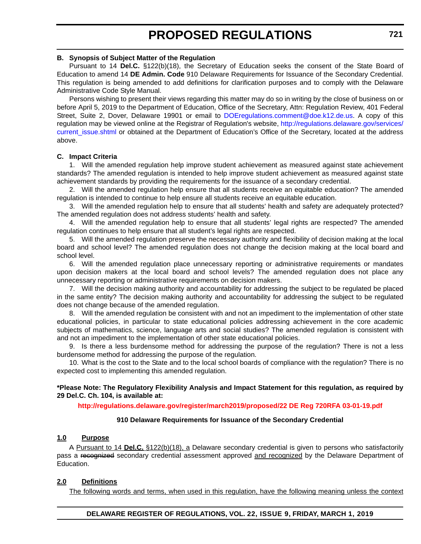#### **B. Synopsis of Subject Matter of the Regulation**

Pursuant to 14 **Del.C.** §122(b)(18), the Secretary of Education seeks the consent of the State Board of Education to amend 14 **DE Admin. Code** 910 Delaware Requirements for Issuance of the Secondary Credential. This regulation is being amended to add definitions for clarification purposes and to comply with the Delaware Administrative Code Style Manual.

Persons wishing to present their views regarding this matter may do so in writing by the close of business on or before April 5, 2019 to the Department of Education, Office of the Secretary, Attn: Regulation Review, 401 Federal Street, Suite 2, Dover, Delaware 19901 or email to [DOEregulations.comment@doe.k12.de.us](mailto:DOEregulations.comment@doe.k12.de.us). A copy of this regulation may be viewed online at the Registrar of Regulation's website, [http://regulations.delaware.gov/services/](http://regulations.delaware.gov/services/current_issue.shtml) current issue.shtml or obtained at the Department of Education's Office of the Secretary, located at the address above.

#### **C. Impact Criteria**

1. Will the amended regulation help improve student achievement as measured against state achievement standards? The amended regulation is intended to help improve student achievement as measured against state achievement standards by providing the requirements for the issuance of a secondary credential.

2. Will the amended regulation help ensure that all students receive an equitable education? The amended regulation is intended to continue to help ensure all students receive an equitable education.

3. Will the amended regulation help to ensure that all students' health and safety are adequately protected? The amended regulation does not address students' health and safety.

4. Will the amended regulation help to ensure that all students' legal rights are respected? The amended regulation continues to help ensure that all student's legal rights are respected.

5. Will the amended regulation preserve the necessary authority and flexibility of decision making at the local board and school level? The amended regulation does not change the decision making at the local board and school level.

6. Will the amended regulation place unnecessary reporting or administrative requirements or mandates upon decision makers at the local board and school levels? The amended regulation does not place any unnecessary reporting or administrative requirements on decision makers.

7. Will the decision making authority and accountability for addressing the subject to be regulated be placed in the same entity? The decision making authority and accountability for addressing the subject to be regulated does not change because of the amended regulation.

8. Will the amended regulation be consistent with and not an impediment to the implementation of other state educational policies, in particular to state educational policies addressing achievement in the core academic subjects of mathematics, science, language arts and social studies? The amended regulation is consistent with and not an impediment to the implementation of other state educational policies.

9. Is there a less burdensome method for addressing the purpose of the regulation? There is not a less burdensome method for addressing the purpose of the regulation.

10. What is the cost to the State and to the local school boards of compliance with the regulation? There is no expected cost to implementing this amended regulation.

#### **\*Please Note: The Regulatory Flexibility Analysis and Impact Statement for this regulation, as required by 29 Del.C. Ch. 104, is available at:**

### **<http://regulations.delaware.gov/register/march2019/proposed/22 DE Reg 720RFA 03-01-19.pdf>**

#### **910 Delaware Requirements for Issuance of the Secondary Credential**

#### **1.0 Purpose**

A Pursuant to 14 **Del.C.** §122(b)(18), a Delaware secondary credential is given to persons who satisfactorily pass a recognized secondary credential assessment approved and recognized by the Delaware Department of Education.

#### **2.0 Definitions**

The following words and terms, when used in this regulation, have the following meaning unless the context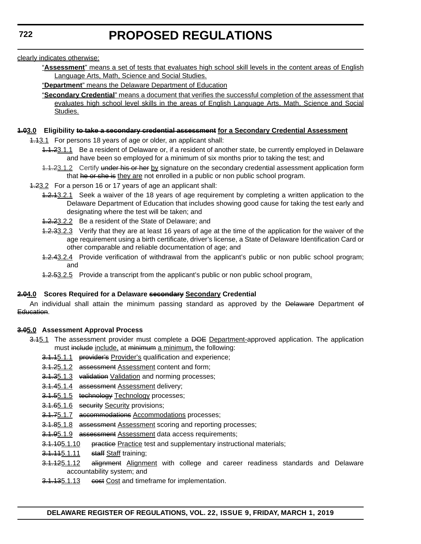clearly indicates otherwise:

- "**Assessment**" means a set of tests that evaluates high school skill levels in the content areas of English Language Arts, Math, Science and Social Studies.
- "**Department**" means the Delaware Department of Education
- "**Secondary Credential**" means a document that verifies the successful completion of the assessment that evaluates high school level skills in the areas of English Language Arts, Math, Science and Social Studies.

#### **1.03.0 Eligibility to take a secondary credential assessment for a Secondary Credential Assessment**

- 1.13.1 For persons 18 years of age or older, an applicant shall:
	- 1.1.23.1.1 Be a resident of Delaware or, if a resident of another state, be currently employed in Delaware and have been so employed for a minimum of six months prior to taking the test; and
	- 1.1.23.1.2 Certify under his or her by signature on the secondary credential assessment application form that he or she is they are not enrolled in a public or non public school program.
- 1.23.2 For a person 16 or 17 years of age an applicant shall:
	- 1.2.13.2.1 Seek a waiver of the 18 years of age requirement by completing a written application to the Delaware Department of Education that includes showing good cause for taking the test early and designating where the test will be taken; and
	- 1.2.23.2.2 Be a resident of the State of Delaware; and
	- 1.2.33.2.3 Verify that they are at least 16 years of age at the time of the application for the waiver of the age requirement using a birth certificate, driver's license, a State of Delaware Identification Card or other comparable and reliable documentation of age; and
	- 4.2.43.2.4 Provide verification of withdrawal from the applicant's public or non public school program; and
	- **1.2.53.2.5** Provide a transcript from the applicant's public or non public school program.

### **2.04.0 Scores Required for a Delaware secondary Secondary Credential**

An individual shall attain the minimum passing standard as approved by the Delaware Department of Education.

### **3.05.0 Assessment Approval Process**

- 3.45.1 The assessment provider must complete a DOE Department-approved application. The application must include include, at minimum a minimum, the following:
	- 3.1.15.1.1 provider's Provider's qualification and experience;
	- 3.1.25.1.2 assessment Assessment content and form;
	- 3.1.35.1.3 validation Validation and norming processes;
	- 3.1.45.1.4 assessment Assessment delivery;
	- 3.1.55.1.5 technology Technology processes;
	- 3.1.65.1.6 security Security provisions;
	- 3.1.75.1.7 accommodations Accommodations processes;
	- 3.1.85.1.8 assessment Assessment scoring and reporting processes;
	- 3.1.95.1.9 assessment Assessment data access requirements;
	- 3.1.105.1.10 practice Practice test and supplementary instructional materials;
	- **3.1.115.1.11** staff Staff training;
	- 3.1.125.1.12 alignment Alignment with college and career readiness standards and Delaware accountability system; and
	- 3.1.135.1.13 eest Cost and timeframe for implementation.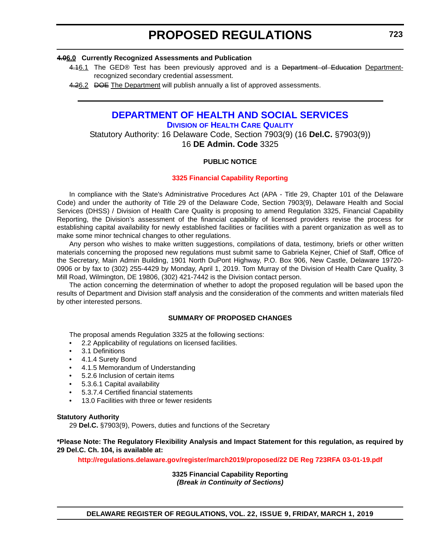#### <span id="page-20-0"></span>**4.06.0 Currently Recognized Assessments and Publication**

- 4.16.1 The GED® Test has been previously approved and is a Department of Education Departmentrecognized secondary credential assessment.
- 4.26.2 DOE The Department will publish annually a list of approved assessments.

# **[DEPARTMENT OF HEALTH AND SOCIAL SERVICES](https://www.dhss.delaware.gov/dhss/index.html ) DIVISION [OF HEALTH CARE QUALITY](https://www.dhss.delaware.gov/dhss/dltcrp/ )**

Statutory Authority: 16 Delaware Code, Section 7903(9) (16 **Del.C.** §7903(9)) 16 **DE Admin. Code** 3325

### **PUBLIC NOTICE**

#### **[3325 Financial Capability Reporting](#page-3-0)**

In compliance with the State's Administrative Procedures Act (APA - Title 29, Chapter 101 of the Delaware Code) and under the authority of Title 29 of the Delaware Code, Section 7903(9), Delaware Health and Social Services (DHSS) / Division of Health Care Quality is proposing to amend Regulation 3325, Financial Capability Reporting, the Division's assessment of the financial capability of licensed providers revise the process for establishing capital availability for newly established facilities or facilities with a parent organization as well as to make some minor technical changes to other regulations.

Any person who wishes to make written suggestions, compilations of data, testimony, briefs or other written materials concerning the proposed new regulations must submit same to Gabriela Kejner, Chief of Staff, Office of the Secretary, Main Admin Building, 1901 North DuPont Highway, P.O. Box 906, New Castle, Delaware 19720- 0906 or by fax to (302) 255-4429 by Monday, April 1, 2019. Tom Murray of the Division of Health Care Quality, 3 Mill Road, Wilmington, DE 19806, (302) 421-7442 is the Division contact person.

The action concerning the determination of whether to adopt the proposed regulation will be based upon the results of Department and Division staff analysis and the consideration of the comments and written materials filed by other interested persons.

#### **SUMMARY OF PROPOSED CHANGES**

The proposal amends Regulation 3325 at the following sections:

- 2.2 Applicability of regulations on licensed facilities.
- 3.1 Definitions
- 4.1.4 Surety Bond
- 4.1.5 Memorandum of Understanding
- 5.2.6 Inclusion of certain items
- 5.3.6.1 Capital availability
- 5.3.7.4 Certified financial statements
- 13.0 Facilities with three or fewer residents

#### **Statutory Authority**

29 **Del.C.** §7903(9), Powers, duties and functions of the Secretary

#### **\*Please Note: The Regulatory Flexibility Analysis and Impact Statement for this regulation, as required by 29 Del.C. Ch. 104, is available at:**

**<http://regulations.delaware.gov/register/march2019/proposed/22 DE Reg 723RFA 03-01-19.pdf>**

**3325 Financial Capability Reporting** *(Break in Continuity of Sections)*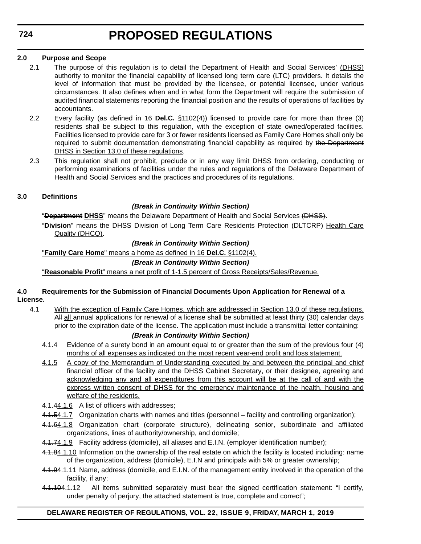# **2.0 Purpose and Scope**

- 2.1 The purpose of this regulation is to detail the Department of Health and Social Services' (DHSS) authority to monitor the financial capability of licensed long term care (LTC) providers. It details the level of information that must be provided by the licensee, or potential licensee, under various circumstances. It also defines when and in what form the Department will require the submission of audited financial statements reporting the financial position and the results of operations of facilities by accountants.
- 2.2 Every facility (as defined in 16 **Del.C.** §1102(4)) licensed to provide care for more than three (3) residents shall be subject to this regulation, with the exception of state owned/operated facilities. Facilities licensed to provide care for 3 or fewer residents licensed as Family Care Homes shall only be required to submit documentation demonstrating financial capability as required by the Department DHSS in Section 13.0 of these regulations.
- 2.3 This regulation shall not prohibit, preclude or in any way limit DHSS from ordering, conducting or performing examinations of facilities under the rules and regulations of the Delaware Department of Health and Social Services and the practices and procedures of its regulations.

# **3.0 Definitions**

# *(Break in Continuity Within Section)*

"**Department DHSS**" means the Delaware Department of Health and Social Services (DHSS).

"**Division**" means the DHSS Division of Long Term Care Residents Protection (DLTCRP) Health Care Quality (DHCQ).

# *(Break in Continuity Within Section)*

"**Family Care Home**" means a home as defined in 16 **Del.C.** §1102(4).

# *(Break in Continuity Within Section)*

"**Reasonable Profit**" means a net profit of 1-1.5 percent of Gross Receipts/Sales/Revenue.

## **4.0 Requirements for the Submission of Financial Documents Upon Application for Renewal of a License.**

4.1 With the exception of Family Care Homes, which are addressed in Section 13.0 of these regulations, All all annual applications for renewal of a license shall be submitted at least thirty (30) calendar days prior to the expiration date of the license. The application must include a transmittal letter containing:

# *(Break in Continuity Within Section)*

- 4.1.4 Evidence of a surety bond in an amount equal to or greater than the sum of the previous four (4) months of all expenses as indicated on the most recent year-end profit and loss statement.
- 4.1.5 A copy of the Memorandum of Understanding executed by and between the principal and chief financial officer of the facility and the DHSS Cabinet Secretary, or their designee, agreeing and acknowledging any and all expenditures from this account will be at the call of and with the express written consent of DHSS for the emergency maintenance of the health, housing and welfare of the residents.
- 4.1.44.1.6 A list of officers with addresses;
- 4.1.54.1.7 Organization charts with names and titles (personnel facility and controlling organization);
- 4.1.64.1.8 Organization chart (corporate structure), delineating senior, subordinate and affiliated organizations, lines of authority/ownership, and domicile;
- 4.1.74.1.9 Facility address (domicile), all aliases and E.I.N. (employer identification number);
- 4.1.84.1.10 Information on the ownership of the real estate on which the facility is located including: name of the organization, address (domicile), E.I.N and principals with 5% or greater ownership;
- 4.1.94.1.11 Name, address (domicile, and E.I.N. of the management entity involved in the operation of the facility, if any;
- 4.1.104.1.12 All items submitted separately must bear the signed certification statement: "I certify, under penalty of perjury, the attached statement is true, complete and correct";

# **DELAWARE REGISTER OF REGULATIONS, VOL. 22, ISSUE 9, FRIDAY, MARCH 1, 2019**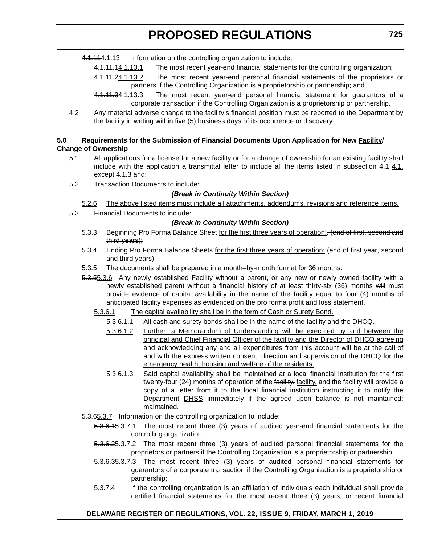4.1.114.1.13 Information on the controlling organization to include:

4.1.11.14.1.13.1 The most recent year-end financial statements for the controlling organization;

- 4.1.11.24.1.13.2 The most recent year-end personal financial statements of the proprietors or partners if the Controlling Organization is a proprietorship or partnership; and
- 4.1.11.34.1.13.3 The most recent year-end personal financial statement for quarantors of a corporate transaction if the Controlling Organization is a proprietorship or partnership.
- 4.2 Any material adverse change to the facility's financial position must be reported to the Department by the facility in writing within five (5) business days of its occurrence or discovery.

### **5.0 Requirements for the Submission of Financial Documents Upon Application for New Facility/ Change of Ownership**

- 5.1 All applications for a license for a new facility or for a change of ownership for an existing facility shall include with the application a transmittal letter to include all the items listed in subsection  $4.1 \underline{4.1}$ , except 4.1.3 and:
- 5.2 Transaction Documents to include:

## *(Break in Continuity Within Section)*

- 5.2.6 The above listed items must include all attachments, addendums, revisions and reference items.
- 5.3 Financial Documents to include:

### *(Break in Continuity Within Section)*

- 5.3.3 Beginning Pro Forma Balance Sheet for the first three years of operation; (end of first, second and third years);
- 5.3.4 Ending Pro Forma Balance Sheets for the first three years of operation; (end of first year, second and third years);
- 5.3.5 The documents shall be prepared in a month–by-month format for 36 months.
- 5.3.55.3.6 Any newly established Facility without a parent, or any new or newly owned facility with a newly established parent without a financial history of at least thirty-six (36) months will must provide evidence of capital availability in the name of the facility equal to four (4) months of anticipated facility expenses as evidenced on the pro forma profit and loss statement.
	- 5.3.6.1 The capital availability shall be in the form of Cash or Surety Bond.
		- 5.3.6.1.1 All cash and surety bonds shall be in the name of the facility and the DHCQ.
		- 5.3.6.1.2 Further, a Memorandum of Understanding will be executed by and between the principal and Chief Financial Officer of the facility and the Director of DHCQ agreeing and acknowledging any and all expenditures from this account will be at the call of and with the express written consent, direction and supervision of the DHCQ for the emergency health, housing and welfare of the residents.
		- 5.3.6.1.3 Said capital availability shall be maintained at a local financial institution for the first twenty-four (24) months of operation of the facility. facility, and the facility will provide a copy of a letter from it to the local financial institution instructing it to notify the Department DHSS immediately if the agreed upon balance is not maintained; maintained.
- 5.3.65.3.7 Information on the controlling organization to include:
	- 5.3.6.15.3.7.1 The most recent three (3) years of audited year-end financial statements for the controlling organization;
	- 5.3.6.25.3.7.2 The most recent three (3) years of audited personal financial statements for the proprietors or partners if the Controlling Organization is a proprietorship or partnership;
	- 5.3.6.35.3.7.3 The most recent three (3) years of audited personal financial statements for guarantors of a corporate transaction if the Controlling Organization is a proprietorship or partnership;
	- 5.3.7.4 If the controlling organization is an affiliation of individuals each individual shall provide certified financial statements for the most recent three (3) years, or recent financial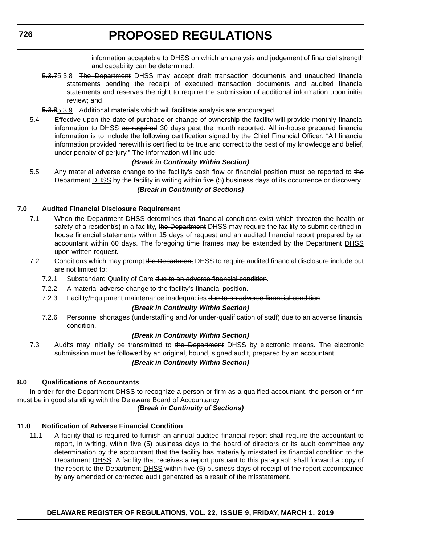information acceptable to DHSS on which an analysis and judgement of financial strength and capability can be determined.

- 5.3.75.3.8 The Department DHSS may accept draft transaction documents and unaudited financial statements pending the receipt of executed transaction documents and audited financial statements and reserves the right to require the submission of additional information upon initial review; and
- 5.3.85.3.9 Additional materials which will facilitate analysis are encouraged.
- 5.4 Effective upon the date of purchase or change of ownership the facility will provide monthly financial information to DHSS as required 30 days past the month reported. All in-house prepared financial information is to include the following certification signed by the Chief Financial Officer: "All financial information provided herewith is certified to be true and correct to the best of my knowledge and belief, under penalty of perjury." The information will include:

### *(Break in Continuity Within Section)*

5.5 Any material adverse change to the facility's cash flow or financial position must be reported to the Department DHSS by the facility in writing within five (5) business days of its occurrence or discovery.

### *(Break in Continuity of Sections)*

#### **7.0 Audited Financial Disclosure Requirement**

- 7.1 When the Department DHSS determines that financial conditions exist which threaten the health or safety of a resident(s) in a facility, the Department DHSS may require the facility to submit certified inhouse financial statements within 15 days of request and an audited financial report prepared by an accountant within 60 days. The foregoing time frames may be extended by the Department DHSS upon written request.
- 7.2 Conditions which may prompt the Department DHSS to require audited financial disclosure include but are not limited to:
	- 7.2.1 Substandard Quality of Care due to an adverse financial condition.
	- 7.2.2 A material adverse change to the facility's financial position.
	- 7.2.3 Facility/Equipment maintenance inadequacies due to an adverse financial condition.

#### *(Break in Continuity Within Section)*

7.2.6 Personnel shortages (understaffing and /or under-qualification of staff) due to an adverse financial condition.

#### *(Break in Continuity Within Section)*

7.3 Audits may initially be transmitted to the Department DHSS by electronic means. The electronic submission must be followed by an original, bound, signed audit, prepared by an accountant.

### *(Break in Continuity Within Section)*

# **8.0 Qualifications of Accountants**

In order for the Department DHSS to recognize a person or firm as a qualified accountant, the person or firm must be in good standing with the Delaware Board of Accountancy.

### *(Break in Continuity of Sections)*

### **11.0 Notification of Adverse Financial Condition**

11.1 A facility that is required to furnish an annual audited financial report shall require the accountant to report, in writing, within five (5) business days to the board of directors or its audit committee any determination by the accountant that the facility has materially misstated its financial condition to the Department DHSS. A facility that receives a report pursuant to this paragraph shall forward a copy of the report to the Department DHSS within five (5) business days of receipt of the report accompanied by any amended or corrected audit generated as a result of the misstatement.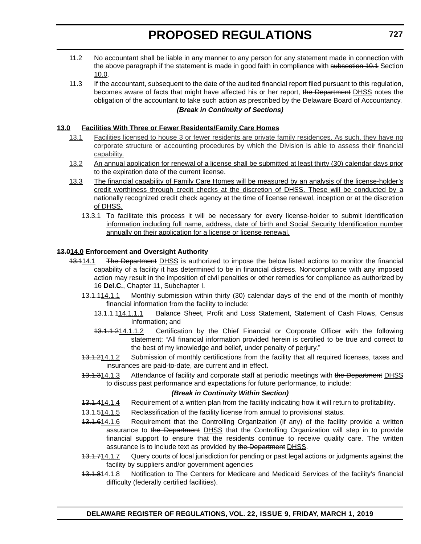- 11.2 No accountant shall be liable in any manner to any person for any statement made in connection with the above paragraph if the statement is made in good faith in compliance with subsection 10.1 Section 10.0.
- 11.3 If the accountant, subsequent to the date of the audited financial report filed pursuant to this regulation, becomes aware of facts that might have affected his or her report, the Department DHSS notes the obligation of the accountant to take such action as prescribed by the Delaware Board of Accountancy. *(Break in Continuity of Sections)*

### **13.0 Facilities With Three or Fewer Residents/Family Care Homes**

- 13.1 Facilities licensed to house 3 or fewer residents are private family residences. As such, they have no corporate structure or accounting procedures by which the Division is able to assess their financial capability.
- 13.2 An annual application for renewal of a license shall be submitted at least thirty (30) calendar days prior to the expiration date of the current license.
- 13.3 The financial capability of Family Care Homes will be measured by an analysis of the license-holder's credit worthiness through credit checks at the discretion of DHSS. These will be conducted by a nationally recognized credit check agency at the time of license renewal, inception or at the discretion of DHSS.
	- 13.3.1 To facilitate this process it will be necessary for every license-holder to submit identification information including full name, address, date of birth and Social Security Identification number annually on their application for a license or license renewal.

## **13.014.0 Enforcement and Oversight Authority**

- 13.114.1 The Department DHSS is authorized to impose the below listed actions to monitor the financial capability of a facility it has determined to be in financial distress. Noncompliance with any imposed action may result in the imposition of civil penalties or other remedies for compliance as authorized by 16 **Del.C.**, Chapter 11, Subchapter I.
	- 13.1.114.1.1 Monthly submission within thirty (30) calendar days of the end of the month of monthly financial information from the facility to include:
		- 13.1.1.114.1.1.1 Balance Sheet, Profit and Loss Statement, Statement of Cash Flows, Census Information; and
		- 13.1.1.214.1.1.2 Certification by the Chief Financial or Corporate Officer with the following statement: "All financial information provided herein is certified to be true and correct to the best of my knowledge and belief, under penalty of perjury."
	- 13.1.214.1.2 Submission of monthly certifications from the facility that all required licenses, taxes and insurances are paid-to-date, are current and in effect.
	- 13.1.314.1.3 Attendance of facility and corporate staff at periodic meetings with the Department DHSS to discuss past performance and expectations for future performance, to include:

### *(Break in Continuity Within Section)*

- 13.1.414.1.4 Requirement of a written plan from the facility indicating how it will return to profitability.
- 13.1.514.1.5 Reclassification of the facility license from annual to provisional status.
- 13.1.614.1.6 Requirement that the Controlling Organization (if any) of the facility provide a written assurance to the Department DHSS that the Controlling Organization will step in to provide financial support to ensure that the residents continue to receive quality care. The written assurance is to include text as provided by the Department DHSS.
- 13.1.714.1.7 Query courts of local jurisdiction for pending or past legal actions or judgments against the facility by suppliers and/or government agencies
- 13.1.814.1.8 Notification to The Centers for Medicare and Medicaid Services of the facility's financial difficulty (federally certified facilities).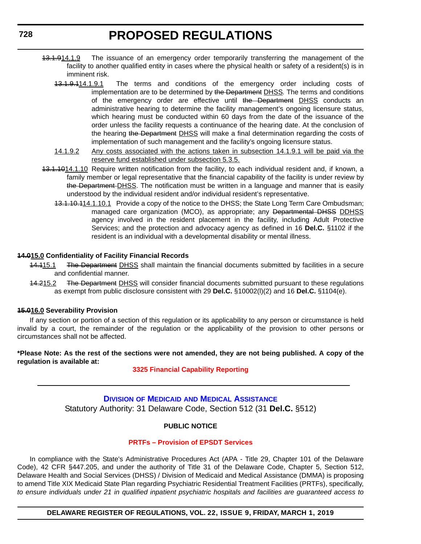- <span id="page-25-0"></span>13.1.914.1.9 The issuance of an emergency order temporarily transferring the management of the facility to another qualified entity in cases where the physical health or safety of a resident(s) is in imminent risk.
	- 13.1.9.114.1.9.1 The terms and conditions of the emergency order including costs of implementation are to be determined by the Department DHSS*.* The terms and conditions of the emergency order are effective until the Department DHSS conducts an administrative hearing to determine the facility management's ongoing licensure status, which hearing must be conducted within 60 days from the date of the issuance of the order unless the facility requests a continuance of the hearing date. At the conclusion of the hearing the Department DHSS will make a final determination regarding the costs of implementation of such management and the facility's ongoing licensure status.
	- 14.1.9.2 Any costs associated with the actions taken in subsection 14.1.9.1 will be paid via the reserve fund established under subsection 5.3.5.
- 13.1.1014.1.10 Require written notification from the facility, to each individual resident and, if known, a family member or legal representative that the financial capability of the facility is under review by the Department-DHSS. The notification must be written in a language and manner that is easily understood by the individual resident and/or individual resident's representative.
	- 13.1.10.114.1.10.1 Provide a copy of the notice to the DHSS; the State Long Term Care Ombudsman; managed care organization (MCO), as appropriate; any Departmental DHSS DDHSS agency involved in the resident placement in the facility, including Adult Protective Services; and the protection and advocacy agency as defined in 16 **Del.C.** §1102 if the resident is an individual with a developmental disability or mental illness.

### **14.015.0 Confidentiality of Facility Financial Records**

- 14.115.1 The Department DHSS shall maintain the financial documents submitted by facilities in a secure and confidential manner.
- 14.215.2 The Department DHSS will consider financial documents submitted pursuant to these regulations as exempt from public disclosure consistent with 29 **Del.C.** §10002(l)(2) and 16 **Del.C.** §1104(e).

#### **15.016.0 Severability Provision**

If any section or portion of a section of this regulation or its applicability to any person or circumstance is held invalid by a court, the remainder of the regulation or the applicability of the provision to other persons or circumstances shall not be affected.

**\*Please Note: As the rest of the sections were not amended, they are not being published. A copy of the regulation is available at:**

**[3325 Financial Capability Reporting](http://regulations.delaware.gov/register/march2019/proposed/22 DE Reg 723 03-01-19.htm)**

# **DIVISION OF MEDICAID [AND MEDICAL ASSISTANCE](https://www.dhss.delaware.gov/dhss/dmma/)** Statutory Authority: 31 Delaware Code, Section 512 (31 **Del.C.** §512)

### **PUBLIC NOTICE**

#### **[PRTFs – Provision of EPSDT Services](#page-3-0)**

In compliance with the State's Administrative Procedures Act (APA - Title 29, Chapter 101 of the Delaware Code), 42 CFR §447.205, and under the authority of Title 31 of the Delaware Code, Chapter 5, Section 512, Delaware Health and Social Services (DHSS) / Division of Medicaid and Medical Assistance (DMMA) is proposing to amend Title XIX Medicaid State Plan regarding Psychiatric Residential Treatment Facilities (PRTFs), specifically, *to ensure individuals under 21 in qualified inpatient psychiatric hospitals and facilities are guaranteed access to*

**DELAWARE REGISTER OF REGULATIONS, VOL. 22, ISSUE 9, FRIDAY, MARCH 1, 2019**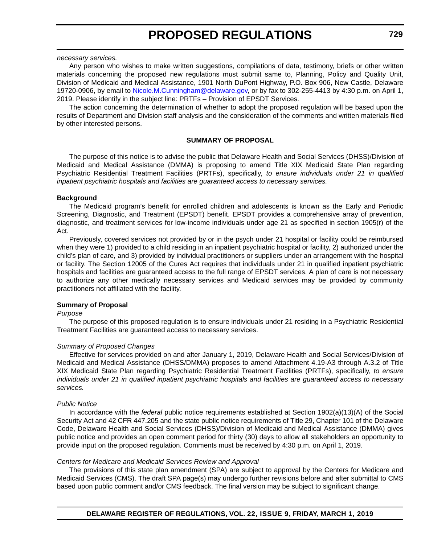#### *necessary services.*

Any person who wishes to make written suggestions, compilations of data, testimony, briefs or other written materials concerning the proposed new regulations must submit same to, Planning, Policy and Quality Unit, Division of Medicaid and Medical Assistance, 1901 North DuPont Highway, P.O. Box 906, New Castle, Delaware 19720-0906, by email to [Nicole.M.Cunningham@delaware.gov,](mailto:Nicole.M.Cunningham@delaware.gov) or by fax to 302-255-4413 by 4:30 p.m. on April 1, 2019. Please identify in the subject line: PRTFs – Provision of EPSDT Services.

The action concerning the determination of whether to adopt the proposed regulation will be based upon the results of Department and Division staff analysis and the consideration of the comments and written materials filed by other interested persons.

#### **SUMMARY OF PROPOSAL**

The purpose of this notice is to advise the public that Delaware Health and Social Services (DHSS)/Division of Medicaid and Medical Assistance (DMMA) is proposing to amend Title XIX Medicaid State Plan regarding Psychiatric Residential Treatment Facilities (PRTFs), specifically, *to ensure individuals under 21 in qualified inpatient psychiatric hospitals and facilities are guaranteed access to necessary services.*

#### **Background**

The Medicaid program's benefit for enrolled children and adolescents is known as the Early and Periodic Screening, Diagnostic, and Treatment (EPSDT) benefit. EPSDT provides a comprehensive array of prevention, diagnostic, and treatment services for low-income individuals under age 21 as specified in section 1905(r) of the Act.

Previously, covered services not provided by or in the psych under 21 hospital or facility could be reimbursed when they were 1) provided to a child residing in an inpatient psychiatric hospital or facility, 2) authorized under the child's plan of care, and 3) provided by individual practitioners or suppliers under an arrangement with the hospital or facility. The Section 12005 of the Cures Act requires that individuals under 21 in qualified inpatient psychiatric hospitals and facilities are guaranteed access to the full range of EPSDT services. A plan of care is not necessary to authorize any other medically necessary services and Medicaid services may be provided by community practitioners not affiliated with the facility.

#### **Summary of Proposal**

#### *Purpose*

The purpose of this proposed regulation is to ensure individuals under 21 residing in a Psychiatric Residential Treatment Facilities are guaranteed access to necessary services.

#### *Summary of Proposed Changes*

Effective for services provided on and after January 1, 2019, Delaware Health and Social Services/Division of Medicaid and Medical Assistance (DHSS/DMMA) proposes to amend Attachment 4.19-A3 through A.3.2 of Title XIX Medicaid State Plan regarding Psychiatric Residential Treatment Facilities (PRTFs), specifically, *to ensure individuals under 21 in qualified inpatient psychiatric hospitals and facilities are guaranteed access to necessary services.*

#### *Public Notice*

In accordance with the *federal* public notice requirements established at Section 1902(a)(13)(A) of the Social Security Act and 42 CFR 447.205 and the state public notice requirements of Title 29, Chapter 101 of the Delaware Code, Delaware Health and Social Services (DHSS)/Division of Medicaid and Medical Assistance (DMMA) gives public notice and provides an open comment period for thirty (30) days to allow all stakeholders an opportunity to provide input on the proposed regulation. Comments must be received by 4:30 p.m. on April 1, 2019.

#### *Centers for Medicare and Medicaid Services Review and Approval*

The provisions of this state plan amendment (SPA) are subject to approval by the Centers for Medicare and Medicaid Services (CMS). The draft SPA page(s) may undergo further revisions before and after submittal to CMS based upon public comment and/or CMS feedback. The final version may be subject to significant change.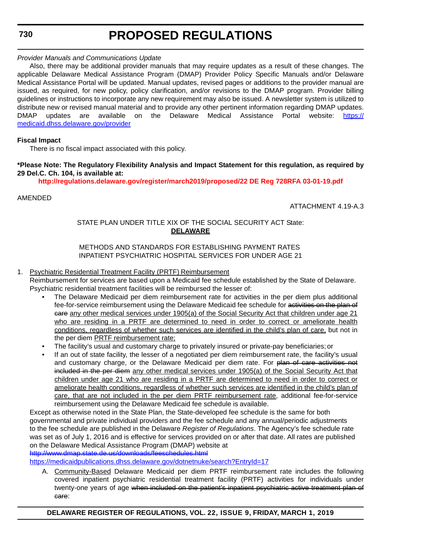**730**

# **PROPOSED REGULATIONS**

# *Provider Manuals and Communications Update*

Also, there may be additional provider manuals that may require updates as a result of these changes. The applicable Delaware Medical Assistance Program (DMAP) Provider Policy Specific Manuals and/or Delaware Medical Assistance Portal will be updated. Manual updates, revised pages or additions to the provider manual are issued, as required, for new policy, policy clarification, and/or revisions to the DMAP program. Provider billing guidelines or instructions to incorporate any new requirement may also be issued. A newsletter system is utilized to distribute new or revised manual material and to provide any other pertinent information regarding DMAP updates. DMAP updates are available on the Delaware Medical Assistance Portal website: [https://](https://medicaid.dhss.delaware.gov/provider) [medicaid.dhss.delaware.gov/provider](https://medicaid.dhss.delaware.gov/provider)

## **Fiscal Impact**

There is no fiscal impact associated with this policy.

### **\*Please Note: The Regulatory Flexibility Analysis and Impact Statement for this regulation, as required by 29 Del.C. Ch. 104, is available at:**

**<http://regulations.delaware.gov/register/march2019/proposed/22 DE Reg 728RFA 03-01-19.pdf>**

## AMENDED

ATTACHMENT 4.19-A.3

# STATE PLAN UNDER TITLE XIX OF THE SOCIAL SECURITY ACT State: **DELAWARE**

METHODS AND STANDARDS FOR ESTABLISHING PAYMENT RATES INPATIENT PSYCHIATRIC HOSPITAL SERVICES FOR UNDER AGE 21

# 1. Psychiatric Residential Treatment Facility (PRTF) Reimbursement

Reimbursement for services are based upon a Medicaid fee schedule established by the State of Delaware. Psychiatric residential treatment facilities will be reimbursed the lesser of:

- The Delaware Medicaid per diem reimbursement rate for activities in the per diem plus additional fee-for-service reimbursement using the Delaware Medicaid fee schedule for activities on the plan of eare any other medical services under 1905(a) of the Social Security Act that children under age 21 who are residing in a PRTF are determined to need in order to correct or ameliorate health conditions, regardless of whether such services are identified in the child's plan of care, but not in the per diem PRTF reimbursement rate;
- The facility's usual and customary charge to privately insured or private-pay beneficiaries; or
- If an out of state facility, the lesser of a negotiated per diem reimbursement rate, the facility's usual and customary charge, or the Delaware Medicaid per diem rate. For plan of care activities not included in the per diem any other medical services under 1905(a) of the Social Security Act that children under age 21 who are residing in a PRTF are determined to need in order to correct or ameliorate health conditions, regardless of whether such services are identified in the child's plan of care, that are not included in the per diem PRTF reimbursement rate, additional fee-for-service reimbursement using the Delaware Medicaid fee schedule is available.

Except as otherwise noted in the State Plan, the State-developed fee schedule is the same for both governmental and private individual providers and the fee schedule and any annual/periodic adjustments to the fee schedule are published in the Delaware *Register of Regulations*. The Agency's fee schedule rate was set as of July 1, 2016 and is effective for services provided on or after that date. All rates are published on the Delaware Medical Assistance Program (DMAP) website at

<http://www.dmap.state.de.us/downloads/feeschedules.html>

<https://medicaidpublications.dhss.delaware.gov/dotnetnuke/search?EntryId=17>

A. Community-Based Delaware Medicaid per diem PRTF reimbursement rate includes the following covered inpatient psychiatric residential treatment facility (PRTF) activities for individuals under twenty-one years of age when included on the patient's inpatient psychiatric active treatment plan of care: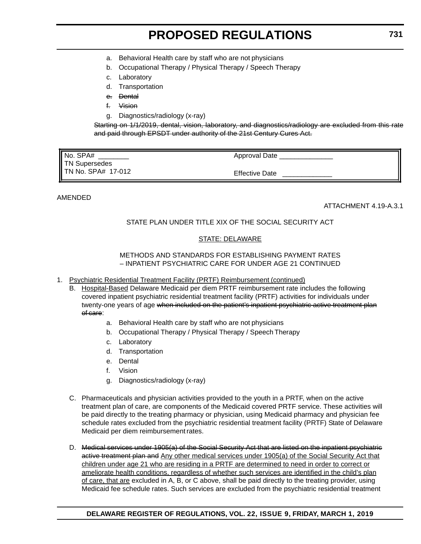- a. Behavioral Health care by staff who are not physicians
- b. Occupational Therapy / Physical Therapy / Speech Therapy
- c. Laboratory
- d. Transportation
- e. Dental
- f. Vision
- g. Diagnostics/radiology (x-ray)

Starting on 1/1/2019, dental, vision, laboratory, and diagnostics/radiology are excluded from this rate and paid through EPSDT under authority of the 21st Century Cures Act.

| Ⅱ No. SPA#                  | Approval Date         |
|-----------------------------|-----------------------|
| <b>TN Supersedes</b>        |                       |
| <b>I</b> TN No. SPA# 17-012 | <b>Effective Date</b> |

# AMENDED

ATTACHMENT 4.19-A.3.1

# STATE PLAN UNDER TITLE XIX OF THE SOCIAL SECURITY ACT

## STATE: DELAWARE

### METHODS AND STANDARDS FOR ESTABLISHING PAYMENT RATES – INPATIENT PSYCHIATRIC CARE FOR UNDER AGE 21 CONTINUED

- 1. Psychiatric Residential Treatment Facility (PRTF) Reimbursement (continued)
	- B. Hospital-Based Delaware Medicaid per diem PRTF reimbursement rate includes the following covered inpatient psychiatric residential treatment facility (PRTF) activities for individuals under twenty-one years of age when included on the patient's inpatient psychiatric active treatment plan of care:
		- a. Behavioral Health care by staff who are not physicians
		- b. Occupational Therapy / Physical Therapy / Speech Therapy
		- c. Laboratory
		- d. Transportation
		- e. Dental
		- f. Vision
		- g. Diagnostics/radiology (x-ray)
	- C. Pharmaceuticals and physician activities provided to the youth in a PRTF, when on the active treatment plan of care, are components of the Medicaid covered PRTF service. These activities will be paid directly to the treating pharmacy or physician, using Medicaid pharmacy and physician fee schedule rates excluded from the psychiatric residential treatment facility (PRTF) State of Delaware Medicaid per diem reimbursement rates.
	- D. Medical services under 1905(a) of the Social Security Act that are listed on the inpatient psychiatric active treatment plan and Any other medical services under 1905(a) of the Social Security Act that children under age 21 who are residing in a PRTF are determined to need in order to correct or ameliorate health conditions, regardless of whether such services are identified in the child's plan of care, that are excluded in A, B, or C above, shall be paid directly to the treating provider, using Medicaid fee schedule rates. Such services are excluded from the psychiatric residential treatment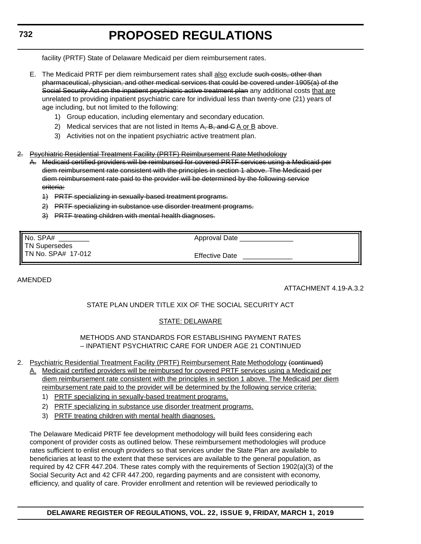facility (PRTF) State of Delaware Medicaid per diem reimbursement rates.

- E. The Medicaid PRTF per diem reimbursement rates shall also exclude such costs, other than pharmaceutical, physician, and other medical services that could be covered under 1905(a) of the Social Security Act on the inpatient psychiatric active treatment plan any additional costs that are unrelated to providing inpatient psychiatric care for individual less than twenty-one (21) years of age including, but not limited to the following:
	- 1) Group education, including elementary and secondary education.
	- 2) Medical services that are not listed in Items A, B, and C A or B above.
	- 3) Activities not on the inpatient psychiatric active treatment plan.
- 2. Psychiatric Residential Treatment Facility (PRTF) Reimbursement Rate Methodology
	- A. Medicaid certified providers will be reimbursed for covered PRTF services using a Medicaid per diem reimbursement rate consistent with the principles in section 1 above. The Medicaid per diem reimbursement rate paid to the provider will be determined by the following service criteria:
		- 1) PRTF specializing in sexually-based treatment programs.
		- 2) PRTF specializing in substance use disorder treatment programs.
		- 3) PRTF treating children with mental health diagnoses.

| No. SPA#           | Approval Date         |
|--------------------|-----------------------|
| TN Supersedes      |                       |
| TN No. SPA# 17-012 | <b>Effective Date</b> |

### AMENDED

ATTACHMENT 4.19-A.3.2

# STATE PLAN UNDER TITLE XIX OF THE SOCIAL SECURITY ACT

# STATE: DELAWARE

METHODS AND STANDARDS FOR ESTABLISHING PAYMENT RATES – INPATIENT PSYCHIATRIC CARE FOR UNDER AGE 21 CONTINUED

- 2. Psychiatric Residential Treatment Facility (PRTF) Reimbursement Rate Methodology (continued)
	- A. Medicaid certified providers will be reimbursed for covered PRTF services using a Medicaid per diem reimbursement rate consistent with the principles in section 1 above. The Medicaid per diem reimbursement rate paid to the provider will be determined by the following service criteria:
		- 1) PRTF specializing in sexually-based treatment programs.
		- 2) PRTF specializing in substance use disorder treatment programs.
		- 3) PRTF treating children with mental health diagnoses.

The Delaware Medicaid PRTF fee development methodology will build fees considering each component of provider costs as outlined below. These reimbursement methodologies will produce rates sufficient to enlist enough providers so that services under the State Plan are available to beneficiaries at least to the extent that these services are available to the general population, as required by 42 CFR 447.204. These rates comply with the requirements of Section 1902(a)(3) of the Social Security Act and 42 CFR 447.200, regarding payments and are consistent with economy, efficiency, and quality of care. Provider enrollment and retention will be reviewed periodically to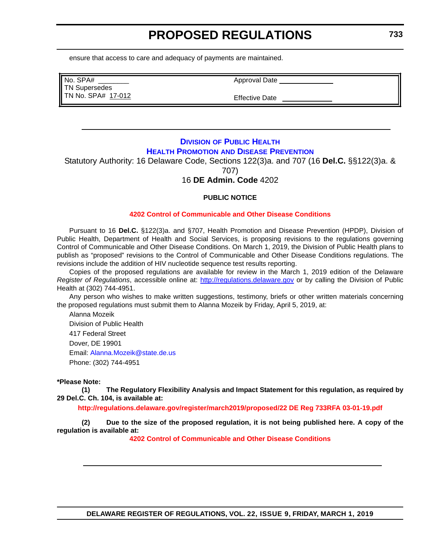<span id="page-30-0"></span>ensure that access to care and adequacy of payments are maintained.

| No. SPA#             |  |
|----------------------|--|
| <b>TN Supersedes</b> |  |
| TN No. SPA# 17-012   |  |

Approval Date

Effective Date

# **DIVISION [OF PUBLIC HEALTH](https://www.dhss.delaware.gov/dhss/dph/index.html) HEALTH PROMOTION [AND DISEASE PREVENTION](https://dhss.delaware.gov/dph/dpc/dpcsection.html)**

Statutory Authority: 16 Delaware Code, Sections 122(3)a. and 707 (16 **Del.C.** §§122(3)a. & 707)

# 16 **DE Admin. Code** 4202

# **PUBLIC NOTICE**

### **[4202 Control of Communicable and Other Disease Conditions](#page-3-0)**

Pursuant to 16 **Del.C.** §122(3)a. and §707, Health Promotion and Disease Prevention (HPDP), Division of Public Health, Department of Health and Social Services, is proposing revisions to the regulations governing Control of Communicable and Other Disease Conditions. On March 1, 2019, the Division of Public Health plans to publish as "proposed" revisions to the Control of Communicable and Other Disease Conditions regulations. The revisions include the addition of HIV nucleotide sequence test results reporting.

Copies of the proposed regulations are available for review in the March 1, 2019 edition of the Delaware *Register of Regulations*, accessible online at: <http://regulations.delaware.gov>or by calling the Division of Public Health at (302) 744-4951.

Any person who wishes to make written suggestions, testimony, briefs or other written materials concerning the proposed regulations must submit them to Alanna Mozeik by Friday, April 5, 2019, at:

Alanna Mozeik Division of Public Health 417 Federal Street Dover, DE 19901 Email: [Alanna.Mozeik@state.de.us](mailto:Alanna.Mozeik@state.de.us) Phone: (302) 744-4951

#### **\*Please Note:**

**(1) The Regulatory Flexibility Analysis and Impact Statement for this regulation, as required by 29 Del.C. Ch. 104, is available at:**

**<http://regulations.delaware.gov/register/march2019/proposed/22 DE Reg 733RFA 03-01-19.pdf>**

**(2) Due to the size of the proposed regulation, it is not being published here. A copy of the regulation is available at:**

**[4202 Control of Communicable and Other Disease Conditions](http://regulations.delaware.gov/register/march2019/proposed/22 DE Reg 733 03-01-19.htm)**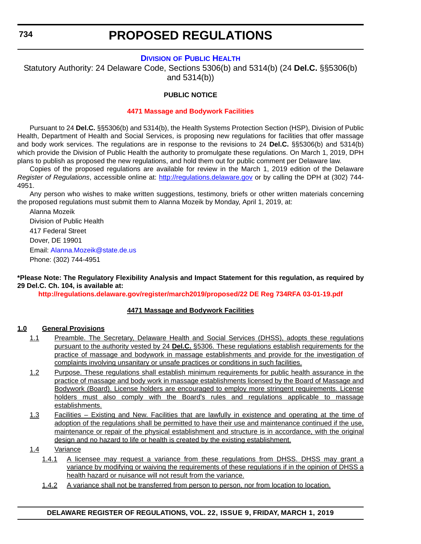# **DIVISION [OF PUBLIC HEALTH](https://www.dhss.delaware.gov/dhss/dph/index.html)**

<span id="page-31-0"></span>Statutory Authority: 24 Delaware Code, Sections 5306(b) and 5314(b) (24 **Del.C.** §§5306(b) and 5314(b))

# **PUBLIC NOTICE**

#### **[4471 Massage and Bodywork Facilities](#page-3-0)**

Pursuant to 24 **Del.C.** §§5306(b) and 5314(b), the Health Systems Protection Section (HSP), Division of Public Health, Department of Health and Social Services, is proposing new regulations for facilities that offer massage and body work services. The regulations are in response to the revisions to 24 **Del.C.** §§5306(b) and 5314(b) which provide the Division of Public Health the authority to promulgate these regulations. On March 1, 2019, DPH plans to publish as proposed the new regulations, and hold them out for public comment per Delaware law.

Copies of the proposed regulations are available for review in the March 1, 2019 edition of the Delaware *Register of Regulations*, accessible online at: <http://regulations.delaware.gov> or by calling the DPH at (302) 744- 4951.

Any person who wishes to make written suggestions, testimony, briefs or other written materials concerning the proposed regulations must submit them to Alanna Mozeik by Monday, April 1, 2019, at:

Alanna Mozeik Division of Public Health 417 Federal Street Dover, DE 19901 Email: [Alanna.Mozeik@state.de.us](mailto:Alanna.Mozeik@state.de.us) Phone: (302) 744-4951

**\*Please Note: The Regulatory Flexibility Analysis and Impact Statement for this regulation, as required by 29 Del.C. Ch. 104, is available at:**

**<http://regulations.delaware.gov/register/march2019/proposed/22 DE Reg 734RFA 03-01-19.pdf>**

#### **4471 Massage and Bodywork Facilities**

#### **1.0 General Provisions**

- 1.1 Preamble. The Secretary, Delaware Health and Social Services (DHSS), adopts these regulations pursuant to the authority vested by 24 **Del.C.** §5306. These regulations establish requirements for the practice of massage and bodywork in massage establishments and provide for the investigation of complaints involving unsanitary or unsafe practices or conditions in such facilities.
- 1.2 Purpose. These regulations shall establish minimum requirements for public health assurance in the practice of massage and body work in massage establishments licensed by the Board of Massage and Bodywork (Board). License holders are encouraged to employ more stringent requirements. License holders must also comply with the Board's rules and regulations applicable to massage establishments.
- 1.3 Facilities Existing and New. Facilities that are lawfully in existence and operating at the time of adoption of the regulations shall be permitted to have their use and maintenance continued if the use, maintenance or repair of the physical establishment and structure is in accordance, with the original design and no hazard to life or health is created by the existing establishment.

#### 1.4 Variance

- 1.4.1 A licensee may request a variance from these regulations from DHSS. DHSS may grant a variance by modifying or waiving the requirements of these regulations if in the opinion of DHSS a health hazard or nuisance will not result from the variance.
- 1.4.2 A variance shall not be transferred from person to person, nor from location to location.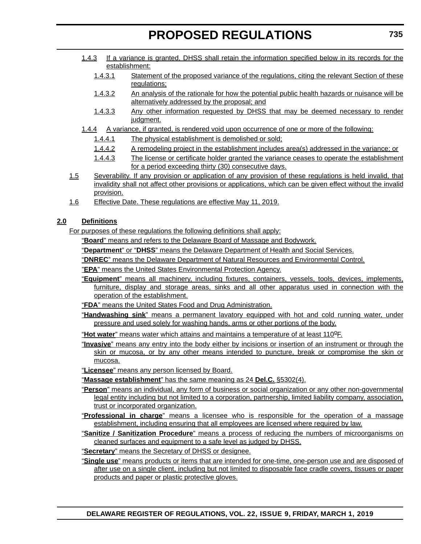- 1.4.3 If a variance is granted, DHSS shall retain the information specified below in its records for the establishment:
	- 1.4.3.1 Statement of the proposed variance of the regulations, citing the relevant Section of these regulations;
	- 1.4.3.2 An analysis of the rationale for how the potential public health hazards or nuisance will be alternatively addressed by the proposal; and
	- 1.4.3.3 Any other information requested by DHSS that may be deemed necessary to render judament.
- 1.4.4 A variance, if granted, is rendered void upon occurrence of one or more of the following:
	- 1.4.4.1 The physical establishment is demolished or sold;
	- 1.4.4.2 A remodeling project in the establishment includes area(s) addressed in the variance; or
	- 1.4.4.3 The license or certificate holder granted the variance ceases to operate the establishment for a period exceeding thirty (30) consecutive days.
- 1.5 Severability. If any provision or application of any provision of these regulations is held invalid, that invalidity shall not affect other provisions or applications, which can be given effect without the invalid provision.
- 1.6 Effective Date. These regulations are effective May 11, 2019.

# **2.0 Definitions**

For purposes of these regulations the following definitions shall apply:

"**Board**" means and refers to the Delaware Board of Massage and Bodywork.

"**Department**" or "**DHSS**" means the Delaware Department of Health and Social Services.

"**DNREC**" means the Delaware Department of Natural Resources and Environmental Control.

"**EPA**" means the United States Environmental Protection Agency.

"**Equipment**" means all machinery, including fixtures, containers, vessels, tools, devices, implements, furniture, display and storage areas, sinks and all other apparatus used in connection with the operation of the establishment.

"**FDA**" means the United States Food and Drug Administration.

"**Handwashing sink**" means a permanent lavatory equipped with hot and cold running water, under pressure and used solely for washing hands, arms or other portions of the body.

"**Hot water**" means water which attains and maintains a temperature of at least 110<sup>o</sup>F.

"**Invasive**" means any entry into the body either by incisions or insertion of an instrument or through the skin or mucosa, or by any other means intended to puncture, break or compromise the skin or mucosa.

"**Licensee**" means any person licensed by Board.

"**Massage establishment**" has the same meaning as 24 **Del.C.** §5302(4).

- "**Person**" means an individual, any form of business or social organization or any other non-governmental legal entity including but not limited to a corporation, partnership, limited liability company, association, trust or incorporated organization.
- "**Professional in charge**" means a licensee who is responsible for the operation of a massage establishment, including ensuring that all employees are licensed where required by law.
- "**Sanitize / Sanitization Procedure**" means a process of reducing the numbers of microorganisms on cleaned surfaces and equipment to a safe level as judged by DHSS.

"**Secretary**" means the Secretary of DHSS or designee.

"**Single use**" means products or items that are intended for one-time, one-person use and are disposed of after use on a single client, including but not limited to disposable face cradle covers, tissues or paper products and paper or plastic protective gloves.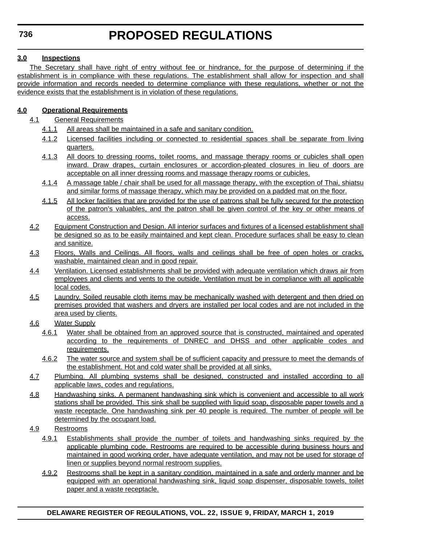# **3.0 Inspections**

The Secretary shall have right of entry without fee or hindrance, for the purpose of determining if the establishment is in compliance with these regulations. The establishment shall allow for inspection and shall provide information and records needed to determine compliance with these regulations, whether or not the evidence exists that the establishment is in violation of these regulations.

# **4.0 Operational Requirements**

- 4.1 General Requirements
	- 4.1.1 All areas shall be maintained in a safe and sanitary condition.
	- 4.1.2 Licensed facilities including or connected to residential spaces shall be separate from living quarters.
	- 4.1.3 All doors to dressing rooms, toilet rooms, and massage therapy rooms or cubicles shall open inward. Draw drapes, curtain enclosures or accordion-pleated closures in lieu of doors are acceptable on all inner dressing rooms and massage therapy rooms or cubicles.
	- 4.1.4 A massage table / chair shall be used for all massage therapy, with the exception of Thai, shiatsu and similar forms of massage therapy, which may be provided on a padded mat on the floor.
	- 4.1.5 All locker facilities that are provided for the use of patrons shall be fully secured for the protection of the patron's valuables, and the patron shall be given control of the key or other means of access.
- 4.2 Equipment Construction and Design. All interior surfaces and fixtures of a licensed establishment shall be designed so as to be easily maintained and kept clean. Procedure surfaces shall be easy to clean and sanitize.
- 4.3 Floors, Walls and Ceilings. All floors, walls and ceilings shall be free of open holes or cracks, washable, maintained clean and in good repair.
- 4.4 Ventilation. Licensed establishments shall be provided with adequate ventilation which draws air from employees and clients and vents to the outside. Ventilation must be in compliance with all applicable local codes.
- 4.5 Laundry. Soiled reusable cloth items may be mechanically washed with detergent and then dried on premises provided that washers and dryers are installed per local codes and are not included in the area used by clients.
- 4.6 Water Supply
	- 4.6.1 Water shall be obtained from an approved source that is constructed, maintained and operated according to the requirements of DNREC and DHSS and other applicable codes and requirements.
	- 4.6.2 The water source and system shall be of sufficient capacity and pressure to meet the demands of the establishment. Hot and cold water shall be provided at all sinks.
- 4.7 Plumbing. All plumbing systems shall be designed, constructed and installed according to all applicable laws, codes and regulations.
- 4.8 Handwashing sinks. A permanent handwashing sink which is convenient and accessible to all work stations shall be provided. This sink shall be supplied with liquid soap, disposable paper towels and a waste receptacle. One handwashing sink per 40 people is required. The number of people will be determined by the occupant load.
- 4.9 Restrooms
	- 4.9.1 Establishments shall provide the number of toilets and handwashing sinks required by the applicable plumbing code. Restrooms are required to be accessible during business hours and maintained in good working order, have adequate ventilation, and may not be used for storage of linen or supplies beyond normal restroom supplies.
	- 4.9.2 Restrooms shall be kept in a sanitary condition, maintained in a safe and orderly manner and be equipped with an operational handwashing sink, liquid soap dispenser, disposable towels, toilet paper and a waste receptacle.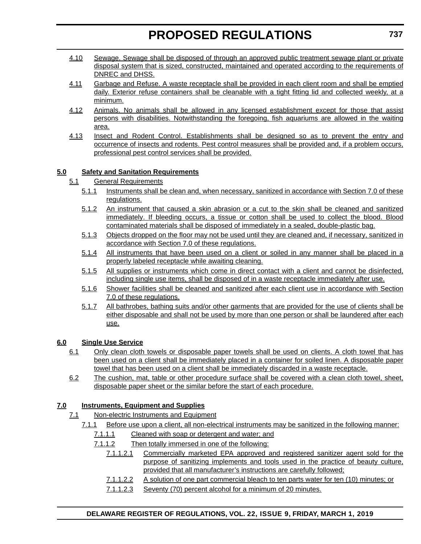- 4.10 Sewage. Sewage shall be disposed of through an approved public treatment sewage plant or private disposal system that is sized, constructed, maintained and operated according to the requirements of DNREC and DHSS.
- 4.11 Garbage and Refuse. A waste receptacle shall be provided in each client room and shall be emptied daily. Exterior refuse containers shall be cleanable with a tight fitting lid and collected weekly, at a minimum.
- 4.12 Animals. No animals shall be allowed in any licensed establishment except for those that assist persons with disabilities. Notwithstanding the foregoing, fish aquariums are allowed in the waiting area.
- 4.13 Insect and Rodent Control. Establishments shall be designed so as to prevent the entry and occurrence of insects and rodents. Pest control measures shall be provided and, if a problem occurs, professional pest control services shall be provided.

# **5.0 Safety and Sanitation Requirements**

- 5.1 General Requirements
	- 5.1.1 Instruments shall be clean and, when necessary, sanitized in accordance with Section 7.0 of these regulations.
	- 5.1.2 An instrument that caused a skin abrasion or a cut to the skin shall be cleaned and sanitized immediately. If bleeding occurs, a tissue or cotton shall be used to collect the blood. Blood contaminated materials shall be disposed of immediately in a sealed, double-plastic bag.
	- 5.1.3 Objects dropped on the floor may not be used until they are cleaned and, if necessary, sanitized in accordance with Section 7.0 of these regulations.
	- 5.1.4 All instruments that have been used on a client or soiled in any manner shall be placed in a properly labeled receptacle while awaiting cleaning.
	- 5.1.5 All supplies or instruments which come in direct contact with a client and cannot be disinfected, including single use items, shall be disposed of in a waste receptacle immediately after use.
	- 5.1.6 Shower facilities shall be cleaned and sanitized after each client use in accordance with Section 7.0 of these regulations.
	- 5.1.7 All bathrobes, bathing suits and/or other garments that are provided for the use of clients shall be either disposable and shall not be used by more than one person or shall be laundered after each use.

# **6.0 Single Use Service**

- 6.1 Only clean cloth towels or disposable paper towels shall be used on clients. A cloth towel that has been used on a client shall be immediately placed in a container for soiled linen. A disposable paper towel that has been used on a client shall be immediately discarded in a waste receptacle.
- 6.2 The cushion, mat, table or other procedure surface shall be covered with a clean cloth towel, sheet, disposable paper sheet or the similar before the start of each procedure.

# **7.0 Instruments, Equipment and Supplies**

- 7.1 Non-electric Instruments and Equipment
	- 7.1.1 Before use upon a client, all non-electrical instruments may be sanitized in the following manner:
		- 7.1.1.1 Cleaned with soap or detergent and water; and
		- 7.1.1.2 Then totally immersed in one of the following:
			- 7.1.1.2.1 Commercially marketed EPA approved and registered sanitizer agent sold for the purpose of sanitizing implements and tools used in the practice of beauty culture, provided that all manufacturer's instructions are carefully followed;
			- 7.1.1.2.2 A solution of one part commercial bleach to ten parts water for ten (10) minutes; or
			- 7.1.1.2.3 Seventy (70) percent alcohol for a minimum of 20 minutes.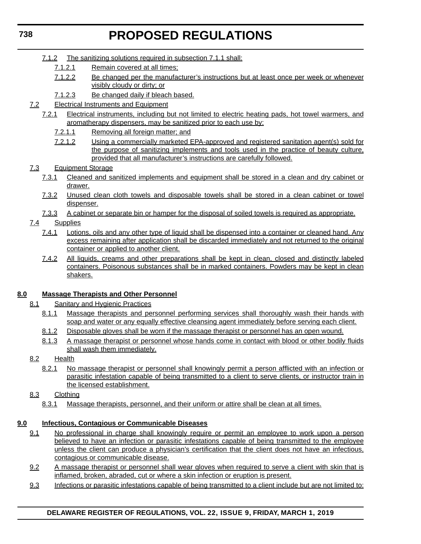- 7.1.2 The sanitizing solutions required in subsection 7.1.1 shall:
	- 7.1.2.1 Remain covered at all times;
	- 7.1.2.2 Be changed per the manufacturer's instructions but at least once per week or whenever visibly cloudy or dirty; or
	- 7.1.2.3 Be changed daily if bleach based.
- 7.2 Electrical Instruments and Equipment
	- 7.2.1 Electrical instruments, including but not limited to electric heating pads, hot towel warmers, and aromatherapy dispensers, may be sanitized prior to each use by:
		- 7.2.1.1 Removing all foreign matter; and
		- 7.2.1.2 Using a commercially marketed EPA-approved and registered sanitation agent(s) sold for the purpose of sanitizing implements and tools used in the practice of beauty culture, provided that all manufacturer's instructions are carefully followed.
- 7.3 Equipment Storage
	- 7.3.1 Cleaned and sanitized implements and equipment shall be stored in a clean and dry cabinet or drawer.
	- 7.3.2 Unused clean cloth towels and disposable towels shall be stored in a clean cabinet or towel dispenser.
	- 7.3.3 A cabinet or separate bin or hamper for the disposal of soiled towels is required as appropriate.
- 7.4 Supplies
	- 7.4.1 Lotions, oils and any other type of liquid shall be dispensed into a container or cleaned hand. Any excess remaining after application shall be discarded immediately and not returned to the original container or applied to another client.
	- 7.4.2 All liquids, creams and other preparations shall be kept in clean, closed and distinctly labeled containers. Poisonous substances shall be in marked containers. Powders may be kept in clean shakers.

# **8.0 Massage Therapists and Other Personnel**

- 8.1 Sanitary and Hygienic Practices
	- 8.1.1 Massage therapists and personnel performing services shall thoroughly wash their hands with soap and water or any equally effective cleansing agent immediately before serving each client.
	- 8.1.2 Disposable gloves shall be worn if the massage therapist or personnel has an open wound.
	- 8.1.3 A massage therapist or personnel whose hands come in contact with blood or other bodily fluids shall wash them immediately.

# 8.2 Health

- 8.2.1 No massage therapist or personnel shall knowingly permit a person afflicted with an infection or parasitic infestation capable of being transmitted to a client to serve clients, or instructor train in the licensed establishment.
- 8.3 Clothing
	- 8.3.1 Massage therapists, personnel, and their uniform or attire shall be clean at all times.

# **9.0 Infectious, Contagious or Communicable Diseases**

- 9.1 No professional in charge shall knowingly require or permit an employee to work upon a person believed to have an infection or parasitic infestations capable of being transmitted to the emplovee unless the client can produce a physician's certification that the client does not have an infectious, contagious or communicable disease.
- 9.2 A massage therapist or personnel shall wear gloves when required to serve a client with skin that is inflamed, broken, abraded, cut or where a skin infection or eruption is present.
- 9.3 Infections or parasitic infestations capable of being transmitted to a client include but are not limited to:

# **DELAWARE REGISTER OF REGULATIONS, VOL. 22, ISSUE 9, FRIDAY, MARCH 1, 2019**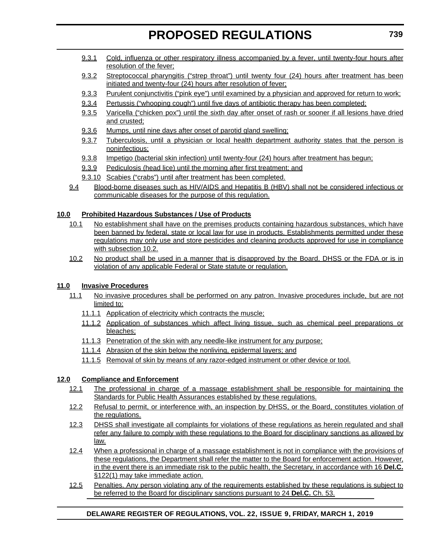- 9.3.1 Cold, influenza or other respiratory illness accompanied by a fever, until twenty-four hours after resolution of the fever;
- 9.3.2 Streptococcal pharyngitis ("strep throat") until twenty four (24) hours after treatment has been initiated and twenty-four (24) hours after resolution of fever;
- 9.3.3 Purulent conjunctivitis ("pink eye") until examined by a physician and approved for return to work;
- 9.3.4 Pertussis ("whooping cough") until five days of antibiotic therapy has been completed;
- 9.3.5 Varicella ("chicken pox") until the sixth day after onset of rash or sooner if all lesions have dried and crusted;
- 9.3.6 Mumps, until nine days after onset of parotid gland swelling;
- 9.3.7 Tuberculosis, until a physician or local health department authority states that the person is noninfectious;
- 9.3.8 Impetigo (bacterial skin infection) until twenty-four (24) hours after treatment has begun;
- 9.3.9 Pediculosis (head lice) until the morning after first treatment; and
- 9.3.10 Scabies ("crabs") until after treatment has been completed.
- 9.4 Blood-borne diseases such as HIV/AIDS and Hepatitis B (HBV) shall not be considered infectious or communicable diseases for the purpose of this regulation.

## **10.0 Prohibited Hazardous Substances / Use of Products**

- 10.1 No establishment shall have on the premises products containing hazardous substances, which have been banned by federal, state or local law for use in products. Establishments permitted under these regulations may only use and store pesticides and cleaning products approved for use in compliance with subsection 10.2.
- 10.2 No product shall be used in a manner that is disapproved by the Board, DHSS or the FDA or is in violation of any applicable Federal or State statute or regulation.

## **11.0 Invasive Procedures**

- 11.1 No invasive procedures shall be performed on any patron. Invasive procedures include, but are not limited to:
	- 11.1.1 Application of electricity which contracts the muscle;
	- 11.1.2 Application of substances which affect living tissue, such as chemical peel preparations or bleaches;
	- 11.1.3 Penetration of the skin with any needle-like instrument for any purpose;
	- 11.1.4 Abrasion of the skin below the nonliving, epidermal layers; and
	- 11.1.5 Removal of skin by means of any razor-edged instrument or other device or tool.

## **12.0 Compliance and Enforcement**

- 12.1 The professional in charge of a massage establishment shall be responsible for maintaining the Standards for Public Health Assurances established by these regulations.
- 12.2 Refusal to permit, or interference with, an inspection by DHSS, or the Board, constitutes violation of the regulations.
- 12.3 DHSS shall investigate all complaints for violations of these regulations as herein regulated and shall refer any failure to comply with these regulations to the Board for disciplinary sanctions as allowed by law.
- 12.4 When a professional in charge of a massage establishment is not in compliance with the provisions of these regulations, the Department shall refer the matter to the Board for enforcement action. However, in the event there is an immediate risk to the public health, the Secretary, in accordance with 16 **Del.C.** §122(1) may take immediate action.
- 12.5 Penalties. Any person violating any of the requirements established by these regulations is subject to be referred to the Board for disciplinary sanctions pursuant to 24 **Del.C.** Ch. 53.

## **DELAWARE REGISTER OF REGULATIONS, VOL. 22, ISSUE 9, FRIDAY, MARCH 1, 2019**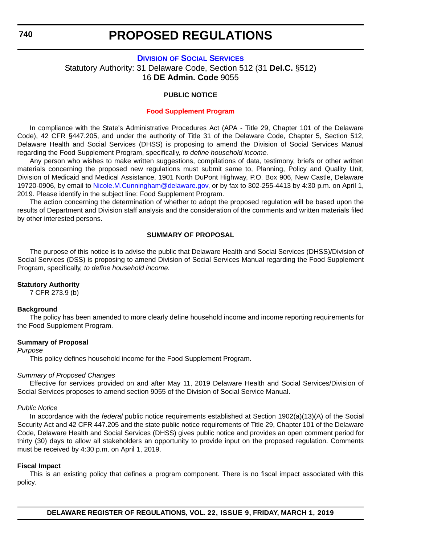#### **DIVISION [OF SOCIAL SERVICES](https://www.dhss.delaware.gov/dhss/dss/)**

Statutory Authority: 31 Delaware Code, Section 512 (31 **Del.C.** §512) 16 **DE Admin. Code** 9055

#### **PUBLIC NOTICE**

#### **[Food Supplement Program](#page-3-0)**

In compliance with the State's Administrative Procedures Act (APA - Title 29, Chapter 101 of the Delaware Code), 42 CFR §447.205, and under the authority of Title 31 of the Delaware Code, Chapter 5, Section 512, Delaware Health and Social Services (DHSS) is proposing to amend the Division of Social Services Manual regarding the Food Supplement Program, specifically*, to define household income.*

Any person who wishes to make written suggestions, compilations of data, testimony, briefs or other written materials concerning the proposed new regulations must submit same to, Planning, Policy and Quality Unit, Division of Medicaid and Medical Assistance, 1901 North DuPont Highway, P.O. Box 906, New Castle, Delaware 19720-0906, by email to [Nicole.M.Cunningham@delaware.gov,](mailto:Nicole.M.Cunningham@delaware.gov) or by fax to 302-255-4413 by 4:30 p.m. on April 1, 2019. Please identify in the subject line: Food Supplement Program.

The action concerning the determination of whether to adopt the proposed regulation will be based upon the results of Department and Division staff analysis and the consideration of the comments and written materials filed by other interested persons.

#### **SUMMARY OF PROPOSAL**

The purpose of this notice is to advise the public that Delaware Health and Social Services (DHSS)/Division of Social Services (DSS) is proposing to amend Division of Social Services Manual regarding the Food Supplement Program, specifically*, to define household income.*

#### **Statutory Authority**

7 CFR 273.9 (b)

#### **Background**

The policy has been amended to more clearly define household income and income reporting requirements for the Food Supplement Program.

#### **Summary of Proposal**

*Purpose*

This policy defines household income for the Food Supplement Program.

#### *Summary of Proposed Changes*

Effective for services provided on and after May 11, 2019 Delaware Health and Social Services/Division of Social Services proposes to amend section 9055 of the Division of Social Service Manual.

#### *Public Notice*

In accordance with the *federal* public notice requirements established at Section 1902(a)(13)(A) of the Social Security Act and 42 CFR 447.205 and the state public notice requirements of Title 29, Chapter 101 of the Delaware Code, Delaware Health and Social Services (DHSS) gives public notice and provides an open comment period for thirty (30) days to allow all stakeholders an opportunity to provide input on the proposed regulation. Comments must be received by 4:30 p.m. on April 1, 2019.

#### **Fiscal Impact**

This is an existing policy that defines a program component. There is no fiscal impact associated with this policy.

**DELAWARE REGISTER OF REGULATIONS, VOL. 22, ISSUE 9, FRIDAY, MARCH 1, 2019**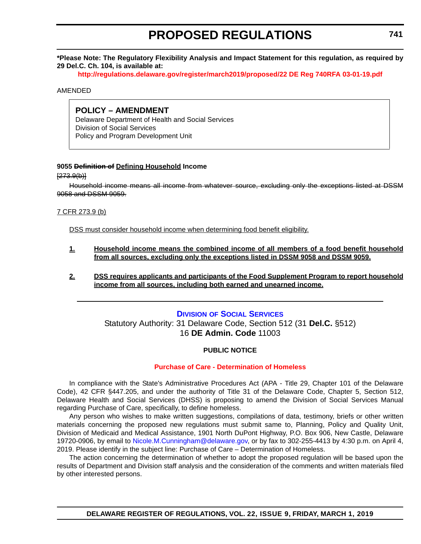**\*Please Note: The Regulatory Flexibility Analysis and Impact Statement for this regulation, as required by 29 Del.C. Ch. 104, is available at:**

**<http://regulations.delaware.gov/register/march2019/proposed/22 DE Reg 740RFA 03-01-19.pdf>**

#### AMENDED

## **POLICY – AMENDMENT**

Delaware Department of Health and Social Services Division of Social Services Policy and Program Development Unit

#### **9055 Definition of Defining Household Income**

 $[273.9(b)]$ 

Household income means all income from whatever source, excluding only the exceptions listed at DSSM 9058 and DSSM 9059.

7 CFR 273.9 (b)

DSS must consider household income when determining food benefit eligibility.

- **1. Household income means the combined income of all members of a food benefit household from all sources, excluding only the exceptions listed in DSSM 9058 and DSSM 9059.**
- **2. DSS requires applicants and participants of the Food Supplement Program to report household income from all sources, including both earned and unearned income.**

#### **DIVISION [OF SOCIAL SERVICES](https://www.dhss.delaware.gov/dhss/dss/)**

Statutory Authority: 31 Delaware Code, Section 512 (31 **Del.C.** §512) 16 **DE Admin. Code** 11003

#### **PUBLIC NOTICE**

### **[Purchase of Care - Determination of Homeless](#page-3-0)**

In compliance with the State's Administrative Procedures Act (APA - Title 29, Chapter 101 of the Delaware Code), 42 CFR §447.205, and under the authority of Title 31 of the Delaware Code, Chapter 5, Section 512, Delaware Health and Social Services (DHSS) is proposing to amend the Division of Social Services Manual regarding Purchase of Care, specifically, to define homeless.

Any person who wishes to make written suggestions, compilations of data, testimony, briefs or other written materials concerning the proposed new regulations must submit same to, Planning, Policy and Quality Unit, Division of Medicaid and Medical Assistance, 1901 North DuPont Highway, P.O. Box 906, New Castle, Delaware 19720-0906, by email to [Nicole.M.Cunningham@delaware.gov,](mailto:Nicole.M.Cunningham@delaware.gov) or by fax to 302-255-4413 by 4:30 p.m. on April 4, 2019. Please identify in the subject line: Purchase of Care – Determination of Homeless.

The action concerning the determination of whether to adopt the proposed regulation will be based upon the results of Department and Division staff analysis and the consideration of the comments and written materials filed by other interested persons.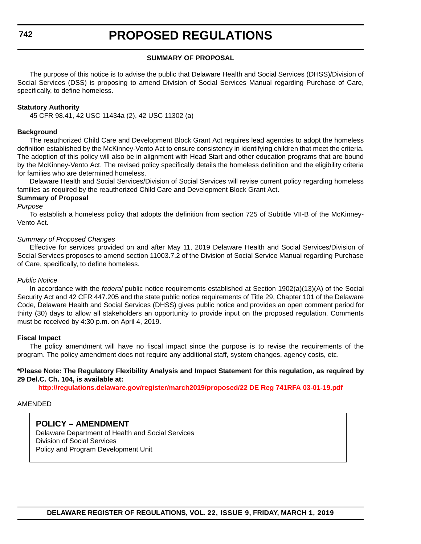#### **SUMMARY OF PROPOSAL**

The purpose of this notice is to advise the public that Delaware Health and Social Services (DHSS)/Division of Social Services (DSS) is proposing to amend Division of Social Services Manual regarding Purchase of Care, specifically, to define homeless.

#### **Statutory Authority**

45 CFR 98.41, 42 USC 11434a (2), 42 USC 11302 (a)

#### **Background**

The reauthorized Child Care and Development Block Grant Act requires lead agencies to adopt the homeless definition established by the McKinney-Vento Act to ensure consistency in identifying children that meet the criteria. The adoption of this policy will also be in alignment with Head Start and other education programs that are bound by the McKinney-Vento Act. The revised policy specifically details the homeless definition and the eligibility criteria for families who are determined homeless.

Delaware Health and Social Services/Division of Social Services will revise current policy regarding homeless families as required by the reauthorized Child Care and Development Block Grant Act.

#### **Summary of Proposal**

#### *Purpose*

To establish a homeless policy that adopts the definition from section 725 of Subtitle VII-B of the McKinney-Vento Act.

#### *Summary of Proposed Changes*

Effective for services provided on and after May 11, 2019 Delaware Health and Social Services/Division of Social Services proposes to amend section 11003.7.2 of the Division of Social Service Manual regarding Purchase of Care, specifically, to define homeless.

#### *Public Notice*

In accordance with the *federal* public notice requirements established at Section 1902(a)(13)(A) of the Social Security Act and 42 CFR 447.205 and the state public notice requirements of Title 29, Chapter 101 of the Delaware Code, Delaware Health and Social Services (DHSS) gives public notice and provides an open comment period for thirty (30) days to allow all stakeholders an opportunity to provide input on the proposed regulation. Comments must be received by 4:30 p.m. on April 4, 2019.

#### **Fiscal Impact**

The policy amendment will have no fiscal impact since the purpose is to revise the requirements of the program. The policy amendment does not require any additional staff, system changes, agency costs, etc.

#### **\*Please Note: The Regulatory Flexibility Analysis and Impact Statement for this regulation, as required by 29 Del.C. Ch. 104, is available at:**

**<http://regulations.delaware.gov/register/march2019/proposed/22 DE Reg 741RFA 03-01-19.pdf>**

#### AMENDED

### **POLICY – AMENDMENT**

Delaware Department of Health and Social Services Division of Social Services Policy and Program Development Unit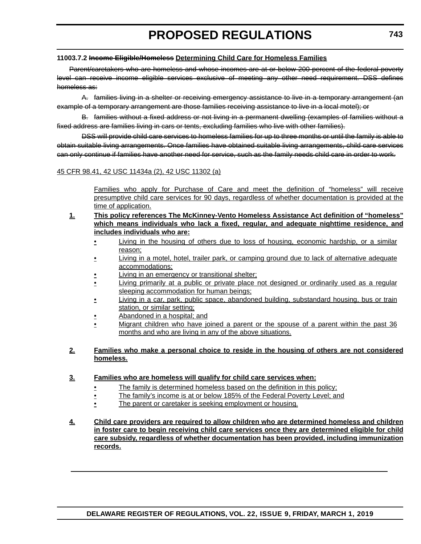#### **11003.7.2 Income Eligible/Homeless Determining Child Care for Homeless Families**

Parent/caretakers who are homeless and whose incomes are at or below 200 percent of the federal poverty level can receive income eligible services exclusive of meeting any other need requirement. DSS defines homeless as:

A. families living in a shelter or receiving emergency assistance to live in a temporary arrangement (an example of a temporary arrangement are those families receiving assistance to live in a local motel); or

B. families without a fixed address or not living in a permanent dwelling (examples of families without a fixed address are families living in cars or tents, excluding families who live with other families).

DSS will provide child care services to homeless families for up to three months or until the family is able to obtain suitable living arrangements. Once families have obtained suitable living arrangements, child care services can only continue if families have another need for service, such as the family needs child care in order to work.

### 45 CFR 98.41, 42 USC 11434a (2), 42 USC 11302 (a)

Families who apply for Purchase of Care and meet the definition of "homeless" will receive presumptive child care services for 90 days, regardless of whether documentation is provided at the time of application.

- **1. This policy references The McKinney-Vento Homeless Assistance Act definition of "homeless" which means individuals who lack a fixed, regular, and adequate nighttime residence, and includes individuals who are:**
	- Living in the housing of others due to loss of housing, economic hardship, or a similar reason;
	- Living in a motel, hotel, trailer park, or camping ground due to lack of alternative adequate accommodations;
	- Living in an emergency or transitional shelter;
	- Living primarily at a public or private place not designed or ordinarily used as a regular sleeping accommodation for human beings;
	- Living in a car, park, public space, abandoned building, substandard housing, bus or train station, or similar setting;
	- Abandoned in a hospital; and
	- Migrant children who have joined a parent or the spouse of a parent within the past 36 months and who are living in any of the above situations.

#### **2. Families who make a personal choice to reside in the housing of others are not considered homeless.**

### **3. Families who are homeless will qualify for child care services when:**

- The family is determined homeless based on the definition in this policy;
- The family's income is at or below 185% of the Federal Poverty Level; and
- The parent or caretaker is seeking employment or housing.
- **4. Child care providers are required to allow children who are determined homeless and children in foster care to begin receiving child care services once they are determined eligible for child care subsidy, regardless of whether documentation has been provided, including immunization records.**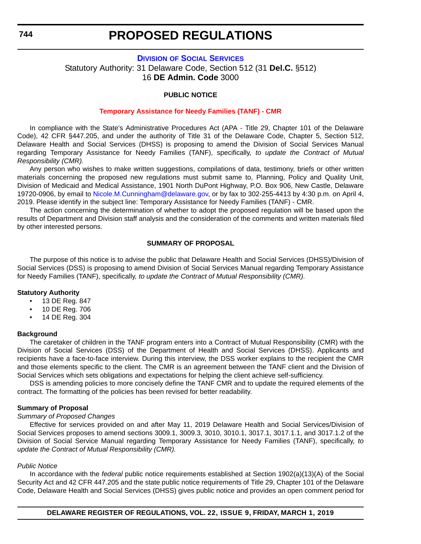#### **DIVISION [OF SOCIAL SERVICES](https://www.dhss.delaware.gov/dhss/dss/)**

Statutory Authority: 31 Delaware Code, Section 512 (31 **Del.C.** §512) 16 **DE Admin. Code** 3000

#### **PUBLIC NOTICE**

#### **[Temporary Assistance for Needy Families \(TANF\) - CMR](#page-3-0)**

In compliance with the State's Administrative Procedures Act (APA - Title 29, Chapter 101 of the Delaware Code), 42 CFR §447.205, and under the authority of Title 31 of the Delaware Code, Chapter 5, Section 512, Delaware Health and Social Services (DHSS) is proposing to amend the Division of Social Services Manual regarding Temporary Assistance for Needy Families (TANF), specifically*, to update the Contract of Mutual Responsibility (CMR).*

Any person who wishes to make written suggestions, compilations of data, testimony, briefs or other written materials concerning the proposed new regulations must submit same to, Planning, Policy and Quality Unit, Division of Medicaid and Medical Assistance, 1901 North DuPont Highway, P.O. Box 906, New Castle, Delaware 19720-0906, by email to [Nicole.M.Cunningham@delaware.gov,](mailto:Nicole.M.Cunningham@delaware.gov) or by fax to 302-255-4413 by 4:30 p.m. on April 4, 2019. Please identify in the subject line: Temporary Assistance for Needy Families (TANF) - CMR.

The action concerning the determination of whether to adopt the proposed regulation will be based upon the results of Department and Division staff analysis and the consideration of the comments and written materials filed by other interested persons.

#### **SUMMARY OF PROPOSAL**

The purpose of this notice is to advise the public that Delaware Health and Social Services (DHSS)/Division of Social Services (DSS) is proposing to amend Division of Social Services Manual regarding Temporary Assistance for Needy Families (TANF), specifically*, to update the Contract of Mutual Responsibility (CMR).*

#### **Statutory Authority**

- 13 DE Reg. 847
- 10 DE Reg. 706
- 14 DE Reg. 304

#### **Background**

The caretaker of children in the TANF program enters into a Contract of Mutual Responsibility (CMR) with the Division of Social Services (DSS) of the Department of Health and Social Services (DHSS). Applicants and recipients have a face-to-face interview. During this interview, the DSS worker explains to the recipient the CMR and those elements specific to the client. The CMR is an agreement between the TANF client and the Division of Social Services which sets obligations and expectations for helping the client achieve self-sufficiency.

DSS is amending policies to more concisely define the TANF CMR and to update the required elements of the contract. The formatting of the policies has been revised for better readability.

#### **Summary of Proposal**

#### *Summary of Proposed Changes*

Effective for services provided on and after May 11, 2019 Delaware Health and Social Services/Division of Social Services proposes to amend sections 3009.1, 3009.3, 3010, 3010.1, 3017.1, 3017.1.1, and 3017.1.2 of the Division of Social Service Manual regarding Temporary Assistance for Needy Families (TANF), specifically*, to update the Contract of Mutual Responsibility (CMR).*

#### *Public Notice*

In accordance with the *federal* public notice requirements established at Section 1902(a)(13)(A) of the Social Security Act and 42 CFR 447.205 and the state public notice requirements of Title 29, Chapter 101 of the Delaware Code, Delaware Health and Social Services (DHSS) gives public notice and provides an open comment period for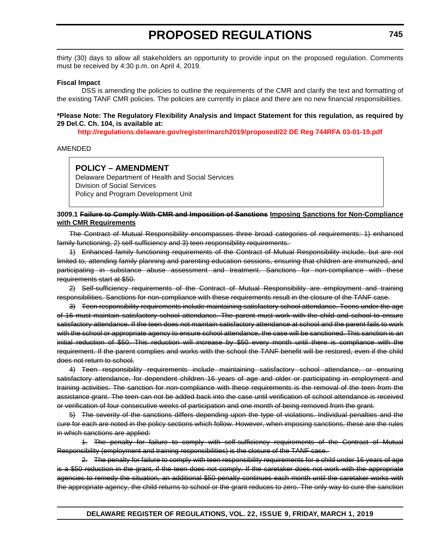thirty (30) days to allow all stakeholders an opportunity to provide input on the proposed regulation. Comments must be received by 4:30 p.m. on April 4, 2019.

#### **Fiscal Impact**

DSS is amending the policies to outline the requirements of the CMR and clarify the text and formatting of the existing TANF CMR policies. The policies are currently in place and there are no new financial responsibilities.

#### **\*Please Note: The Regulatory Flexibility Analysis and Impact Statement for this regulation, as required by 29 Del.C. Ch. 104, is available at:**

**<http://regulations.delaware.gov/register/march2019/proposed/22 DE Reg 744RFA 03-01-19.pdf>**

#### AMENDED

## **POLICY – AMENDMENT**

Delaware Department of Health and Social Services Division of Social Services Policy and Program Development Unit

#### **3009.1 Failure to Comply With CMR and Imposition of Sanctions Imposing Sanctions for Non-Compliance with CMR Requirements**

The Contract of Mutual Responsibility encompasses three broad categories of requirements: 1) enhanced family functioning, 2) self-sufficiency and 3) teen responsibility requirements.

1) Enhanced family functioning requirements of the Contract of Mutual Responsibility include, but are not limited to, attending family planning and parenting education sessions, ensuring that children are immunized, and participating in substance abuse assessment and treatment. Sanctions for non-compliance with these requirements start at \$50.

2) Self-sufficiency requirements of the Contract of Mutual Responsibility are employment and training responsibilities. Sanctions for non-compliance with these requirements result in the closure of the TANF case.

3) Teen responsibility requirements include maintaining satisfactory school attendance. Teens under the age of 16 must maintain satisfactory school attendance. The parent must work with the child and school to ensure satisfactory attendance. If the teen does not maintain satisfactory attendance at school and the parent fails to work with the school or appropriate agency to ensure school attendance, the case will be sanctioned. This sanction is an initial reduction of \$50. This reduction will increase by \$50 every month until there is compliance with the requirement. If the parent complies and works with the school the TANF benefit will be restored, even if the child does not return to school.

4) Teen responsibility requirements include maintaining satisfactory school attendance, or ensuring satisfactory attendance, for dependent children 16 years of age and older or participating in employment and training activities. The sanction for non-compliance with these requirements is the removal of the teen from the assistance grant. The teen can not be added back into the case until verification of school attendance is received or verification of four consecutive weeks of participation and one month of being removed from the grant.

5) The severity of the sanctions differs depending upon the type of violations. Individual penalties and the cure for each are noted in the policy sections which follow. However, when imposing sanctions, these are the rules in which sanctions are applied:

1. The penalty for failure to comply with self-sufficiency requirements of the Contract of Mutual Responsibility (employment and training responsibilities) is the closure of the TANF case.

2. The penalty for failure to comply with teen responsibility requirements for a child under 16 years of age is a \$50 reduction in the grant, if the teen does not comply. If the caretaker does not work with the appropriate agencies to remedy the situation, an additional \$50 penalty continues each month until the caretaker works with the appropriate agency, the child returns to school or the grant reduces to zero. The only way to cure the sanction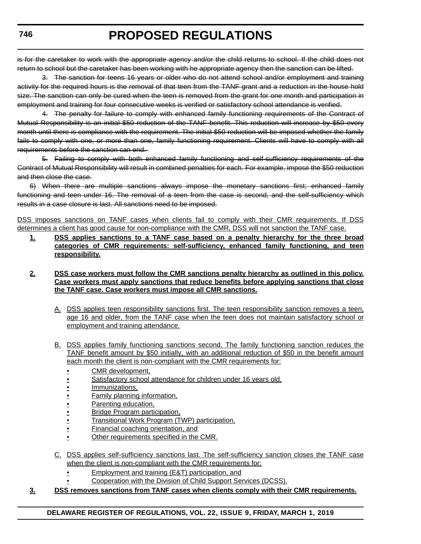is for the caretaker to work with the appropriate agency and/or the child returns to school. If the child does not return to school but the caretaker has been working with he appropriate agency then the sanction can be lifted.

3. The sanction for teens 16 years or older who do not attend school and/or employment and training activity for the required hours is the removal of that teen from the TANF grant and a reduction in the house hold size. The sanction can only be cured when the teen is removed from the grant for one month and participation in employment and training for four consecutive weeks is verified or satisfactory school attendance is verified.

4. The penalty for failure to comply with enhanced family functioning requirements of the Contract of Mutual Responsibility is an initial \$50 reduction of the TANF benefit. This reduction will increase by \$50 every month until there is compliance with the requirement. The initial \$50 reduction will be imposed whether the family fails to comply with one, or more than one, family functioning requirement. Clients will have to comply with all requirements before the sanction can end.

5. Failing to comply with both enhanced family functioning and self-sufficiency requirements of the Contract of Mutual Responsibility will result in combined penalties for each. For example, impose the \$50 reduction and then close the case.

6) When there are multiple sanctions always impose the monetary sanctions first; enhanced family functioning and teen under 16. The removal of a teen from the case is second, and the self-sufficiency which results in a case closure is last. All sanctions need to be imposed.

DSS imposes sanctions on TANF cases when clients fail to comply with their CMR requirements. If DSS determines a client has good cause for non-compliance with the CMR, DSS will not sanction the TANF case.

**1. DSS applies sanctions to a TANF case based on a penalty hierarchy for the three broad categories of CMR requirements: self-sufficiency, enhanced family functioning, and teen responsibility.**

### **2. DSS case workers must follow the CMR sanctions penalty hierarchy as outlined in this policy. Case workers must apply sanctions that reduce benefits before applying sanctions that close the TANF case. Case workers must impose all CMR sanctions.**

- A. DSS applies teen responsibility sanctions first. The teen responsibility sanction removes a teen, age 16 and older, from the TANF case when the teen does not maintain satisfactory school or employment and training attendance.
- B. DSS applies family functioning sanctions second. The family functioning sanction reduces the TANF benefit amount by \$50 initially, with an additional reduction of \$50 in the benefit amount each month the client is non-compliant with the CMR requirements for:
	- CMR development,
	- Satisfactory school attendance for children under 16 years old.
	- Immunizations,
	- Family planning information,
	- Parenting education,
	- Bridge Program participation,
	- Transitional Work Program (TWP) participation,
	- Financial coaching orientation, and
	- Other requirements specified in the CMR.
- C. DSS applies self-sufficiency sanctions last. The self-sufficiency sanction closes the TANF case when the client is non-compliant with the CMR requirements for:
	- **Employment and training (E&T) participation, and**
	- Cooperation with the Division of Child Support Services (DCSS).

## **3. DSS removes sanctions from TANF cases when clients comply with their CMR requirements.**

**746**

## **DELAWARE REGISTER OF REGULATIONS, VOL. 22, ISSUE 9, FRIDAY, MARCH 1, 2019**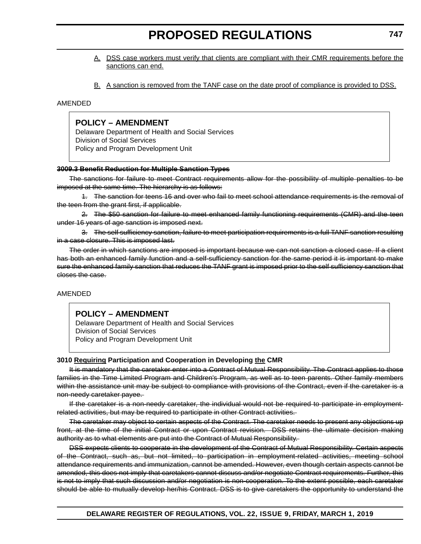- A. DSS case workers must verify that clients are compliant with their CMR requirements before the sanctions can end.
- B. A sanction is removed from the TANF case on the date proof of compliance is provided to DSS.

#### AMENDED

## **POLICY – AMENDMENT**

Delaware Department of Health and Social Services Division of Social Services Policy and Program Development Unit

#### **3009.3 Benefit Reduction for Multiple Sanction Types**

The sanctions for failure to meet Contract requirements allow for the possibility of multiple penalties to be imposed at the same time. The hierarchy is as follows:

1. The sanction for teens 16 and over who fail to meet school attendance requirements is the removal of the teen from the grant first, if applicable.

2. The \$50 sanction for failure to meet enhanced family functioning requirements (CMR) and the teen under 16 years of age sanction is imposed next.

3. The self sufficiency sanction, failure to meet participation requirements is a full TANF sanction resulting in a case closure. This is imposed last.

The order in which sanctions are imposed is important because we can not sanction a closed case. If a client has both an enhanced family function and a self-sufficiency sanction for the same period it is important to make sure the enhanced family sanction that reduces the TANF grant is imposed prior to the self sufficiency sanction that closes the case.

#### AMENDED

## **POLICY – AMENDMENT**

Delaware Department of Health and Social Services Division of Social Services Policy and Program Development Unit

#### **3010 Requiring Participation and Cooperation in Developing the CMR**

It is mandatory that the caretaker enter into a Contract of Mutual Responsibility. The Contract applies to those families in the Time Limited Program and Children's Program, as well as to teen parents. Other family members within the assistance unit may be subject to compliance with provisions of the Contract, even if the caretaker is a non-needy caretaker payee.

If the caretaker is a non-needy caretaker, the individual would not be required to participate in employmentrelated activities, but may be required to participate in other Contract activities.

The caretaker may object to certain aspects of the Contract. The caretaker needs to present any objections up front, at the time of the initial Contract or upon Contract revision. DSS retains the ultimate decision making authority as to what elements are put into the Contract of Mutual Responsibility.

DSS expects clients to cooperate in the development of the Contract of Mutual Responsibility. Certain aspects of the Contract, such as, but not limited, to participation in employment-related activities, meeting school attendance requirements and immunization, cannot be amended. However, even though certain aspects cannot be amended, this does not imply that caretakers cannot discuss and/or negotiate Contract requirements. Further, this is not to imply that such discussion and/or negotiation is non-cooperation. To the extent possible, each caretaker should be able to mutually develop her/his Contract. DSS is to give caretakers the opportunity to understand the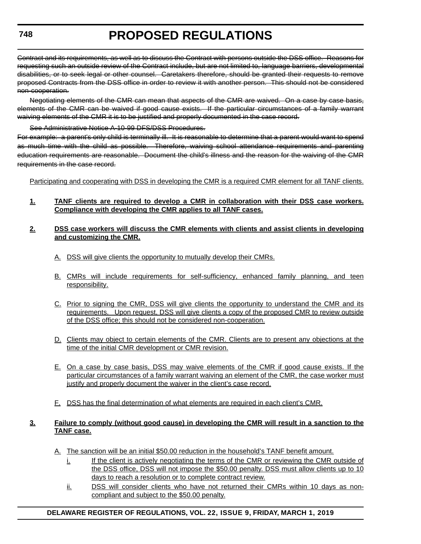Contract and its requirements, as well as to discuss the Contract with persons outside the DSS office. Reasons for requesting such an outside review of the Contract include, but are not limited to, language barriers, developmental disabilities, or to seek legal or other counsel. Caretakers therefore, should be granted their requests to remove proposed Contracts from the DSS office in order to review it with another person. This should not be considered non-cooperation.

Negotiating elements of the CMR can mean that aspects of the CMR are waived. On a case by case basis, elements of the CMR can be waived if good cause exists. If the particular circumstances of a family warrant waiving elements of the CMR it is to be justified and properly documented in the case record.

See Administrative Notice A-10-99 DFS/DSS Procedures.

For example: a parent's only child is terminally ill. It is reasonable to determine that a parent would want to spend as much time with the child as possible. Therefore, waiving school attendance requirements and parenting education requirements are reasonable. Document the child's illness and the reason for the waiving of the CMR requirements in the case record.

Participating and cooperating with DSS in developing the CMR is a required CMR element for all TANF clients.

**1. TANF clients are required to develop a CMR in collaboration with their DSS case workers. Compliance with developing the CMR applies to all TANF cases.**

#### **2. DSS case workers will discuss the CMR elements with clients and assist clients in developing and customizing the CMR.**

- A. DSS will give clients the opportunity to mutually develop their CMRs.
- B. CMRs will include requirements for self-sufficiency, enhanced family planning, and teen responsibility.
- C. Prior to signing the CMR, DSS will give clients the opportunity to understand the CMR and its requirements. Upon request, DSS will give clients a copy of the proposed CMR to review outside of the DSS office; this should not be considered non-cooperation.
- D. Clients may object to certain elements of the CMR. Clients are to present any objections at the time of the initial CMR development or CMR revision.
- E. On a case by case basis, DSS may waive elements of the CMR if good cause exists. If the particular circumstances of a family warrant waiving an element of the CMR, the case worker must justify and properly document the waiver in the client's case record.
- F. DSS has the final determination of what elements are required in each client's CMR.

### **3. Failure to comply (without good cause) in developing the CMR will result in a sanction to the TANF case.**

- A. The sanction will be an initial \$50.00 reduction in the household's TANF benefit amount.
	- i. If the client is actively negotiating the terms of the CMR or reviewing the CMR outside of the DSS office, DSS will not impose the \$50.00 penalty. DSS must allow clients up to 10 days to reach a resolution or to complete contract review.
	- ii. DSS will consider clients who have not returned their CMRs within 10 days as noncompliant and subject to the \$50.00 penalty.

## **DELAWARE REGISTER OF REGULATIONS, VOL. 22, ISSUE 9, FRIDAY, MARCH 1, 2019**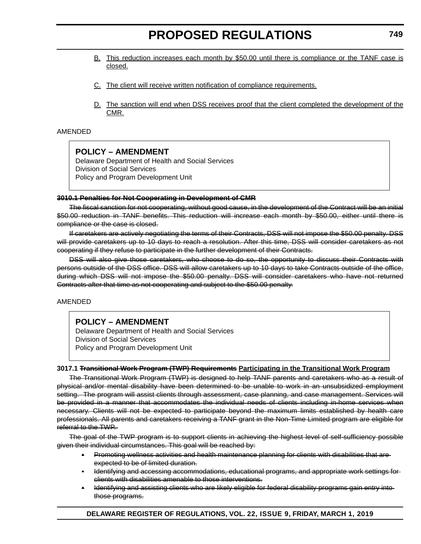- B. This reduction increases each month by \$50.00 until there is compliance or the TANF case is closed.
- C. The client will receive written notification of compliance requirements.
- D. The sanction will end when DSS receives proof that the client completed the development of the CMR.

#### AMENDED

## **POLICY – AMENDMENT**

Delaware Department of Health and Social Services Division of Social Services Policy and Program Development Unit

#### **3010.1 Penalties for Not Cooperating in Development of CMR**

The fiscal sanction for not cooperating, without good cause, in the development of the Contract will be an initial \$50.00 reduction in TANF benefits. This reduction will increase each month by \$50.00, either until there is compliance or the case is closed.

If caretakers are actively negotiating the terms of their Contracts, DSS will not impose the \$50.00 penalty. DSS will provide caretakers up to 10 days to reach a resolution. After this time, DSS will consider caretakers as not cooperating if they refuse to participate in the further development of their Contracts.

DSS will also give those caretakers, who choose to do so, the opportunity to discuss their Contracts with persons outside of the DSS office. DSS will allow caretakers up to 10 days to take Contracts outside of the office, during which DSS will not impose the \$50.00 penalty. DSS will consider caretakers who have not returned Contracts after that time as not cooperating and subject to the \$50.00 penalty.

#### AMENDED

## **POLICY – AMENDMENT**

Delaware Department of Health and Social Services Division of Social Services Policy and Program Development Unit

#### **3017.1 Transitional Work Program (TWP) Requirements Participating in the Transitional Work Program**

The Transitional Work Program (TWP) is designed to help TANF parents and caretakers who as a result of physical and/or mental disability have been determined to be unable to work in an unsubsidized employment setting. The program will assist clients through assessment, case planning, and case management. Services will be provided in a manner that accommodates the individual needs of clients including in-home services when necessary. Clients will not be expected to participate beyond the maximum limits established by health care professionals. All parents and caretakers receiving a TANF grant in the Non-Time Limited program are eligible for referral to the TWP.

The goal of the TWP program is to support clients in achieving the highest level of self-sufficiency possible given their individual circumstances. This goal will be reached by:

- Promoting wellness activities and health maintenance planning for clients with disabilities that areexpected to be of limited duration.
- Identifying and accessing accommodations, educational programs, and appropriate work settings for clients with disabilities amenable to those interventions.
- Identifying and assisting clients who are likely eligible for federal disability programs gain entry into those programs.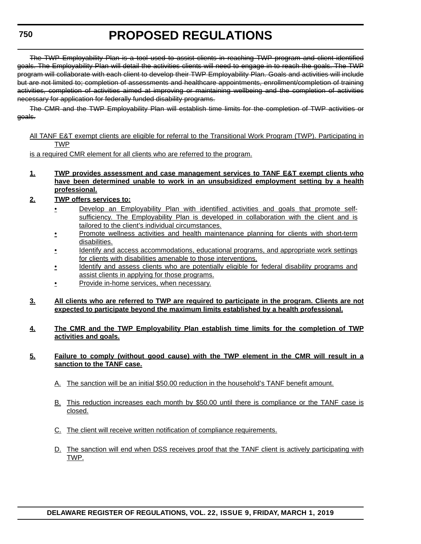# **PROPOSED REGULATIONS**

The TWP Employability Plan is a tool used to assist clients in reaching TWP program and client identified goals. The Employability Plan will detail the activities clients will need to engage in to reach the goals. The TWP program will collaborate with each client to develop their TWP Employability Plan. Goals and activities will include but are not limited to; completion of assessments and healthcare appointments, enrollment/completion of training activities, completion of activities aimed at improving or maintaining wellbeing and the completion of activities necessary for application for federally funded disability programs.

The CMR and the TWP Employability Plan will establish time limits for the completion of TWP activities or goals.

All TANF E&T exempt clients are eligible for referral to the Transitional Work Program (TWP). Participating in TWP

is a required CMR element for all clients who are referred to the program.

- **1. TWP provides assessment and case management services to TANF E&T exempt clients who have been determined unable to work in an unsubsidized employment setting by a health professional.**
- **2. TWP offers services to:**
	- Develop an Employability Plan with identified activities and goals that promote selfsufficiency. The Employability Plan is developed in collaboration with the client and is tailored to the client's individual circumstances.
	- Promote wellness activities and health maintenance planning for clients with short-term disabilities.
	- Identify and access accommodations, educational programs, and appropriate work settings for clients with disabilities amenable to those interventions.
	- Identify and assess clients who are potentially eligible for federal disability programs and assist clients in applying for those programs.
	- **Provide in-home services, when necessary.**
- **3. All clients who are referred to TWP are required to participate in the program. Clients are not expected to participate beyond the maximum limits established by a health professional.**
- **4. The CMR and the TWP Employability Plan establish time limits for the completion of TWP activities and goals.**

#### **5. Failure to comply (without good cause) with the TWP element in the CMR will result in a sanction to the TANF case.**

- A. The sanction will be an initial \$50.00 reduction in the household's TANF benefit amount.
- B. This reduction increases each month by \$50.00 until there is compliance or the TANF case is closed.
- C. The client will receive written notification of compliance requirements.
- D. The sanction will end when DSS receives proof that the TANF client is actively participating with TWP.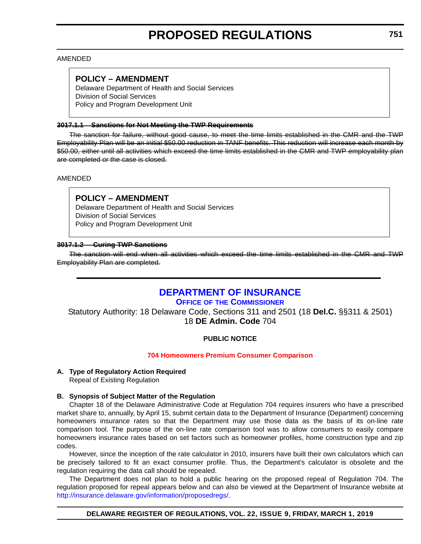### AMENDED

## **POLICY – AMENDMENT**

Delaware Department of Health and Social Services Division of Social Services Policy and Program Development Unit

#### **3017.1.1 Sanctions for Not Meeting the TWP Requirements**

The sanction for failure, without good cause, to meet the time limits established in the CMR and the TWP Employability Plan will be an initial \$50.00 reduction in TANF benefits. This reduction will increase each month by \$50.00, either until all activities which exceed the time limits established in the CMR and TWP employability plan are completed or the case is closed.

AMENDED

## **POLICY – AMENDMENT**

Delaware Department of Health and Social Services Division of Social Services Policy and Program Development Unit

#### **3017.1.2 Curing TWP Sanctions**

The sanction will end when all activities which exceed the time limits established in the CMR and TWP Employability Plan are completed.

## **[DEPARTMENT OF INSURANCE](https://insurance.delaware.gov/)**

**OFFICE OF [THE COMMISSIONER](https://insurance.delaware.gov/bio/)**

Statutory Authority: 18 Delaware Code, Sections 311 and 2501 (18 **Del.C.** §§311 & 2501) 18 **DE Admin. Code** 704

## **PUBLIC NOTICE**

#### **[704 Homeowners Premium Consumer Comparison](#page-3-0)**

#### **A. Type of Regulatory Action Required**

Repeal of Existing Regulation

## **B. Synopsis of Subject Matter of the Regulation**

Chapter 18 of the Delaware Administrative Code at Regulation 704 requires insurers who have a prescribed market share to, annually, by April 15, submit certain data to the Department of Insurance (Department) concerning homeowners insurance rates so that the Department may use those data as the basis of its on-line rate comparison tool. The purpose of the on-line rate comparison tool was to allow consumers to easily compare homeowners insurance rates based on set factors such as homeowner profiles, home construction type and zip codes.

However, since the inception of the rate calculator in 2010, insurers have built their own calculators which can be precisely tailored to fit an exact consumer profile. Thus, the Department's calculator is obsolete and the regulation requiring the data call should be repealed.

The Department does not plan to hold a public hearing on the proposed repeal of Regulation 704. The regulation proposed for repeal appears below and can also be viewed at the Department of Insurance website at <http://insurance.delaware.gov/information/proposedregs/>.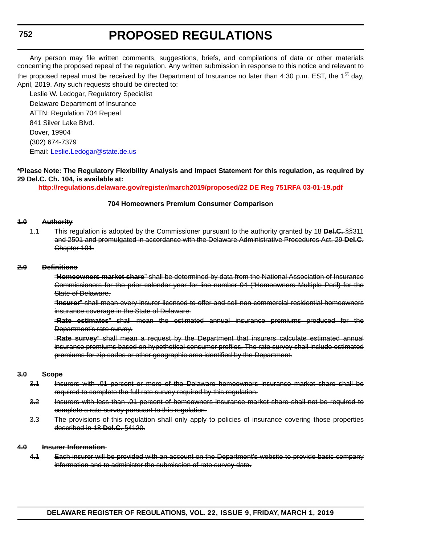## **PROPOSED REGULATIONS**

Any person may file written comments, suggestions, briefs, and compilations of data or other materials concerning the proposed repeal of the regulation. Any written submission in response to this notice and relevant to the proposed repeal must be received by the Department of Insurance no later than 4:30 p.m. EST, the 1<sup>st</sup> day, April, 2019. Any such requests should be directed to:

Leslie W. Ledogar, Regulatory Specialist Delaware Department of Insurance ATTN: Regulation 704 Repeal 841 Silver Lake Blvd. Dover, 19904 (302) 674-7379 Email: [Leslie.Ledogar@state.de.us](mailto:Leslie.Ledogar@state.de.us)

#### **\*Please Note: The Regulatory Flexibility Analysis and Impact Statement for this regulation, as required by 29 Del.C. Ch. 104, is available at:**

**<http://regulations.delaware.gov/register/march2019/proposed/22 DE Reg 751RFA 03-01-19.pdf>**

#### **704 Homeowners Premium Consumer Comparison**

#### **1.0 Authority**

1.1 This regulation is adopted by the Commissioner pursuant to the authority granted by 18 **Del.C.** §§311 and 2501 and promulgated in accordance with the Delaware Administrative Procedures Act, 29 **Del.C.** Chapter 101.

#### **2.0 Definitions**

"**Homeowners market share**" shall be determined by data from the National Association of Insurance Commissioners for the prior calendar year for line number 04 ("Homeowners Multiple Peril) for the State of Delaware.

"**Insurer**" shall mean every insurer licensed to offer and sell non-commercial residential homeowners insurance coverage in the State of Delaware.

"**Rate estimates**" shall mean the estimated annual insurance premiums produced for the Department's rate survey.

"**Rate survey**" shall mean a request by the Department that insurers calculate estimated annual insurance premiums based on hypothetical consumer profiles. The rate survey shall include estimated premiums for zip codes or other geographic area identified by the Department.

#### **3.0 Scope**

- 3.1 Insurers with .01 percent or more of the Delaware homeowners insurance market share shall be required to complete the full rate survey required by this regulation.
- 3.2 Insurers with less than .01 percent of homeowners insurance market share shall not be required to complete a rate survey pursuant to this regulation.
- 3.3 The provisions of this regulation shall only apply to policies of insurance covering those properties described in 18 **Del.C.** §4120.

#### **4.0 Insurer Information**

4.1 Each insurer will be provided with an account on the Department's website to provide basic company information and to administer the submission of rate survey data.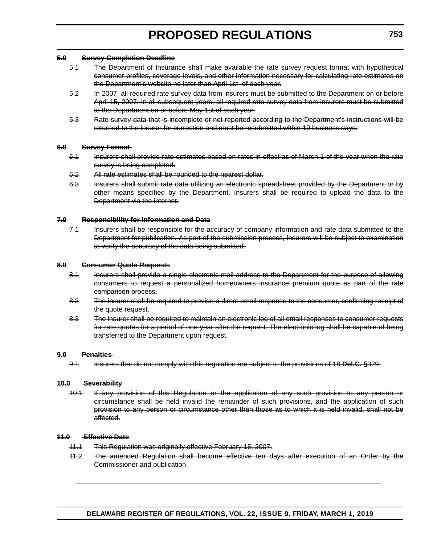#### **5.0 Survey Completion Deadline**

- 5.1 The Department of Insurance shall make available the rate survey request format with hypothetical consumer profiles, coverage levels, and other information necessary for calculating rate estimates on the Department's website no later than April 1st of each year.
- 5.2 In 2007, all required rate survey data from insurers must be submitted to the Department on or before April 15, 2007. In all subsequent years, all required rate survey data from insurers must be submitted to the Department on or before May 1st of each year.
- 5.3 Rate survey data that is incomplete or not reported according to the Department's instructions will be returned to the insurer for correction and must be resubmitted within 10 business days.

#### **6.0 Survey Format**

- 6.1 Insurers shall provide rate estimates based on rates in effect as of March 1 of the year when the rate survey is being completed.
- 6.2 All rate estimates shall be rounded to the nearest dollar.
- 6.3 Insurers shall submit rate data utilizing an electronic spreadsheet provided by the Department or by other means specified by the Department. Insurers shall be required to upload the data to the Department via the internet.

#### **7.0 Responsibility for Information and Data**

7.1 Insurers shall be responsible for the accuracy of company information and rate data submitted to the Department for publication. As part of the submission process, insurers will be subject to examination to verify the accuracy of the data being submitted.

#### **8.0 Consumer Quote Requests**

- 8.1 Insurers shall provide a single electronic mail address to the Department for the purpose of allowing consumers to request a personalized homeowners insurance premium quote as part of the rate comparison process.
- 8.2 The insurer shall be required to provide a direct email response to the consumer, confirming receipt of the quote request.
- 8.3 The insurer shall be required to maintain an electronic log of all email responses to consumer requests for rate quotes for a period of one year after the request. The electronic log shall be capable of being transferred to the Department upon request.

#### **9.0 Penalties**

9.1 Insurers that do not comply with this regulation are subject to the provisions of 18 **Del.C.** §329.

#### **10.0 Severability**

10.1 If any provision of this Regulation or the application of any such provision to any person or circumstance shall be held invalid the remainder of such provisions, and the application of such provision to any person or circumstance other than those as to which it is held invalid, shall not be affected.

#### **11.0 Effective Date**

- 11.1 This Regulation was originally effective February 15, 2007.
- 11.2 The amended Regulation shall become effective ten days after execution of an Order by the Commissioner and publication.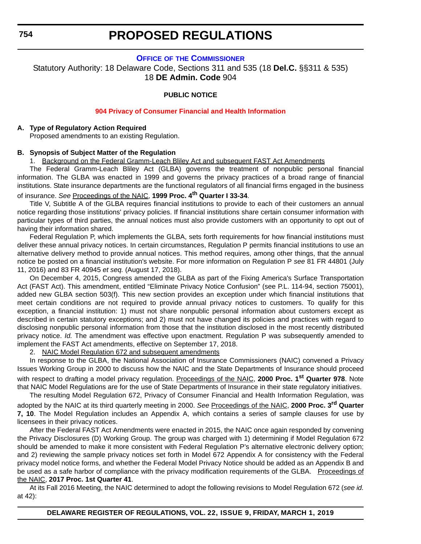### **OFFICE OF [THE COMMISSIONER](https://insurance.delaware.gov/bio/)**

Statutory Authority: 18 Delaware Code, Sections 311 and 535 (18 **Del.C.** §§311 & 535) 18 **DE Admin. Code** 904

## **PUBLIC NOTICE**

### **[904 Privacy of Consumer Financial and Health Information](#page-3-0)**

#### **A. Type of Regulatory Action Required**

Proposed amendments to an existing Regulation.

#### **B. Synopsis of Subject Matter of the Regulation**

1. Background on the Federal Gramm-Leach Bliley Act and subsequent FAST Act Amendments

The Federal Gramm-Leach Bliley Act (GLBA) governs the treatment of nonpublic personal financial information. The GLBA was enacted in 1999 and governs the privacy practices of a broad range of financial institutions. State insurance departments are the functional regulators of all financial firms engaged in the business of insurance. *See* Proceedings of the NAIC, **1999 Proc. 4th Quarter I 33-34**.

Title V, Subtitle A of the GLBA requires financial institutions to provide to each of their customers an annual notice regarding those institutions' privacy policies. If financial institutions share certain consumer information with particular types of third parties, the annual notices must also provide customers with an opportunity to opt out of having their information shared.

Federal Regulation P, which implements the GLBA, sets forth requirements for how financial institutions must deliver these annual privacy notices. In certain circumstances, Regulation P permits financial institutions to use an alternative delivery method to provide annual notices. This method requires, among other things, that the annual notice be posted on a financial institution's website. For more information on Regulation P *see* 81 FR 44801 (July 11, 2016) and 83 FR 40945 *et seq.* (August 17, 2018).

On December 4, 2015, Congress amended the GLBA as part of the Fixing America's Surface Transportation Act (FAST Act). This amendment, entitled "Eliminate Privacy Notice Confusion" (see P.L. 114-94, section 75001), added new GLBA section 503(f). This new section provides an exception under which financial institutions that meet certain conditions are not required to provide annual privacy notices to customers. To qualify for this exception, a financial institution: 1) must not share nonpublic personal information about customers except as described in certain statutory exceptions; and 2) must not have changed its policies and practices with regard to disclosing nonpublic personal information from those that the institution disclosed in the most recently distributed privacy notice. *Id.* The amendment was effective upon enactment. Regulation P was subsequently amended to implement the FAST Act amendments, effective on September 17, 2018.

2. NAIC Model Regulation 672 and subsequent amendments

In response to the GLBA, the National Association of Insurance Commissioners (NAIC) convened a Privacy Issues Working Group in 2000 to discuss how the NAIC and the State Departments of Insurance should proceed with respect to drafting a model privacy regulation. Proceedings of the NAIC, **2000 Proc. 1st Quarter 978**. Note that NAIC Model Regulations are for the use of State Departments of Insurance in their state regulatory initiatives.

The resulting Model Regulation 672, Privacy of Consumer Financial and Health Information Regulation, was adopted by the NAIC at its third quarterly meeting in 2000. *See* Proceedings of the NAIC, **2000 Proc. 3rd Quarter 7, 10**. The Model Regulation includes an Appendix A, which contains a series of sample clauses for use by licensees in their privacy notices.

After the Federal FAST Act Amendments were enacted in 2015, the NAIC once again responded by convening the Privacy Disclosures (D) Working Group. The group was charged with 1) determining if Model Regulation 672 should be amended to make it more consistent with Federal Regulation P's alternative electronic delivery option; and 2) reviewing the sample privacy notices set forth in Model 672 Appendix A for consistency with the Federal privacy model notice forms, and whether the Federal Model Privacy Notice should be added as an Appendix B and be used as a safe harbor of compliance with the privacy modification requirements of the GLBA. Proceedings of the NAIC, **2017 Proc. 1st Quarter 41**.

At its Fall 2016 Meeting, the NAIC determined to adopt the following revisions to Model Regulation 672 (*see id.* at 42):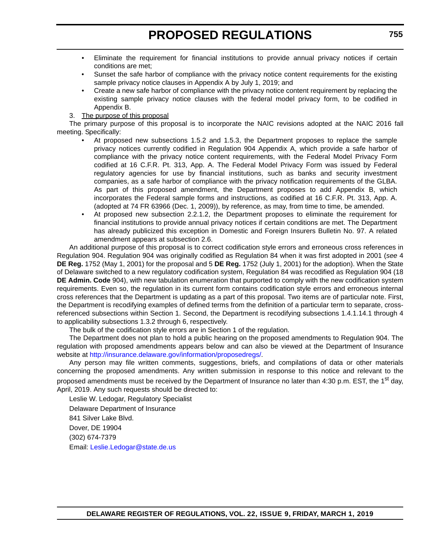- Eliminate the requirement for financial institutions to provide annual privacy notices if certain conditions are met;
- Sunset the safe harbor of compliance with the privacy notice content requirements for the existing sample privacy notice clauses in Appendix A by July 1, 2019; and
- Create a new safe harbor of compliance with the privacy notice content requirement by replacing the existing sample privacy notice clauses with the federal model privacy form, to be codified in Appendix B.
- 3. The purpose of this proposal

The primary purpose of this proposal is to incorporate the NAIC revisions adopted at the NAIC 2016 fall meeting. Specifically:

- At proposed new subsections 1.5.2 and 1.5.3, the Department proposes to replace the sample privacy notices currently codified in Regulation 904 Appendix A, which provide a safe harbor of compliance with the privacy notice content requirements, with the Federal Model Privacy Form codified at 16 C.F.R. Pt. 313, App. A. The Federal Model Privacy Form was issued by Federal regulatory agencies for use by financial institutions, such as banks and security investment companies, as a safe harbor of compliance with the privacy notification requirements of the GLBA. As part of this proposed amendment, the Department proposes to add Appendix B, which incorporates the Federal sample forms and instructions, as codified at 16 C.F.R. Pt. 313, App. A. (adopted at 74 FR 63966 (Dec. 1, 2009)), by reference, as may, from time to time, be amended.
- At proposed new subsection 2.2.1.2, the Department proposes to eliminate the requirement for financial institutions to provide annual privacy notices if certain conditions are met. The Department has already publicized this exception in Domestic and Foreign Insurers Bulletin No. 97. A related amendment appears at subsection 2.6.

An additional purpose of this proposal is to correct codification style errors and erroneous cross references in Regulation 904. Regulation 904 was originally codified as Regulation 84 when it was first adopted in 2001 (*see* 4 **DE Reg.** 1752 (May 1, 2001) for the proposal and 5 **DE Reg.** 1752 (July 1, 2001) for the adoption). When the State of Delaware switched to a new regulatory codification system, Regulation 84 was recodified as Regulation 904 (18 **DE Admin. Code** 904), with new tabulation enumeration that purported to comply with the new codification system requirements. Even so, the regulation in its current form contains codification style errors and erroneous internal cross references that the Department is updating as a part of this proposal. Two items are of particular note. First, the Department is recodifying examples of defined terms from the definition of a particular term to separate, crossreferenced subsections within Section 1. Second, the Department is recodifying subsections 1.4.1.14.1 through 4 to applicability subsections 1.3.2 through 6, respectively.

The bulk of the codification style errors are in Section 1 of the regulation.

The Department does not plan to hold a public hearing on the proposed amendments to Regulation 904. The regulation with proposed amendments appears below and can also be viewed at the Department of Insurance website at [http://insurance.delaware.gov/information/proposedregs/.](http://insurance.delaware.gov/information/proposedregs/)

Any person may file written comments, suggestions, briefs, and compilations of data or other materials concerning the proposed amendments. Any written submission in response to this notice and relevant to the proposed amendments must be received by the Department of Insurance no later than 4:30 p.m. EST, the 1<sup>st</sup> day, April, 2019. Any such requests should be directed to:

Leslie W. Ledogar, Regulatory Specialist Delaware Department of Insurance 841 Silver Lake Blvd. Dover, DE 19904 (302) 674-7379 Email: [Leslie.Ledogar@state.de.us](mailto:Leslie.Ledogar@state.de.us)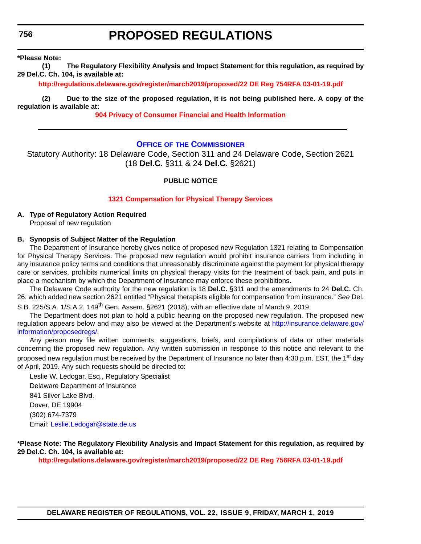## **PROPOSED REGULATIONS**

**\*Please Note:** 

**(1) The Regulatory Flexibility Analysis and Impact Statement for this regulation, as required by 29 Del.C. Ch. 104, is available at:**

**<http://regulations.delaware.gov/register/march2019/proposed/22 DE Reg 754RFA 03-01-19.pdf>**

**(2) Due to the size of the proposed regulation, it is not being published here. A copy of the regulation is available at:**

**[904 Privacy of Consumer Financial and Health Information](http://regulations.delaware.gov/register/march2019/proposed/22 DE Reg 754 03-01-19.htm)**

#### **OFFICE OF [THE COMMISSIONER](https://insurance.delaware.gov/bio/)**

Statutory Authority: 18 Delaware Code, Section 311 and 24 Delaware Code, Section 2621 (18 **Del.C.** §311 & 24 **Del.C.** §2621)

### **PUBLIC NOTICE**

#### **[1321 Compensation for Physical Therapy Services](#page-3-0)**

**A. Type of Regulatory Action Required** Proposal of new regulation

#### **B. Synopsis of Subject Matter of the Regulation**

The Department of Insurance hereby gives notice of proposed new Regulation 1321 relating to Compensation for Physical Therapy Services. The proposed new regulation would prohibit insurance carriers from including in any insurance policy terms and conditions that unreasonably discriminate against the payment for physical therapy care or services, prohibits numerical limits on physical therapy visits for the treatment of back pain, and puts in place a mechanism by which the Department of Insurance may enforce these prohibitions.

The Delaware Code authority for the new regulation is 18 **Del.C.** §311 and the amendments to 24 **Del.C.** Ch. 26, which added new section 2621 entitled "Physical therapists eligible for compensation from insurance." *See* Del.

S.B. 225/S.A. 1/S.A.2, 149<sup>th</sup> Gen. Assem. §2621 (2018), with an effective date of March 9, 2019.

The Department does not plan to hold a public hearing on the proposed new regulation. The proposed new regulation appears below and may also be viewed at the Department's website a[t http://insurance.delaware.gov/](http://insurance.delaware.gov/information/proposedregs/.) [information/proposedregs/](http://insurance.delaware.gov/information/proposedregs/.).

Any person may file written comments, suggestions, briefs, and compilations of data or other materials concerning the proposed new regulation. Any written submission in response to this notice and relevant to the proposed new regulation must be received by the Department of Insurance no later than 4:30 p.m. EST, the 1<sup>st</sup> day of April, 2019. Any such requests should be directed to:

Leslie W. Ledogar, Esq., Regulatory Specialist Delaware Department of Insurance 841 Silver Lake Blvd. Dover, DE 19904 (302) 674-7379 Email: [Leslie.Ledogar@state.de.us](mailto:Leslie.Ledogar@state.de.us)

**\*Please Note: The Regulatory Flexibility Analysis and Impact Statement for this regulation, as required by 29 Del.C. Ch. 104, is available at:**

**<http://regulations.delaware.gov/register/march2019/proposed/22 DE Reg 756RFA 03-01-19.pdf>**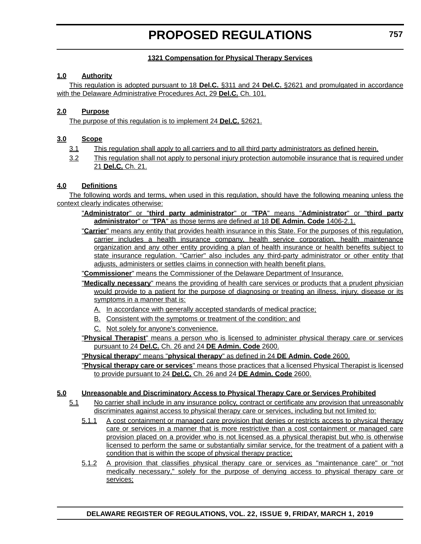### **1321 Compensation for Physical Therapy Services**

### **1.0 Authority**

This regulation is adopted pursuant to 18 **Del.C.** §311 and 24 **Del.C.** §2621 and promulgated in accordance with the Delaware Administrative Procedures Act, 29 **Del.C.** Ch. 101.

### **2.0 Purpose**

The purpose of this regulation is to implement 24 **Del.C.** §2621.

### **3.0 Scope**

- 3.1 This regulation shall apply to all carriers and to all third party administrators as defined herein.
- 3.2 This regulation shall not apply to personal injury protection automobile insurance that is required under 21 **Del.C.** Ch. 21.

## **4.0 Definitions**

The following words and terms, when used in this regulation, should have the following meaning unless the context clearly indicates otherwise:

- "**Administrator**" or "**third party administrator**" or "**TPA**" means "**Administrator**" or "**third party administrator**" or "**TPA**" as those terms are defined at 18 **DE Admin. Code** 1406-2.1.
- "**Carrier**" means any entity that provides health insurance in this State. For the purposes of this regulation, carrier includes a health insurance company, health service corporation, health maintenance organization and any other entity providing a plan of health insurance or health benefits subject to state insurance regulation. "Carrier" also includes any third-party administrator or other entity that adjusts, administers or settles claims in connection with health benefit plans.

"**Commissioner**" means the Commissioner of the Delaware Department of Insurance.

- "**Medically necessary**" means the providing of health care services or products that a prudent physician would provide to a patient for the purpose of diagnosing or treating an illness, injury, disease or its symptoms in a manner that is:
	- A. In accordance with generally accepted standards of medical practice;
	- B. Consistent with the symptoms or treatment of the condition; and
	- C. Not solely for anyone's convenience.
- "**Physical Therapist**" means a person who is licensed to administer physical therapy care or services pursuant to 24 **Del.C.** Ch. 26 and 24 **DE Admin. Code** 2600.

"**Physical therapy**" means "**physical therapy**" as defined in 24 **DE Admin. Code** 2600.

"**Physical therapy care or services**" means those practices that a licensed Physical Therapist is licensed to provide pursuant to 24 **Del.C.** Ch. 26 and 24 **DE Admin. Code** 2600.

#### **5.0 Unreasonable and Discriminatory Access to Physical Therapy Care or Services Prohibited**

- 5.1 No carrier shall include in any insurance policy, contract or certificate any provision that unreasonably discriminates against access to physical therapy care or services, including but not limited to:
	- 5.1.1 A cost containment or managed care provision that denies or restricts access to physical therapy care or services in a manner that is more restrictive than a cost containment or managed care provision placed on a provider who is not licensed as a physical therapist but who is otherwise licensed to perform the same or substantially similar service, for the treatment of a patient with a condition that is within the scope of physical therapy practice;
	- 5.1.2 A provision that classifies physical therapy care or services as "maintenance care" or "not medically necessary," solely for the purpose of denying access to physical therapy care or services;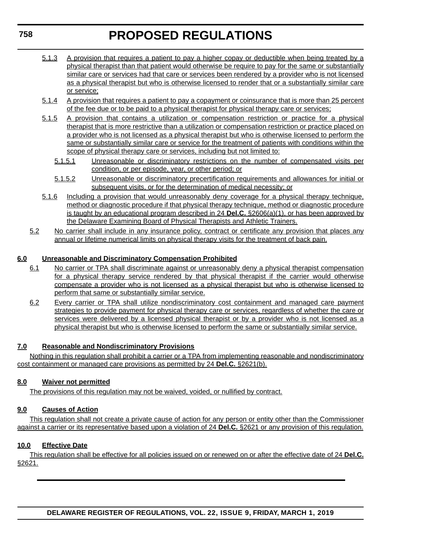- 5.1.3 A provision that requires a patient to pay a higher copay or deductible when being treated by a physical therapist than that patient would otherwise be require to pay for the same or substantially similar care or services had that care or services been rendered by a provider who is not licensed as a physical therapist but who is otherwise licensed to render that or a substantially similar care or service;
- 5.1.4 A provision that requires a patient to pay a copayment or coinsurance that is more than 25 percent of the fee due or to be paid to a physical therapist for physical therapy care or services;
- 5.1.5 A provision that contains a utilization or compensation restriction or practice for a physical therapist that is more restrictive than a utilization or compensation restriction or practice placed on a provider who is not licensed as a physical therapist but who is otherwise licensed to perform the same or substantially similar care or service for the treatment of patients with conditions within the scope of physical therapy care or services, including but not limited to:
	- 5.1.5.1 Unreasonable or discriminatory restrictions on the number of compensated visits per condition, or per episode, year, or other period; or
	- 5.1.5.2 Unreasonable or discriminatory precertification requirements and allowances for initial or subsequent visits, or for the determination of medical necessity; or
- 5.1.6 Including a provision that would unreasonably deny coverage for a physical therapy technique, method or diagnostic procedure if that physical therapy technique, method or diagnostic procedure is taught by an educational program described in 24 **Del.C.** §2606(a)(1), or has been approved by the Delaware Examining Board of Physical Therapists and Athletic Trainers.
- 5.2 No carrier shall include in any insurance policy, contract or certificate any provision that places any annual or lifetime numerical limits on physical therapy visits for the treatment of back pain.

## **6.0 Unreasonable and Discriminatory Compensation Prohibited**

- 6.1 No carrier or TPA shall discriminate against or unreasonably deny a physical therapist compensation for a physical therapy service rendered by that physical therapist if the carrier would otherwise compensate a provider who is not licensed as a physical therapist but who is otherwise licensed to perform that same or substantially similar service.
- 6.2 Every carrier or TPA shall utilize nondiscriminatory cost containment and managed care payment strategies to provide payment for physical therapy care or services, regardless of whether the care or services were delivered by a licensed physical therapist or by a provider who is not licensed as a physical therapist but who is otherwise licensed to perform the same or substantially similar service.

## **7.0 Reasonable and Nondiscriminatory Provisions**

Nothing in this regulation shall prohibit a carrier or a TPA from implementing reasonable and nondiscriminatory cost containment or managed care provisions as permitted by 24 **Del.C.** §2621(b).

## **8.0 Waiver not permitted**

The provisions of this regulation may not be waived, voided, or nullified by contract.

## **9.0 Causes of Action**

This regulation shall not create a private cause of action for any person or entity other than the Commissioner against a carrier or its representative based upon a violation of 24 **Del.C.** §2621 or any provision of this regulation.

## **10.0 Effective Date**

This regulation shall be effective for all policies issued on or renewed on or after the effective date of 24 **Del.C.** §2621.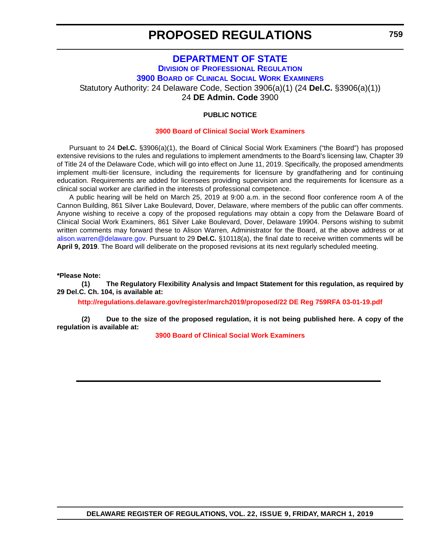## **[DEPARTMENT OF STATE](https://sos.delaware.gov/) DIVISION [OF PROFESSIONAL REGULATION](https://dpr.delaware.gov/) 3900 BOARD [OF CLINICAL SOCIAL WORK EXAMINERS](https://dpr.delaware.gov/boards/socialworkers/)** Statutory Authority: 24 Delaware Code, Section 3906(a)(1) (24 **Del.C.** §3906(a)(1)) 24 **DE Admin. Code** 3900

### **PUBLIC NOTICE**

#### **[3900 Board of Clinical Social Work Examiners](#page-3-0)**

Pursuant to 24 **Del.C.** §3906(a)(1), the Board of Clinical Social Work Examiners ("the Board") has proposed extensive revisions to the rules and regulations to implement amendments to the Board's licensing law, Chapter 39 of Title 24 of the Delaware Code, which will go into effect on June 11, 2019. Specifically, the proposed amendments implement multi-tier licensure, including the requirements for licensure by grandfathering and for continuing education. Requirements are added for licensees providing supervision and the requirements for licensure as a clinical social worker are clarified in the interests of professional competence.

A public hearing will be held on March 25, 2019 at 9:00 a.m. in the second floor conference room A of the Cannon Building, 861 Silver Lake Boulevard, Dover, Delaware, where members of the public can offer comments. Anyone wishing to receive a copy of the proposed regulations may obtain a copy from the Delaware Board of Clinical Social Work Examiners, 861 Silver Lake Boulevard, Dover, Delaware 19904. Persons wishing to submit written comments may forward these to Alison Warren, Administrator for the Board, at the above address or at [alison.warren@delaware.gov.](mailto:alison.warren@delaware.gov) Pursuant to 29 **Del.C.** §10118(a), the final date to receive written comments will be **April 9, 2019**. The Board will deliberate on the proposed revisions at its next regularly scheduled meeting.

**\*Please Note:** 

**(1) The Regulatory Flexibility Analysis and Impact Statement for this regulation, as required by 29 Del.C. Ch. 104, is available at:**

**<http://regulations.delaware.gov/register/march2019/proposed/22 DE Reg 759RFA 03-01-19.pdf>**

**(2) Due to the size of the proposed regulation, it is not being published here. A copy of the regulation is available at:**

**[3900 Board of Clinical Social Work Examiners](http://regulations.delaware.gov/register/march2019/proposed/22 DE Reg 759 03-01-19.htm)**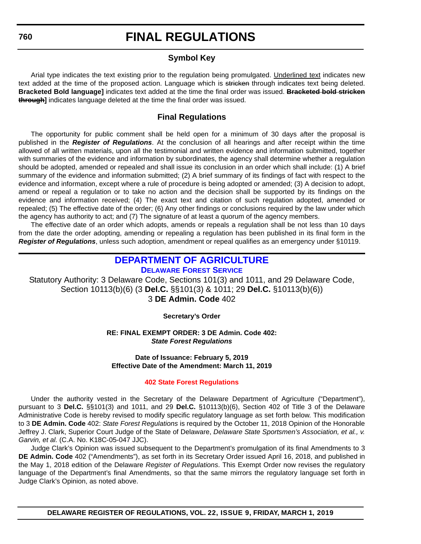## **Symbol Key**

Arial type indicates the text existing prior to the regulation being promulgated. Underlined text indicates new text added at the time of the proposed action. Language which is stricken through indicates text being deleted. **Bracketed Bold language]** indicates text added at the time the final order was issued. **Bracketed bold stricken through]** indicates language deleted at the time the final order was issued.

## **Final Regulations**

The opportunity for public comment shall be held open for a minimum of 30 days after the proposal is published in the *Register of Regulations*. At the conclusion of all hearings and after receipt within the time allowed of all written materials, upon all the testimonial and written evidence and information submitted, together with summaries of the evidence and information by subordinates, the agency shall determine whether a regulation should be adopted, amended or repealed and shall issue its conclusion in an order which shall include: (1) A brief summary of the evidence and information submitted; (2) A brief summary of its findings of fact with respect to the evidence and information, except where a rule of procedure is being adopted or amended; (3) A decision to adopt, amend or repeal a regulation or to take no action and the decision shall be supported by its findings on the evidence and information received; (4) The exact text and citation of such regulation adopted, amended or repealed; (5) The effective date of the order; (6) Any other findings or conclusions required by the law under which the agency has authority to act; and (7) The signature of at least a quorum of the agency members.

The effective date of an order which adopts, amends or repeals a regulation shall be not less than 10 days from the date the order adopting, amending or repealing a regulation has been published in its final form in the *Register of Regulations*, unless such adoption, amendment or repeal qualifies as an emergency under §10119.

## **[DEPARTMENT OF AGRICULTURE](https://agriculture.delaware.gov/) [DELAWARE FOREST SERVICE](https://agriculture.delaware.gov/forest-service/)**

Statutory Authority: 3 Delaware Code, Sections 101(3) and 1011, and 29 Delaware Code, Section 10113(b)(6) (3 **Del.C.** §§101(3) & 1011; 29 **Del.C.** §10113(b)(6)) 3 **DE Admin. Code** 402

**Secretary's Order**

**RE: FINAL EXEMPT ORDER: 3 DE Admin. Code 402:** *State Forest Regulations*

**Date of Issuance: February 5, 2019 Effective Date of the Amendment: March 11, 2019**

#### **[402 State Forest Regulations](#page-3-0)**

Under the authority vested in the Secretary of the Delaware Department of Agriculture ("Department"), pursuant to 3 **Del.C.** §§101(3) and 1011, and 29 **Del.C.** §10113(b)(6), Section 402 of Title 3 of the Delaware Administrative Code is hereby revised to modify specific regulatory language as set forth below. This modification to 3 **DE Admin. Code** 402: *State Forest Regulations* is required by the October 11, 2018 Opinion of the Honorable Jeffrey J. Clark, Superior Court Judge of the State of Delaware, *Delaware State Sportsmen's Association, et al., v. Garvin, et al.* (C.A. No. K18C-05-047 JJC).

Judge Clark's Opinion was issued subsequent to the Department's promulgation of its final Amendments to 3 **DE Admin. Code** 402 ("Amendments"), as set forth in its Secretary Order issued April 16, 2018, and published in the May 1, 2018 edition of the Delaware *Register of Regulations*. This Exempt Order now revises the regulatory language of the Department's final Amendments, so that the same mirrors the regulatory language set forth in Judge Clark's Opinion, as noted above.

**DELAWARE REGISTER OF REGULATIONS, VOL. 22, ISSUE 9, FRIDAY, MARCH 1, 2019**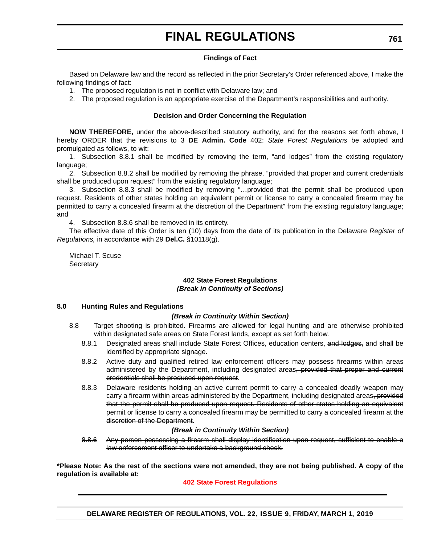#### **Findings of Fact**

Based on Delaware law and the record as reflected in the prior Secretary's Order referenced above, I make the following findings of fact:

- 1. The proposed regulation is not in conflict with Delaware law; and
- 2. The proposed regulation is an appropriate exercise of the Department's responsibilities and authority.

#### **Decision and Order Concerning the Regulation**

**NOW THEREFORE,** under the above-described statutory authority, and for the reasons set forth above, I hereby ORDER that the revisions to 3 **DE Admin. Code** 402: *State Forest Regulations* be adopted and promulgated as follows, to wit:

1. Subsection 8.8.1 shall be modified by removing the term, "and lodges" from the existing regulatory language;

2. Subsection 8.8.2 shall be modified by removing the phrase, "provided that proper and current credentials shall be produced upon request" from the existing regulatory language;

3. Subsection 8.8.3 shall be modified by removing "…provided that the permit shall be produced upon request. Residents of other states holding an equivalent permit or license to carry a concealed firearm may be permitted to carry a concealed firearm at the discretion of the Department" from the existing regulatory language; and

4. Subsection 8.8.6 shall be removed in its entirety.

The effective date of this Order is ten (10) days from the date of its publication in the Delaware *Register of Regulations,* in accordance with 29 **Del.C.** §10118(g).

Michael T. Scuse **Secretary** 

#### **402 State Forest Regulations** *(Break in Continuity of Sections)*

#### **8.0 Hunting Rules and Regulations**

#### *(Break in Continuity Within Section)*

- 8.8 Target shooting is prohibited. Firearms are allowed for legal hunting and are otherwise prohibited within designated safe areas on State Forest lands, except as set forth below.
	- 8.8.1 Designated areas shall include State Forest Offices, education centers, and lodges, and shall be identified by appropriate signage.
	- 8.8.2 Active duty and qualified retired law enforcement officers may possess firearms within areas administered by the Department, including designated areas, provided that proper and current credentials shall be produced upon request.
	- 8.8.3 Delaware residents holding an active current permit to carry a concealed deadly weapon may carry a firearm within areas administered by the Department, including designated areas, provided that the permit shall be produced upon request. Residents of other states holding an equivalent permit or license to carry a concealed firearm may be permitted to carry a concealed firearm at the discretion of the Department.

#### *(Break in Continuity Within Section)*

8.8.6 Any person possessing a firearm shall display identification upon request, sufficient to enable a law enforcement officer to undertake a background check.

**\*Please Note: As the rest of the sections were not amended, they are not being published. A copy of the regulation is available at:**

**[402 State Forest Regulations](http://regulations.delaware.gov/register/march2019/final/22 DE Reg 760 03-01-19.htm)**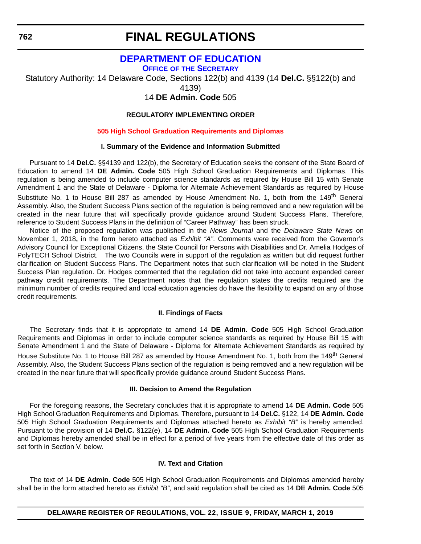## **[DEPARTMENT OF EDUCATION](https://www.doe.k12.de.us/)**

**OFFICE OF [THE SECRETARY](https://www.doe.k12.de.us/Page/11)**

Statutory Authority: 14 Delaware Code, Sections 122(b) and 4139 (14 **Del.C.** §§122(b) and

4139)

14 **DE Admin. Code** 505

## **REGULATORY IMPLEMENTING ORDER**

#### **[505 High School Graduation Requirements and Diplomas](#page-3-0)**

#### **I. Summary of the Evidence and Information Submitted**

Pursuant to 14 **Del.C.** §§4139 and 122(b), the Secretary of Education seeks the consent of the State Board of Education to amend 14 **DE Admin. Code** 505 High School Graduation Requirements and Diplomas. This regulation is being amended to include computer science standards as required by House Bill 15 with Senate Amendment 1 and the State of Delaware - Diploma for Alternate Achievement Standards as required by House Substitute No. 1 to House Bill 287 as amended by House Amendment No. 1, both from the 149<sup>th</sup> General Assembly. Also, the Student Success Plans section of the regulation is being removed and a new regulation will be created in the near future that will specifically provide guidance around Student Success Plans. Therefore, reference to Student Success Plans in the definition of "Career Pathway" has been struck.

Notice of the proposed regulation was published in the *News Journal* and the *Delaware State News* on November 1, 2018**,** in the form hereto attached as *Exhibit "A"*. Comments were received from the Governor's Advisory Council for Exceptional Citizens, the State Council for Persons with Disabilities and Dr. Amelia Hodges of PolyTECH School District. The two Councils were in support of the regulation as written but did request further clarification on Student Success Plans. The Department notes that such clarification will be noted in the Student Success Plan regulation. Dr. Hodges commented that the regulation did not take into account expanded career pathway credit requirements. The Department notes that the regulation states the credits required are the minimum number of credits required and local education agencies do have the flexibility to expand on any of those credit requirements.

#### **II. Findings of Facts**

The Secretary finds that it is appropriate to amend 14 **DE Admin. Code** 505 High School Graduation Requirements and Diplomas in order to include computer science standards as required by House Bill 15 with Senate Amendment 1 and the State of Delaware - Diploma for Alternate Achievement Standards as required by House Substitute No. 1 to House Bill 287 as amended by House Amendment No. 1, both from the 149<sup>th</sup> General Assembly. Also, the Student Success Plans section of the regulation is being removed and a new regulation will be created in the near future that will specifically provide guidance around Student Success Plans.

#### **III. Decision to Amend the Regulation**

For the foregoing reasons, the Secretary concludes that it is appropriate to amend 14 **DE Admin. Code** 505 High School Graduation Requirements and Diplomas. Therefore, pursuant to 14 **Del.C.** §122, 14 **DE Admin. Code** 505 High School Graduation Requirements and Diplomas attached hereto as *Exhibit "B"* is hereby amended. Pursuant to the provision of 14 **Del.C.** §122(e), 14 **DE Admin. Code** 505 High School Graduation Requirements and Diplomas hereby amended shall be in effect for a period of five years from the effective date of this order as set forth in Section V. below.

#### **IV. Text and Citation**

The text of 14 **DE Admin. Code** 505 High School Graduation Requirements and Diplomas amended hereby shall be in the form attached hereto as *Exhibit "B"*, and said regulation shall be cited as 14 **DE Admin. Code** 505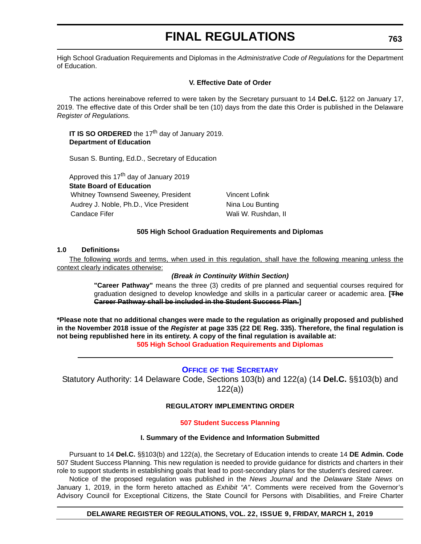High School Graduation Requirements and Diplomas in the *Administrative Code of Regulations* for the Department of Education.

#### **V. Effective Date of Order**

The actions hereinabove referred to were taken by the Secretary pursuant to 14 **Del.C.** §122 on January 17, 2019. The effective date of this Order shall be ten (10) days from the date this Order is published in the Delaware *Register of Regulations.*

#### **IT IS SO ORDERED** the 17<sup>th</sup> day of January 2019. **Department of Education**

Susan S. Bunting, Ed.D., Secretary of Education

Approved this  $17<sup>th</sup>$  day of January 2019

**State Board of Education**

Whitney Townsend Sweeney, President Vincent Lofink Audrey J. Noble, Ph.D., Vice President Nina Lou Bunting Candace Fifer Wali W. Rushdan, II

### **505 High School Graduation Requirements and Diplomas**

### **1.0 Definitions:**

The following words and terms, when used in this regulation, shall have the following meaning unless the context clearly indicates otherwise:

### *(Break in Continuity Within Section)*

**"Career Pathway"** means the three (3) credits of pre planned and sequential courses required for graduation designed to develop knowledge and skills in a particular career or academic area. **[The Career Pathway shall be included in the Student Success Plan.]**

**\*Please note that no additional changes were made to the regulation as originally proposed and published in the November 2018 issue of the** *Register* **at page 335 (22 DE Reg. 335). Therefore, the final regulation is not being republished here in its entirety. A copy of the final regulation is available at: [505 High School Graduation Requirements and Diplomas](http://regulations.delaware.gov/register/march2019/final/22 DE Reg 762 03-01-19.htm)**

## **OFFICE OF [THE SECRETARY](https://www.doe.k12.de.us/Page/11)**

Statutory Authority: 14 Delaware Code, Sections 103(b) and 122(a) (14 **Del.C.** §§103(b) and 122(a))

#### **REGULATORY IMPLEMENTING ORDER**

#### **[507 Student Success Planning](#page-3-0)**

#### **I. Summary of the Evidence and Information Submitted**

Pursuant to 14 **Del.C.** §§103(b) and 122(a), the Secretary of Education intends to create 14 **DE Admin. Code** 507 Student Success Planning. This new regulation is needed to provide guidance for districts and charters in their role to support students in establishing goals that lead to post-secondary plans for the student's desired career.

Notice of the proposed regulation was published in the *News Journal* and the *Delaware State News* on January 1, 2019, in the form hereto attached as *Exhibit "A"*. Comments were received from the Governor's Advisory Council for Exceptional Citizens, the State Council for Persons with Disabilities, and Freire Charter

#### **DELAWARE REGISTER OF REGULATIONS, VOL. 22, ISSUE 9, FRIDAY, MARCH 1, 2019**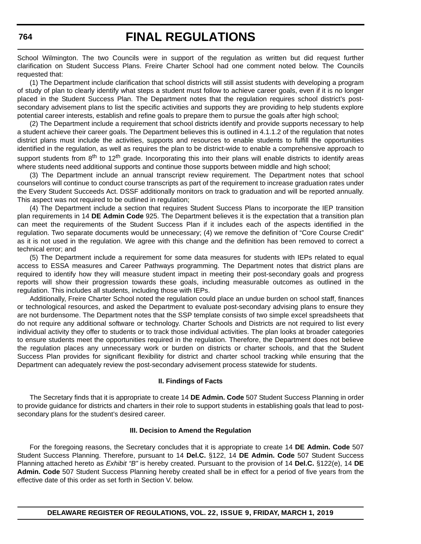School Wilmington. The two Councils were in support of the regulation as written but did request further clarification on Student Success Plans. Freire Charter School had one comment noted below. The Councils requested that:

(1) The Department include clarification that school districts will still assist students with developing a program of study of plan to clearly identify what steps a student must follow to achieve career goals, even if it is no longer placed in the Student Success Plan. The Department notes that the regulation requires school district's postsecondary advisement plans to list the specific activities and supports they are providing to help students explore potential career interests, establish and refine goals to prepare them to pursue the goals after high school;

(2) The Department include a requirement that school districts identify and provide supports necessary to help a student achieve their career goals. The Department believes this is outlined in 4.1.1.2 of the regulation that notes district plans must include the activities, supports and resources to enable students to fulfill the opportunities identified in the regulation, as well as requires the plan to be district-wide to enable a comprehensive approach to support students from  $8^{th}$  to 12<sup>th</sup> grade. Incorporating this into their plans will enable districts to identify areas where students need additional supports and continue those supports between middle and high school;

(3) The Department include an annual transcript review requirement. The Department notes that school counselors will continue to conduct course transcripts as part of the requirement to increase graduation rates under the Every Student Succeeds Act. DSSF additionally monitors on track to graduation and will be reported annually. This aspect was not required to be outlined in regulation;

(4) The Department include a section that requires Student Success Plans to incorporate the IEP transition plan requirements in 14 **DE Admin Code** 925. The Department believes it is the expectation that a transition plan can meet the requirements of the Student Success Plan if it includes each of the aspects identified in the regulation. Two separate documents would be unnecessary; (4) we remove the definition of "Core Course Credit" as it is not used in the regulation. We agree with this change and the definition has been removed to correct a technical error; and

(5) The Department include a requirement for some data measures for students with IEPs related to equal access to ESSA measures and Career Pathways programming. The Department notes that district plans are required to identify how they will measure student impact in meeting their post-secondary goals and progress reports will show their progression towards these goals, including measurable outcomes as outlined in the regulation. This includes all students, including those with IEPs.

Additionally, Freire Charter School noted the regulation could place an undue burden on school staff, finances or technological resources, and asked the Department to evaluate post-secondary advising plans to ensure they are not burdensome. The Department notes that the SSP template consists of two simple excel spreadsheets that do not require any additional software or technology. Charter Schools and Districts are not required to list every individual activity they offer to students or to track those individual activities. The plan looks at broader categories to ensure students meet the opportunities required in the regulation. Therefore, the Department does not believe the regulation places any unnecessary work or burden on districts or charter schools, and that the Student Success Plan provides for significant flexibility for district and charter school tracking while ensuring that the Department can adequately review the post-secondary advisement process statewide for students.

#### **II. Findings of Facts**

The Secretary finds that it is appropriate to create 14 **DE Admin. Code** 507 Student Success Planning in order to provide guidance for districts and charters in their role to support students in establishing goals that lead to postsecondary plans for the student's desired career.

#### **III. Decision to Amend the Regulation**

For the foregoing reasons, the Secretary concludes that it is appropriate to create 14 **DE Admin. Code** 507 Student Success Planning. Therefore, pursuant to 14 **Del.C.** §122, 14 **DE Admin. Code** 507 Student Success Planning attached hereto as *Exhibit "B"* is hereby created. Pursuant to the provision of 14 **Del.C.** §122(e), 14 **DE Admin. Code** 507 Student Success Planning hereby created shall be in effect for a period of five years from the effective date of this order as set forth in Section V. below.

## **DELAWARE REGISTER OF REGULATIONS, VOL. 22, ISSUE 9, FRIDAY, MARCH 1, 2019**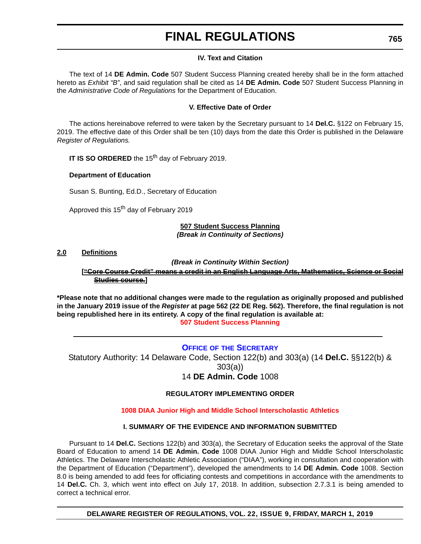#### **IV. Text and Citation**

The text of 14 **DE Admin. Code** 507 Student Success Planning created hereby shall be in the form attached hereto as *Exhibit "B"*, and said regulation shall be cited as 14 **DE Admin. Code** 507 Student Success Planning in the *Administrative Code of Regulations* for the Department of Education.

#### **V. Effective Date of Order**

The actions hereinabove referred to were taken by the Secretary pursuant to 14 **Del.C.** §122 on February 15, 2019. The effective date of this Order shall be ten (10) days from the date this Order is published in the Delaware *Register of Regulations.*

**IT IS SO ORDERED** the 15<sup>th</sup> day of February 2019.

#### **Department of Education**

Susan S. Bunting, Ed.D., Secretary of Education

Approved this 15<sup>th</sup> day of February 2019

#### **507 Student Success Planning** *(Break in Continuity of Sections)*

#### **2.0 Definitions**

*(Break in Continuity Within Section)*

**["Core Course Credit" means a credit in an English Language Arts, Mathematics, Science or Social Studies course.]**

**\*Please note that no additional changes were made to the regulation as originally proposed and published in the January 2019 issue of the** *Register* **at page 562 (22 DE Reg. 562). Therefore, the final regulation is not being republished here in its entirety. A copy of the final regulation is available at: [507 Student Success Planning](http://regulations.delaware.gov/register/march2019/final/22 DE Reg 763 03-01-19.htm)**

#### **OFFICE OF [THE SECRETARY](https://www.doe.k12.de.us/Page/11)**

Statutory Authority: 14 Delaware Code, Section 122(b) and 303(a) (14 **Del.C.** §§122(b) & 303(a)) 14 **DE Admin. Code** 1008

#### **REGULATORY IMPLEMENTING ORDER**

#### **[1008 DIAA Junior High and Middle School Interscholastic Athletics](#page-3-0)**

#### **I. SUMMARY OF THE EVIDENCE AND INFORMATION SUBMITTED**

Pursuant to 14 **Del.C.** Sections 122(b) and 303(a), the Secretary of Education seeks the approval of the State Board of Education to amend 14 **DE Admin. Code** 1008 DIAA Junior High and Middle School Interscholastic Athletics. The Delaware Interscholastic Athletic Association ("DIAA"), working in consultation and cooperation with the Department of Education ("Department"), developed the amendments to 14 **DE Admin. Code** 1008. Section 8.0 is being amended to add fees for officiating contests and competitions in accordance with the amendments to 14 **Del.C.** Ch. 3, which went into effect on July 17, 2018. In addition, subsection 2.7.3.1 is being amended to correct a technical error.

**DELAWARE REGISTER OF REGULATIONS, VOL. 22, ISSUE 9, FRIDAY, MARCH 1, 2019**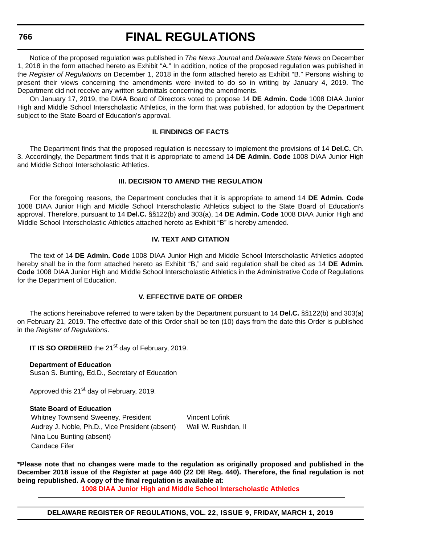## **FINAL REGULATIONS**

Notice of the proposed regulation was published in *The News Journal* and *Delaware State News* on December 1, 2018 in the form attached hereto as Exhibit "A." In addition, notice of the proposed regulation was published in the *Register of Regulations* on December 1, 2018 in the form attached hereto as Exhibit "B." Persons wishing to present their views concerning the amendments were invited to do so in writing by January 4, 2019. The Department did not receive any written submittals concerning the amendments.

On January 17, 2019, the DIAA Board of Directors voted to propose 14 **DE Admin. Code** 1008 DIAA Junior High and Middle School Interscholastic Athletics, in the form that was published, for adoption by the Department subject to the State Board of Education's approval.

#### **II. FINDINGS OF FACTS**

The Department finds that the proposed regulation is necessary to implement the provisions of 14 **Del.C.** Ch. 3. Accordingly, the Department finds that it is appropriate to amend 14 **DE Admin. Code** 1008 DIAA Junior High and Middle School Interscholastic Athletics.

### **III. DECISION TO AMEND THE REGULATION**

For the foregoing reasons, the Department concludes that it is appropriate to amend 14 **DE Admin. Code** 1008 DIAA Junior High and Middle School Interscholastic Athletics subject to the State Board of Education's approval. Therefore, pursuant to 14 **Del.C.** §§122(b) and 303(a), 14 **DE Admin. Code** 1008 DIAA Junior High and Middle School Interscholastic Athletics attached hereto as Exhibit "B" is hereby amended.

#### **IV. TEXT AND CITATION**

The text of 14 **DE Admin. Code** 1008 DIAA Junior High and Middle School Interscholastic Athletics adopted hereby shall be in the form attached hereto as Exhibit "B," and said regulation shall be cited as 14 **DE Admin. Code** 1008 DIAA Junior High and Middle School Interscholastic Athletics in the Administrative Code of Regulations for the Department of Education.

#### **V. EFFECTIVE DATE OF ORDER**

The actions hereinabove referred to were taken by the Department pursuant to 14 **Del.C.** §§122(b) and 303(a) on February 21, 2019. The effective date of this Order shall be ten (10) days from the date this Order is published in the *Register of Regulations*.

**IT IS SO ORDERED** the 21<sup>st</sup> day of February, 2019.

**Department of Education**

Susan S. Bunting, Ed.D., Secretary of Education

Approved this 21<sup>st</sup> day of February, 2019.

#### **State Board of Education**

Whitney Townsend Sweeney, President Vincent Lofink Audrey J. Noble, Ph.D., Vice President (absent) Wali W. Rushdan, II Nina Lou Bunting (absent) Candace Fifer

**\*Please note that no changes were made to the regulation as originally proposed and published in the December 2018 issue of the** *Register* **at page 440 (22 DE Reg. 440). Therefore, the final regulation is not being republished. A copy of the final regulation is available at:**

**[1008 DIAA Junior High and Middle School Interscholastic Athletics](http://regulations.delaware.gov/register/march2019/final/22 DE Reg 765 03-01-19.htm)**

**DELAWARE REGISTER OF REGULATIONS, VOL. 22, ISSUE 9, FRIDAY, MARCH 1, 2019**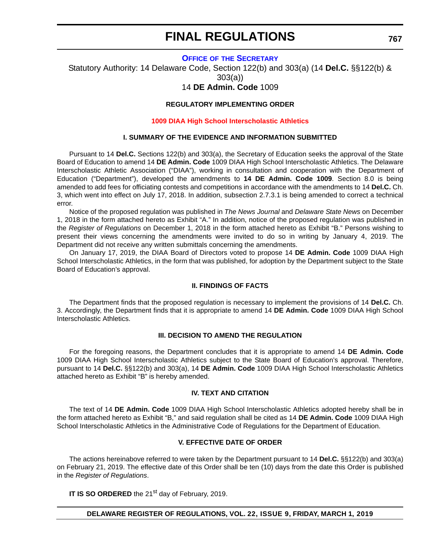#### **OFFICE OF [THE SECRETARY](https://www.doe.k12.de.us/Page/11)**

Statutory Authority: 14 Delaware Code, Section 122(b) and 303(a) (14 **Del.C.** §§122(b) & 303(a))

## 14 **DE Admin. Code** 1009

#### **REGULATORY IMPLEMENTING ORDER**

#### **[1009 DIAA High School Interscholastic Athletics](#page-3-0)**

#### **I. SUMMARY OF THE EVIDENCE AND INFORMATION SUBMITTED**

Pursuant to 14 **Del.C.** Sections 122(b) and 303(a), the Secretary of Education seeks the approval of the State Board of Education to amend 14 **DE Admin. Code** 1009 DIAA High School Interscholastic Athletics. The Delaware Interscholastic Athletic Association ("DIAA"), working in consultation and cooperation with the Department of Education ("Department"), developed the amendments to **14 DE Admin. Code 1009**. Section 8.0 is being amended to add fees for officiating contests and competitions in accordance with the amendments to 14 **Del.C.** Ch. 3, which went into effect on July 17, 2018. In addition, subsection 2.7.3.1 is being amended to correct a technical error.

Notice of the proposed regulation was published in *The News Journal* and *Delaware State News* on December 1, 2018 in the form attached hereto as Exhibit "A." In addition, notice of the proposed regulation was published in the *Register of Regulations* on December 1, 2018 in the form attached hereto as Exhibit "B." Persons wishing to present their views concerning the amendments were invited to do so in writing by January 4, 2019. The Department did not receive any written submittals concerning the amendments.

On January 17, 2019, the DIAA Board of Directors voted to propose 14 **DE Admin. Code** 1009 DIAA High School Interscholastic Athletics, in the form that was published, for adoption by the Department subject to the State Board of Education's approval.

#### **II. FINDINGS OF FACTS**

The Department finds that the proposed regulation is necessary to implement the provisions of 14 **Del.C.** Ch. 3. Accordingly, the Department finds that it is appropriate to amend 14 **DE Admin. Code** 1009 DIAA High School Interscholastic Athletics.

#### **III. DECISION TO AMEND THE REGULATION**

For the foregoing reasons, the Department concludes that it is appropriate to amend 14 **DE Admin. Code** 1009 DIAA High School Interscholastic Athletics subject to the State Board of Education's approval. Therefore, pursuant to 14 **Del.C.** §§122(b) and 303(a), 14 **DE Admin. Code** 1009 DIAA High School Interscholastic Athletics attached hereto as Exhibit "B" is hereby amended.

#### **IV. TEXT AND CITATION**

The text of 14 **DE Admin. Code** 1009 DIAA High School Interscholastic Athletics adopted hereby shall be in the form attached hereto as Exhibit "B," and said regulation shall be cited as 14 **DE Admin. Code** 1009 DIAA High School Interscholastic Athletics in the Administrative Code of Regulations for the Department of Education.

#### **V. EFFECTIVE DATE OF ORDER**

The actions hereinabove referred to were taken by the Department pursuant to 14 **Del.C.** §§122(b) and 303(a) on February 21, 2019. The effective date of this Order shall be ten (10) days from the date this Order is published in the *Register of Regulations*.

**IT IS SO ORDERED** the 21<sup>st</sup> day of February, 2019.

#### **DELAWARE REGISTER OF REGULATIONS, VOL. 22, ISSUE 9, FRIDAY, MARCH 1, 2019**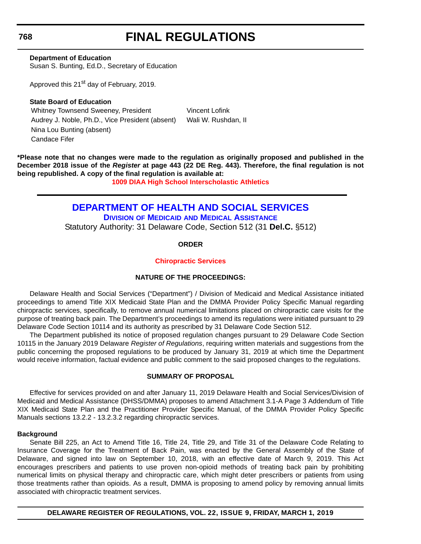# **FINAL REGULATIONS**

**Department of Education** Susan S. Bunting, Ed.D., Secretary of Education

Approved this 21<sup>st</sup> day of February, 2019.

**State Board of Education** Whitney Townsend Sweeney, President Vincent Lofink Audrey J. Noble, Ph.D., Vice President (absent) Wali W. Rushdan, II Nina Lou Bunting (absent) Candace Fifer

**\*Please note that no changes were made to the regulation as originally proposed and published in the December 2018 issue of the** *Register* **at page 443 (22 DE Reg. 443). Therefore, the final regulation is not being republished. A copy of the final regulation is available at:**

**[1009 DIAA High School Interscholastic Athletics](http://regulations.delaware.gov/register/march2019/final/22 DE Reg 767 03-01-19.htm)**

## **[DEPARTMENT OF HEALTH AND SOCIAL SERVICES](https://www.dhss.delaware.gov/dhss/index.html )**

**DIVISION OF MEDICAID [AND MEDICAL ASSISTANCE](https://www.dhss.delaware.gov/dhss/dmma/)**

Statutory Authority: 31 Delaware Code, Section 512 (31 **Del.C.** §512)

**ORDER**

## **[Chiropractic Services](#page-3-0)**

## **NATURE OF THE PROCEEDINGS:**

Delaware Health and Social Services ("Department") / Division of Medicaid and Medical Assistance initiated proceedings to amend Title XIX Medicaid State Plan and the DMMA Provider Policy Specific Manual regarding chiropractic services, specifically, to remove annual numerical limitations placed on chiropractic care visits for the purpose of treating back pain. The Department's proceedings to amend its regulations were initiated pursuant to 29 Delaware Code Section 10114 and its authority as prescribed by 31 Delaware Code Section 512.

The Department published its notice of proposed regulation changes pursuant to 29 Delaware Code Section 10115 in the January 2019 Delaware *Register of Regulations*, requiring written materials and suggestions from the public concerning the proposed regulations to be produced by January 31, 2019 at which time the Department would receive information, factual evidence and public comment to the said proposed changes to the regulations.

### **SUMMARY OF PROPOSAL**

Effective for services provided on and after January 11, 2019 Delaware Health and Social Services/Division of Medicaid and Medical Assistance (DHSS/DMMA) proposes to amend Attachment 3.1-A Page 3 Addendum of Title XIX Medicaid State Plan and the Practitioner Provider Specific Manual, of the DMMA Provider Policy Specific Manuals sections 13.2.2 - 13.2.3.2 regarding chiropractic services.

#### **Background**

Senate Bill 225, an Act to Amend Title 16, Title 24, Title 29, and Title 31 of the Delaware Code Relating to Insurance Coverage for the Treatment of Back Pain, was enacted by the General Assembly of the State of Delaware, and signed into law on September 10, 2018, with an effective date of March 9, 2019. This Act encourages prescribers and patients to use proven non-opioid methods of treating back pain by prohibiting numerical limits on physical therapy and chiropractic care, which might deter prescribers or patients from using those treatments rather than opioids. As a result, DMMA is proposing to amend policy by removing annual limits associated with chiropractic treatment services.

**DELAWARE REGISTER OF REGULATIONS, VOL. 22, ISSUE 9, FRIDAY, MARCH 1, 2019**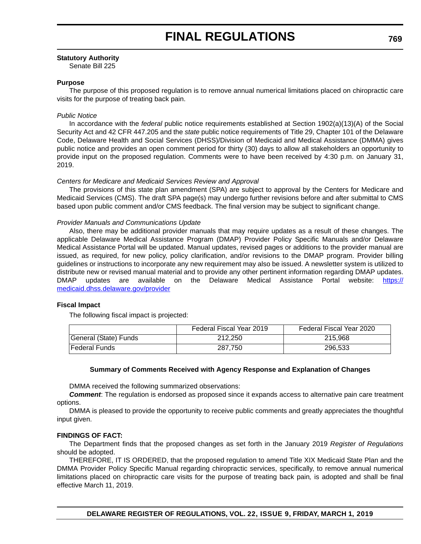#### **Statutory Authority**

Senate Bill 225

#### **Purpose**

The purpose of this proposed regulation is to remove annual numerical limitations placed on chiropractic care visits for the purpose of treating back pain.

#### *Public Notice*

In accordance with the *federal* public notice requirements established at Section 1902(a)(13)(A) of the Social Security Act and 42 CFR 447.205 and the *state* public notice requirements of Title 29, Chapter 101 of the Delaware Code, Delaware Health and Social Services (DHSS)/Division of Medicaid and Medical Assistance (DMMA) gives public notice and provides an open comment period for thirty (30) days to allow all stakeholders an opportunity to provide input on the proposed regulation. Comments were to have been received by 4:30 p.m. on January 31, 2019.

#### *Centers for Medicare and Medicaid Services Review and Approval*

The provisions of this state plan amendment (SPA) are subject to approval by the Centers for Medicare and Medicaid Services (CMS). The draft SPA page(s) may undergo further revisions before and after submittal to CMS based upon public comment and/or CMS feedback. The final version may be subject to significant change.

#### *Provider Manuals and Communications Update*

Also, there may be additional provider manuals that may require updates as a result of these changes. The applicable Delaware Medical Assistance Program (DMAP) Provider Policy Specific Manuals and/or Delaware Medical Assistance Portal will be updated. Manual updates, revised pages or additions to the provider manual are issued, as required, for new policy, policy clarification, and/or revisions to the DMAP program. Provider billing guidelines or instructions to incorporate any new requirement may also be issued. A newsletter system is utilized to distribute new or revised manual material and to provide any other pertinent information regarding DMAP updates. DMAP updates are available on the Delaware Medical Assistance Portal website: [https://](https://medicaid.dhss.delaware.gov/provider) [medicaid.dhss.delaware.gov/provider](https://medicaid.dhss.delaware.gov/provider)

#### **Fiscal Impact**

The following fiscal impact is projected:

|                       | Federal Fiscal Year 2019 | Federal Fiscal Year 2020 |
|-----------------------|--------------------------|--------------------------|
| General (State) Funds | 212.250                  | 215.968                  |
| <b>Federal Funds</b>  | 287.750                  | 296.533                  |

#### **Summary of Comments Received with Agency Response and Explanation of Changes**

DMMA received the following summarized observations:

*Comment*: The regulation is endorsed as proposed since it expands access to alternative pain care treatment options.

DMMA is pleased to provide the opportunity to receive public comments and greatly appreciates the thoughtful input given.

#### **FINDINGS OF FACT:**

The Department finds that the proposed changes as set forth in the January 2019 *Register of Regulations* should be adopted.

THEREFORE, IT IS ORDERED, that the proposed regulation to amend Title XIX Medicaid State Plan and the DMMA Provider Policy Specific Manual regarding chiropractic services, specifically, to remove annual numerical limitations placed on chiropractic care visits for the purpose of treating back pain*,* is adopted and shall be final effective March 11, 2019.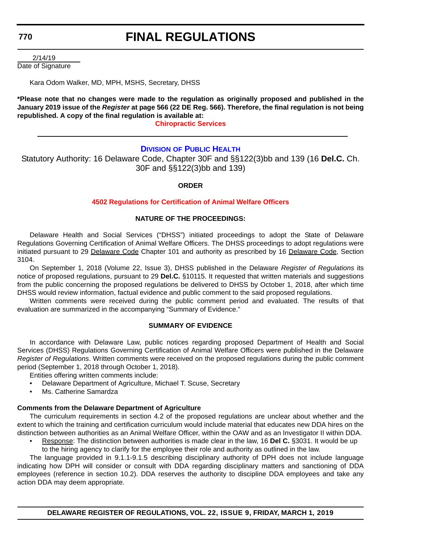# **FINAL REGULATIONS**

 2/14/19 Date of Signature

Kara Odom Walker, MD, MPH, MSHS, Secretary, DHSS

**\*Please note that no changes were made to the regulation as originally proposed and published in the January 2019 issue of the** *Register* **at page 566 (22 DE Reg. 566). Therefore, the final regulation is not being republished. A copy of the final regulation is available at:**

**[Chiropractic Services](http://regulations.delaware.gov/register/march2019/final/22 DE Reg 768 03-01-19.htm  )**

## **DIVISION [OF PUBLIC HEALTH](https://www.dhss.delaware.gov/dhss/dph/index.html)**

Statutory Authority: 16 Delaware Code, Chapter 30F and §§122(3)bb and 139 (16 **Del.C.** Ch. 30F and §§122(3)bb and 139)

### **ORDER**

### **[4502 Regulations for Certification of Animal Welfare Officers](#page-4-0)**

#### **NATURE OF THE PROCEEDINGS:**

Delaware Health and Social Services ("DHSS") initiated proceedings to adopt the State of Delaware Regulations Governing Certification of Animal Welfare Officers. The DHSS proceedings to adopt regulations were initiated pursuant to 29 Delaware Code Chapter 101 and authority as prescribed by 16 Delaware Code, Section 3104.

On September 1, 2018 (Volume 22, Issue 3), DHSS published in the Delaware *Register of Regulations* its notice of proposed regulations, pursuant to 29 **Del.C.** §10115. It requested that written materials and suggestions from the public concerning the proposed regulations be delivered to DHSS by October 1, 2018, after which time DHSS would review information, factual evidence and public comment to the said proposed regulations.

Written comments were received during the public comment period and evaluated. The results of that evaluation are summarized in the accompanying "Summary of Evidence."

#### **SUMMARY OF EVIDENCE**

In accordance with Delaware Law, public notices regarding proposed Department of Health and Social Services (DHSS) Regulations Governing Certification of Animal Welfare Officers were published in the Delaware *Register of Regulations*. Written comments were received on the proposed regulations during the public comment period (September 1, 2018 through October 1, 2018).

Entities offering written comments include:

- Delaware Department of Agriculture, Michael T. Scuse, Secretary
- Ms. Catherine Samardza

#### **Comments from the Delaware Department of Agriculture**

The curriculum requirements in section 4.2 of the proposed regulations are unclear about whether and the extent to which the training and certification curriculum would include material that educates new DDA hires on the distinction between authorities as an Animal Welfare Officer, within the OAW and as an Investigator II within DDA.

- Response: The distinction between authorities is made clear in the law, 16 **Del C.** §3031. It would be up
	- to the hiring agency to clarify for the employee their role and authority as outlined in the law.

The language provided in 9.1.1-9.1.5 describing disciplinary authority of DPH does not include language indicating how DPH will consider or consult with DDA regarding disciplinary matters and sanctioning of DDA employees (reference in section 10.2). DDA reserves the authority to discipline DDA employees and take any action DDA may deem appropriate.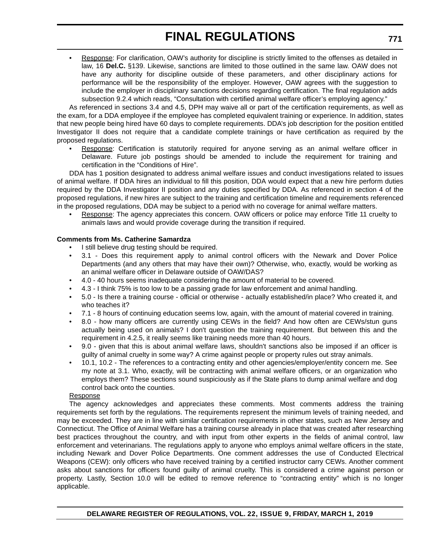• Response: For clarification, OAW's authority for discipline is strictly limited to the offenses as detailed in law, 16 **Del.C.** §139. Likewise, sanctions are limited to those outlined in the same law. OAW does not have any authority for discipline outside of these parameters, and other disciplinary actions for performance will be the responsibility of the employer. However, OAW agrees with the suggestion to include the employer in disciplinary sanctions decisions regarding certification. The final regulation adds subsection 9.2.4 which reads, "Consultation with certified animal welfare officer's employing agency."

As referenced in sections 3.4 and 4.5, DPH may waive all or part of the certification requirements, as well as the exam, for a DDA employee if the employee has completed equivalent training or experience. In addition, states that new people being hired have 60 days to complete requirements. DDA's job description for the position entitled Investigator II does not require that a candidate complete trainings or have certification as required by the proposed regulations.

Response: Certification is statutorily required for anyone serving as an animal welfare officer in Delaware. Future job postings should be amended to include the requirement for training and certification in the "Conditions of Hire".

DDA has 1 position designated to address animal welfare issues and conduct investigations related to issues of animal welfare. If DDA hires an individual to fill this position, DDA would expect that a new hire perform duties required by the DDA Investigator II position and any duties specified by DDA. As referenced in section 4 of the proposed regulations, if new hires are subject to the training and certification timeline and requirements referenced in the proposed regulations, DDA may be subject to a period with no coverage for animal welfare matters.

• Response: The agency appreciates this concern. OAW officers or police may enforce Title 11 cruelty to animals laws and would provide coverage during the transition if required.

#### **Comments from Ms. Catherine Samardza**

- I still believe drug testing should be required.
- 3.1 Does this requirement apply to animal control officers with the Newark and Dover Police Departments (and any others that may have their own)? Otherwise, who, exactly, would be working as an animal welfare officer in Delaware outside of OAW/DAS?
- 4.0 40 hours seems inadequate considering the amount of material to be covered.
- 4.3 I think 75% is too low to be a passing grade for law enforcement and animal handling.
- 5.0 Is there a training course official or otherwise actually established/in place? Who created it, and who teaches it?
- 7.1 8 hours of continuing education seems low, again, with the amount of material covered in training.
- 8.0 how many officers are currently using CEWs in the field? And how often are CEWs/stun guns actually being used on animals? I don't question the training requirement. But between this and the requirement in 4.2.5, it really seems like training needs more than 40 hours.
- 9.0 given that this is about animal welfare laws, shouldn't sanctions also be imposed if an officer is guilty of animal cruelty in some way? A crime against people or property rules out stray animals.
- 10.1, 10.2 The references to a contracting entity and other agencies/employer/entity concern me. See my note at 3.1. Who, exactly, will be contracting with animal welfare officers, or an organization who employs them? These sections sound suspiciously as if the State plans to dump animal welfare and dog control back onto the counties.

#### Response

The agency acknowledges and appreciates these comments. Most comments address the training requirements set forth by the regulations. The requirements represent the minimum levels of training needed, and may be exceeded. They are in line with similar certification requirements in other states, such as New Jersey and Connecticut. The Office of Animal Welfare has a training course already in place that was created after researching best practices throughout the country, and with input from other experts in the fields of animal control, law enforcement and veterinarians. The regulations apply to anyone who employs animal welfare officers in the state, including Newark and Dover Police Departments. One comment addresses the use of Conducted Electrical Weapons (CEW): only officers who have received training by a certified instructor carry CEWs. Another comment asks about sanctions for officers found guilty of animal cruelty. This is considered a crime against person or property. Lastly, Section 10.0 will be edited to remove reference to "contracting entity" which is no longer applicable.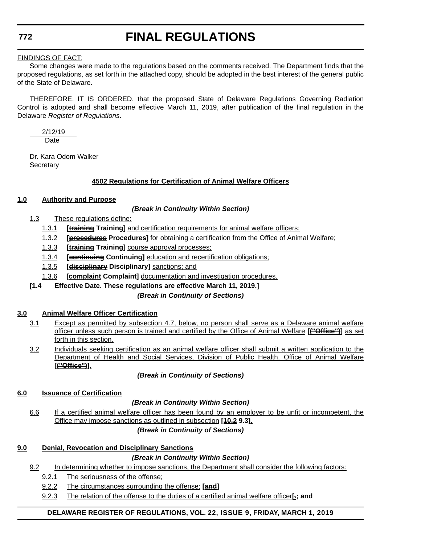# **FINAL REGULATIONS**

### FINDINGS OF FACT:

Some changes were made to the regulations based on the comments received. The Department finds that the proposed regulations, as set forth in the attached copy, should be adopted in the best interest of the general public of the State of Delaware.

THEREFORE, IT IS ORDERED, that the proposed State of Delaware Regulations Governing Radiation Control is adopted and shall become effective March 11, 2019, after publication of the final regulation in the Delaware *Register of Regulations*.

 2/12/19 **Date** 

Dr. Kara Odom Walker **Secretary** 

## **4502 Regulations for Certification of Animal Welfare Officers**

## **1.0 Authority and Purpose**

### *(Break in Continuity Within Section)*

- 1.3 These regulations define:
	- 1.3.1 **[training Training]** and certification requirements for animal welfare officers;
	- 1.3.2 **[procedures Procedures]** for obtaining a certification from the Office of Animal Welfare;
	- 1.3.3 **[training Training]** course approval processes;
	- 1.3.4 **[continuing Continuing]** education and recertification obligations;
	- 1.3.5 **[disciplinary Disciplinary]** sanctions; and
	- 1.3.6 [**complaint Complaint]** documentation and investigation procedures.
- **[1.4 Effective Date. These regulations are effective March 11, 2019.]**

## *(Break in Continuity of Sections)*

## **3.0 Animal Welfare Officer Certification**

- 3.1 Except as permitted by subsection 4.7, below, no person shall serve as a Delaware animal welfare officer unless such person is trained and certified by the Office of Animal Welfare **[("Office")]** as set forth in this section.
- 3.2 Individuals seeking certification as an animal welfare officer shall submit a written application to the Department of Health and Social Services, Division of Public Health, Office of Animal Welfare **[("Office")]**.

## *(Break in Continuity of Sections)*

## **6.0 Issuance of Certification**

## *(Break in Continuity Within Section)*

6.6 If a certified animal welfare officer has been found by an employer to be unfit or incompetent, the Office may impose sanctions as outlined in subsection **[10.2 9.3]**.

## *(Break in Continuity of Sections)*

## **9.0 Denial, Revocation and Disciplinary Sanctions**

## *(Break in Continuity Within Section)*

- 9.2 In determining whether to impose sanctions, the Department shall consider the following factors:
	- 9.2.1 The seriousness of the offense;
	- 9.2.2 The circumstances surrounding the offense; **[and]**
	- 9.2.3 The relation of the offense to the duties of a certified animal welfare officer**[.; and**

## **DELAWARE REGISTER OF REGULATIONS, VOL. 22, ISSUE 9, FRIDAY, MARCH 1, 2019**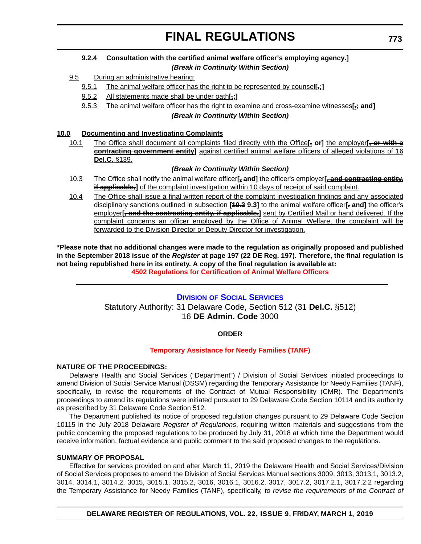### **9.2.4 Consultation with the certified animal welfare officer's employing agency.]** *(Break in Continuity Within Section)*

- 9.5 During an administrative hearing:
	- 9.5.1 The animal welfare officer has the right to be represented by counsel**[.;]**
	- 9.5.2 All statements made shall be under oath**[.;]**
	- 9.5.3 The animal welfare officer has the right to examine and cross-examine witnesses**[.; and]**

#### *(Break in Continuity Within Section)*

### **10.0 Documenting and Investigating Complaints**

10.1 The Office shall document all complaints filed directly with the Office**[, or]** the employer**[, or with a contracting government entity]** against certified animal welfare officers of alleged violations of 16 **Del.C.** §139.

#### *(Break in Continuity Within Section)*

- 10.3 The Office shall notify the animal welfare officer**[, and]** the officer's employer**[, and contracting entity, if applicable.**] of the complaint investigation within 10 days of receipt of said complaint.
- 10.4 The Office shall issue a final written report of the complaint investigation findings and any associated disciplinary sanctions outlined in subsection **[10.2 9.3]** to the animal welfare officer**[, and]** the officer's employer**[, and the contracting entity, if applicable,]** sent by Certified Mail or hand delivered. If the complaint concerns an officer employed by the Office of Animal Welfare, the complaint will be forwarded to the Division Director or Deputy Director for investigation.

**\*Please note that no additional changes were made to the regulation as originally proposed and published in the September 2018 issue of the** *Register* **at page 197 (22 DE Reg. 197). Therefore, the final regulation is not being republished here in its entirety. A copy of the final regulation is available at: [4502 Regulations for Certification of Animal Welfare Officers](http://regulations.delaware.gov/register/march2019/final/22 DE Reg 770 03-01-19.htm)**

## **DIVISION [OF SOCIAL SERVICES](https://www.dhss.delaware.gov/dhss/dss/)** Statutory Authority: 31 Delaware Code, Section 512 (31 **Del.C.** §512) 16 **DE Admin. Code** 3000

## **ORDER**

#### **[Temporary Assistance for Needy Families \(TANF\)](#page-4-0)**

#### **NATURE OF THE PROCEEDINGS:**

Delaware Health and Social Services ("Department") / Division of Social Services initiated proceedings to amend Division of Social Service Manual (DSSM) regarding the Temporary Assistance for Needy Families (TANF), specifically, to revise the requirements of the Contract of Mutual Responsibility (CMR). The Department's proceedings to amend its regulations were initiated pursuant to 29 Delaware Code Section 10114 and its authority as prescribed by 31 Delaware Code Section 512.

The Department published its notice of proposed regulation changes pursuant to 29 Delaware Code Section 10115 in the July 2018 Delaware *Register of Regulations*, requiring written materials and suggestions from the public concerning the proposed regulations to be produced by July 31, 2018 at which time the Department would receive information, factual evidence and public comment to the said proposed changes to the regulations.

#### **SUMMARY OF PROPOSAL**

Effective for services provided on and after March 11, 2019 the Delaware Health and Social Services/Division of Social Services proposes to amend the Division of Social Services Manual sections 3009, 3013, 3013.1, 3013.2, 3014, 3014.1, 3014.2, 3015, 3015.1, 3015.2, 3016, 3016.1, 3016.2, 3017, 3017.2, 3017.2.1, 3017.2.2 regarding the Temporary Assistance for Needy Families (TANF), specifically*, to revise the requirements of the Contract of*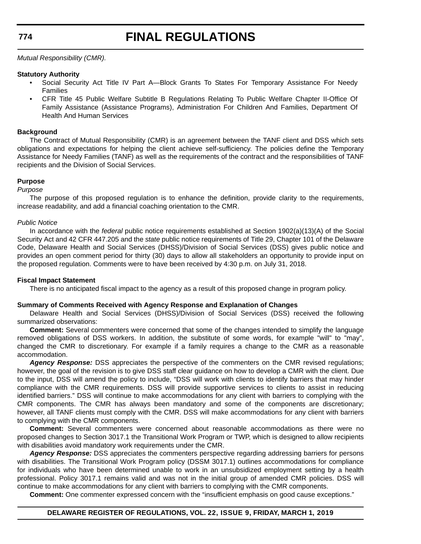## **FINAL REGULATIONS**

*Mutual Responsibility (CMR).*

#### **Statutory Authority**

- Social Security Act Title IV Part A—Block Grants To States For Temporary Assistance For Needy Families
- CFR Title 45 Public Welfare Subtitle B Regulations Relating To Public Welfare Chapter II-Office Of Family Assistance (Assistance Programs), Administration For Children And Families, Department Of Health And Human Services

#### **Background**

The Contract of Mutual Responsibility (CMR) is an agreement between the TANF client and DSS which sets obligations and expectations for helping the client achieve self-sufficiency. The policies define the Temporary Assistance for Needy Families (TANF) as well as the requirements of the contract and the responsibilities of TANF recipients and the Division of Social Services.

#### **Purpose**

#### *Purpose*

The purpose of this proposed regulation is to enhance the definition, provide clarity to the requirements, increase readability, and add a financial coaching orientation to the CMR.

#### *Public Notice*

In accordance with the *federal* public notice requirements established at Section 1902(a)(13)(A) of the Social Security Act and 42 CFR 447.205 and the *state* public notice requirements of Title 29, Chapter 101 of the Delaware Code, Delaware Health and Social Services (DHSS)/Division of Social Services (DSS) gives public notice and provides an open comment period for thirty (30) days to allow all stakeholders an opportunity to provide input on the proposed regulation. Comments were to have been received by 4:30 p.m. on July 31, 2018.

#### **Fiscal Impact Statement**

There is no anticipated fiscal impact to the agency as a result of this proposed change in program policy.

#### **Summary of Comments Received with Agency Response and Explanation of Changes**

Delaware Health and Social Services (DHSS)/Division of Social Services (DSS) received the following summarized observations:

**Comment:** Several commenters were concerned that some of the changes intended to simplify the language removed obligations of DSS workers. In addition, the substitute of some words, for example "will" to "may", changed the CMR to discretionary. For example if a family requires a change to the CMR as a reasonable accommodation.

*Agency Response:* DSS appreciates the perspective of the commenters on the CMR revised regulations; however, the goal of the revision is to give DSS staff clear guidance on how to develop a CMR with the client. Due to the input, DSS will amend the policy to include, "DSS will work with clients to identify barriers that may hinder compliance with the CMR requirements. DSS will provide supportive services to clients to assist in reducing identified barriers." DSS will continue to make accommodations for any client with barriers to complying with the CMR components. The CMR has always been mandatory and some of the components are discretionary; however, all TANF clients must comply with the CMR. DSS will make accommodations for any client with barriers to complying with the CMR components.

**Comment:** Several commenters were concerned about reasonable accommodations as there were no proposed changes to Section 3017.1 the Transitional Work Program or TWP, which is designed to allow recipients with disabilities avoid mandatory work requirements under the CMR.

*Agency Response:* DSS appreciates the commenters perspective regarding addressing barriers for persons with disabilities. The Transitional Work Program policy (DSSM 3017.1) outlines accommodations for compliance for individuals who have been determined unable to work in an unsubsidized employment setting by a health professional. Policy 3017.1 remains valid and was not in the initial group of amended CMR policies. DSS will continue to make accommodations for any client with barriers to complying with the CMR components.

**Comment:** One commenter expressed concern with the "insufficient emphasis on good cause exceptions."

#### **DELAWARE REGISTER OF REGULATIONS, VOL. 22, ISSUE 9, FRIDAY, MARCH 1, 2019**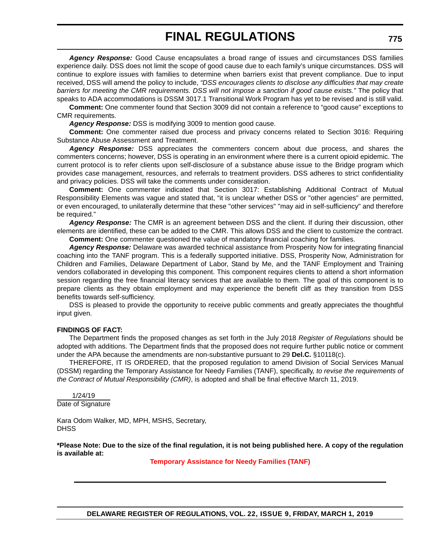*Agency Response:* Good Cause encapsulates a broad range of issues and circumstances DSS families experience daily. DSS does not limit the scope of good cause due to each family's unique circumstances. DSS will continue to explore issues with families to determine when barriers exist that prevent compliance. Due to input received, DSS will amend the policy to include, *"DSS encourages clients to disclose any difficulties that may create barriers for meeting the CMR requirements. DSS will not impose a sanction if good cause exists."* The policy that speaks to ADA accommodations is DSSM 3017.1 Transitional Work Program has yet to be revised and is still valid.

**Comment:** One commenter found that Section 3009 did not contain a reference to "good cause" exceptions to CMR requirements.

*Agency Response:* DSS is modifying 3009 to mention good cause.

**Comment:** One commenter raised due process and privacy concerns related to Section 3016: Requiring Substance Abuse Assessment and Treatment.

*Agency Response:* DSS appreciates the commenters concern about due process, and shares the commenters concerns; however, DSS is operating in an environment where there is a current opioid epidemic. The current protocol is to refer clients upon self-disclosure of a substance abuse issue to the Bridge program which provides case management, resources, and referrals to treatment providers. DSS adheres to strict confidentiality and privacy policies. DSS will take the comments under consideration.

**Comment:** One commenter indicated that Section 3017: Establishing Additional Contract of Mutual Responsibility Elements was vague and stated that, "it is unclear whether DSS or "other agencies" are permitted, or even encouraged, to unilaterally determine that these "other services" "may aid in self-sufficiency" and therefore be required."

*Agency Response:* The CMR is an agreement between DSS and the client. If during their discussion, other elements are identified, these can be added to the CMR. This allows DSS and the client to customize the contract. **Comment:** One commenter questioned the value of mandatory financial coaching for families.

*Agency Response:* Delaware was awarded technical assistance from Prosperity Now for integrating financial coaching into the TANF program. This is a federally supported initiative. DSS, Prosperity Now, Administration for Children and Families, Delaware Department of Labor, Stand by Me, and the TANF Employment and Training vendors collaborated in developing this component. This component requires clients to attend a short information session regarding the free financial literacy services that are available to them. The goal of this component is to prepare clients as they obtain employment and may experience the benefit cliff as they transition from DSS benefits towards self-sufficiency.

DSS is pleased to provide the opportunity to receive public comments and greatly appreciates the thoughtful input given.

### **FINDINGS OF FACT:**

The Department finds the proposed changes as set forth in the July 2018 *Register of Regulations* should be adopted with additions. The Department finds that the proposed does not require further public notice or comment under the APA because the amendments are non-substantive pursuant to 29 **Del.C.** §10118(c).

THEREFORE, IT IS ORDERED, that the proposed regulation to amend Division of Social Services Manual (DSSM) regarding the Temporary Assistance for Needy Families (TANF), specifically*, to revise the requirements of the Contract of Mutual Responsibility (CMR)*, is adopted and shall be final effective March 11, 2019.

 1/24/19 Date of Signature

Kara Odom Walker, MD, MPH, MSHS, Secretary, **DHSS** 

**\*Please Note: Due to the size of the final regulation, it is not being published here. A copy of the regulation is available at:**

**[Temporary Assistance for Needy Families \(TANF\)](http://regulations.delaware.gov/register/march2019/final/22 DE Reg 773 03-01-19.htm)**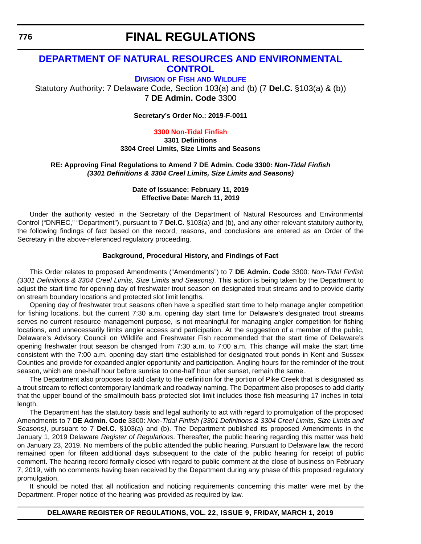# **[DEPARTMENT OF NATURAL RESOURCES AND ENVIRONMENTAL](https://dnrec.alpha.delaware.gov/)  CONTROL**

**DIVISION OF FISH [AND WILDLIFE](https://dnrec.alpha.delaware.gov/fish-wildlife/)**

Statutory Authority: 7 Delaware Code, Section 103(a) and (b) (7 **Del.C.** §103(a) & (b)) 7 **DE Admin. Code** 3300

**Secretary's Order No.: 2019-F-0011**

**[3300 Non-Tidal Finfish](#page-4-0)**

**3301 Definitions 3304 Creel Limits, Size Limits and Seasons**

**RE: Approving Final Regulations to Amend 7 DE Admin. Code 3300:** *Non-Tidal Finfish (3301 Definitions & 3304 Creel Limits, Size Limits and Seasons)*

> **Date of Issuance: February 11, 2019 Effective Date: March 11, 2019**

Under the authority vested in the Secretary of the Department of Natural Resources and Environmental Control ("DNREC," "Department"), pursuant to 7 **Del.C.** §103(a) and (b), and any other relevant statutory authority, the following findings of fact based on the record, reasons, and conclusions are entered as an Order of the Secretary in the above-referenced regulatory proceeding.

### **Background, Procedural History, and Findings of Fact**

This Order relates to proposed Amendments ("Amendments") to 7 **DE Admin. Code** 3300: *Non-Tidal Finfish (3301 Definitions & 3304 Creel Limits, Size Limits and Seasons)*. This action is being taken by the Department to adjust the start time for opening day of freshwater trout season on designated trout streams and to provide clarity on stream boundary locations and protected slot limit lengths.

Opening day of freshwater trout seasons often have a specified start time to help manage angler competition for fishing locations, but the current 7:30 a.m. opening day start time for Delaware's designated trout streams serves no current resource management purpose, is not meaningful for managing angler competition for fishing locations, and unnecessarily limits angler access and participation. At the suggestion of a member of the public, Delaware's Advisory Council on Wildlife and Freshwater Fish recommended that the start time of Delaware's opening freshwater trout season be changed from 7:30 a.m. to 7:00 a.m. This change will make the start time consistent with the 7:00 a.m. opening day start time established for designated trout ponds in Kent and Sussex Counties and provide for expanded angler opportunity and participation. Angling hours for the reminder of the trout season, which are one-half hour before sunrise to one-half hour after sunset, remain the same.

The Department also proposes to add clarity to the definition for the portion of Pike Creek that is designated as a trout stream to reflect contemporary landmark and roadway naming. The Department also proposes to add clarity that the upper bound of the smallmouth bass protected slot limit includes those fish measuring 17 inches in total length.

The Department has the statutory basis and legal authority to act with regard to promulgation of the proposed Amendments to 7 **DE Admin. Code** 3300: *Non-Tidal Finfish (3301 Definitions & 3304 Creel Limits, Size Limits and Seasons)*, pursuant to 7 **Del.C.** §103(a) and (b). The Department published its proposed Amendments in the January 1, 2019 Delaware *Register of Regulations*. Thereafter, the public hearing regarding this matter was held on January 23, 2019. No members of the public attended the public hearing. Pursuant to Delaware law, the record remained open for fifteen additional days subsequent to the date of the public hearing for receipt of public comment. The hearing record formally closed with regard to public comment at the close of business on February 7, 2019, with no comments having been received by the Department during any phase of this proposed regulatory promulgation.

It should be noted that all notification and noticing requirements concerning this matter were met by the Department. Proper notice of the hearing was provided as required by law.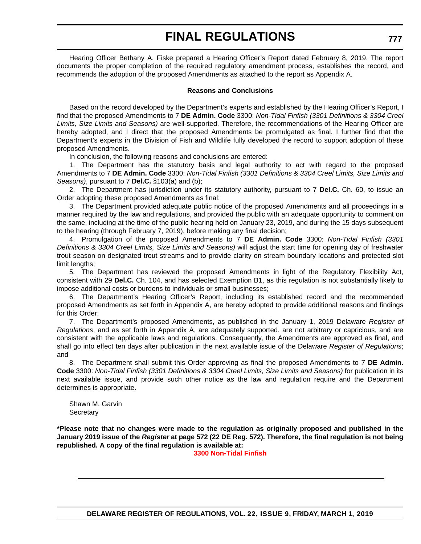Hearing Officer Bethany A. Fiske prepared a Hearing Officer's Report dated February 8, 2019. The report documents the proper completion of the required regulatory amendment process, establishes the record, and recommends the adoption of the proposed Amendments as attached to the report as Appendix A.

### **Reasons and Conclusions**

Based on the record developed by the Department's experts and established by the Hearing Officer's Report, I find that the proposed Amendments to 7 **DE Admin. Code** 3300: *Non-Tidal Finfish (3301 Definitions & 3304 Creel Limits, Size Limits and Seasons)* are well-supported. Therefore, the recommendations of the Hearing Officer are hereby adopted, and I direct that the proposed Amendments be promulgated as final. I further find that the Department's experts in the Division of Fish and Wildlife fully developed the record to support adoption of these proposed Amendments.

In conclusion, the following reasons and conclusions are entered:

1. The Department has the statutory basis and legal authority to act with regard to the proposed Amendments to 7 **DE Admin. Code** 3300: *Non-Tidal Finfish (3301 Definitions & 3304 Creel Limits, Size Limits and Seasons)*, pursuant to 7 **Del.C.** §103(a) and (b);

2. The Department has jurisdiction under its statutory authority, pursuant to 7 **Del.C.** Ch. 60, to issue an Order adopting these proposed Amendments as final;

3. The Department provided adequate public notice of the proposed Amendments and all proceedings in a manner required by the law and regulations, and provided the public with an adequate opportunity to comment on the same, including at the time of the public hearing held on January 23, 2019, and during the 15 days subsequent to the hearing (through February 7, 2019), before making any final decision;

4. Promulgation of the proposed Amendments to 7 **DE Admin. Code** 3300: *Non-Tidal Finfish (3301 Definitions & 3304 Creel Limits, Size Limits and Seasons)* will adjust the start time for opening day of freshwater trout season on designated trout streams and to provide clarity on stream boundary locations and protected slot limit lengths;

5. The Department has reviewed the proposed Amendments in light of the Regulatory Flexibility Act, consistent with 29 **Del.C.** Ch. 104, and has selected Exemption B1, as this regulation is not substantially likely to impose additional costs or burdens to individuals or small businesses;

6. The Department's Hearing Officer's Report, including its established record and the recommended proposed Amendments as set forth in Appendix A, are hereby adopted to provide additional reasons and findings for this Order;

7. The Department's proposed Amendments, as published in the January 1, 2019 Delaware *Register of Regulations*, and as set forth in Appendix A, are adequately supported, are not arbitrary or capricious, and are consistent with the applicable laws and regulations. Consequently, the Amendments are approved as final, and shall go into effect ten days after publication in the next available issue of the Delaware *Register of Regulations*; and

8. The Department shall submit this Order approving as final the proposed Amendments to 7 **DE Admin. Code** 3300: *Non-Tidal Finfish (3301 Definitions & 3304 Creel Limits, Size Limits and Seasons)* for publication in its next available issue, and provide such other notice as the law and regulation require and the Department determines is appropriate.

Shawn M. Garvin **Secretary** 

**\*Please note that no changes were made to the regulation as originally proposed and published in the January 2019 issue of the** *Register* **at page 572 (22 DE Reg. 572). Therefore, the final regulation is not being republished. A copy of the final regulation is available at:**

**[3300 Non-Tidal Finfish](http://regulations.delaware.gov/register/march2019/final/22 DE Reg 776 03-01-19.htm)**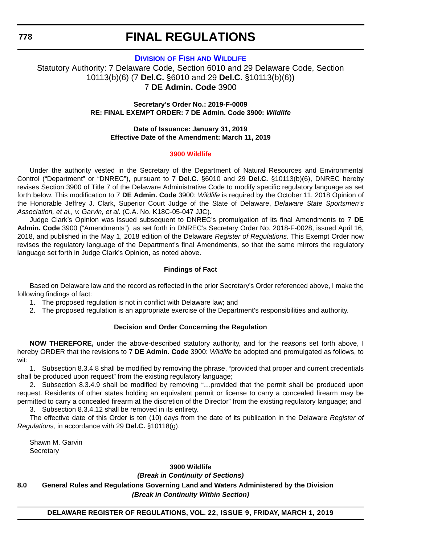**778**

# **FINAL REGULATIONS**

## **DIVISION OF FISH [AND WILDLIFE](https://dnrec.alpha.delaware.gov/fish-wildlife/)**

Statutory Authority: 7 Delaware Code, Section 6010 and 29 Delaware Code, Section 10113(b)(6) (7 **Del.C.** §6010 and 29 **Del.C.** §10113(b)(6)) 7 **DE Admin. Code** 3900

> **Secretary's Order No.: 2019-F-0009 RE: FINAL EXEMPT ORDER: 7 DE Admin. Code 3900:** *Wildlife*

**Date of Issuance: January 31, 2019 Effective Date of the Amendment: March 11, 2019**

### **[3900 Wildlife](#page-4-0)**

Under the authority vested in the Secretary of the Department of Natural Resources and Environmental Control ("Department" or "DNREC"), pursuant to 7 **Del.C.** §6010 and 29 **Del.C.** §10113(b)(6), DNREC hereby revises Section 3900 of Title 7 of the Delaware Administrative Code to modify specific regulatory language as set forth below. This modification to 7 **DE Admin. Code** 3900: *Wildlife* is required by the October 11, 2018 Opinion of the Honorable Jeffrey J. Clark, Superior Court Judge of the State of Delaware, *Delaware State Sportsmen's Association, et al., v. Garvin, et al.* (C.A. No. K18C-05-047 JJC).

Judge Clark's Opinion was issued subsequent to DNREC's promulgation of its final Amendments to 7 **DE Admin. Code** 3900 ("Amendments"), as set forth in DNREC's Secretary Order No. 2018-F-0028, issued April 16, 2018, and published in the May 1, 2018 edition of the Delaware *Register of Regulations*. This Exempt Order now revises the regulatory language of the Department's final Amendments, so that the same mirrors the regulatory language set forth in Judge Clark's Opinion, as noted above.

### **Findings of Fact**

Based on Delaware law and the record as reflected in the prior Secretary's Order referenced above, I make the following findings of fact:

- 1. The proposed regulation is not in conflict with Delaware law; and
- 2. The proposed regulation is an appropriate exercise of the Department's responsibilities and authority.

### **Decision and Order Concerning the Regulation**

**NOW THEREFORE,** under the above-described statutory authority, and for the reasons set forth above, I hereby ORDER that the revisions to 7 **DE Admin. Code** 3900: *Wildlife* be adopted and promulgated as follows, to wit:

1. Subsection 8.3.4.8 shall be modified by removing the phrase, "provided that proper and current credentials shall be produced upon request" from the existing regulatory language;

2. Subsection 8.3.4.9 shall be modified by removing "…provided that the permit shall be produced upon request. Residents of other states holding an equivalent permit or license to carry a concealed firearm may be permitted to carry a concealed firearm at the discretion of the Director" from the existing regulatory language; and 3. Subsection 8.3.4.12 shall be removed in its entirety.

The effective date of this Order is ten (10) days from the date of its publication in the Delaware *Register of Regulations,* in accordance with 29 **Del.C.** §10118(g).

Shawn M. Garvin **Secretary** 

**3900 Wildlife** *(Break in Continuity of Sections)* **8.0 General Rules and Regulations Governing Land and Waters Administered by the Division** *(Break in Continuity Within Section)*

### **DELAWARE REGISTER OF REGULATIONS, VOL. 22, ISSUE 9, FRIDAY, MARCH 1, 2019**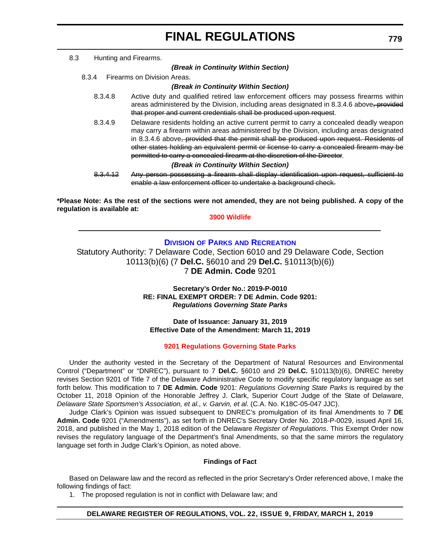#### 8.3 Hunting and Firearms.

#### *(Break in Continuity Within Section)*

8.3.4 Firearms on Division Areas.

### *(Break in Continuity Within Section)*

- 8.3.4.8 Active duty and qualified retired law enforcement officers may possess firearms within areas administered by the Division, including areas designated in 8.3.4.6 above, provided that proper and current credentials shall be produced upon request.
- 8.3.4.9 Delaware residents holding an active current permit to carry a concealed deadly weapon may carry a firearm within areas administered by the Division, including areas designated in 8.3.4.6 above, provided that the permit shall be produced upon request. Residents of other states holding an equivalent permit or license to carry a concealed firearm may be permitted to carry a concealed firearm at the discretion of the Director.

#### *(Break in Continuity Within Section)*

8.3.4.12 Any person possessing a firearm shall display identification upon request, sufficient to enable a law enforcement officer to undertake a background check.

**\*Please Note: As the rest of the sections were not amended, they are not being published. A copy of the regulation is available at:**

### **[3900 Wildlife](http://regulations.delaware.gov/register/march2019/final/22 DE Reg 778 03-01-19.htm)**

## **DIVISION OF PARKS [AND RECREATION](https://dnrec.alpha.delaware.gov/parks/)**

Statutory Authority: 7 Delaware Code, Section 6010 and 29 Delaware Code, Section 10113(b)(6) (7 **Del.C.** §6010 and 29 **Del.C.** §10113(b)(6)) 7 **DE Admin. Code** 9201

> **Secretary's Order No.: 2019-P-0010 RE: FINAL EXEMPT ORDER: 7 DE Admin. Code 9201:** *Regulations Governing State Parks*

**Date of Issuance: January 31, 2019 Effective Date of the Amendment: March 11, 2019**

### **[9201 Regulations Governing State Parks](#page-4-0)**

Under the authority vested in the Secretary of the Department of Natural Resources and Environmental Control ("Department" or "DNREC"), pursuant to 7 **Del.C.** §6010 and 29 **Del.C.** §10113(b)(6), DNREC hereby revises Section 9201 of Title 7 of the Delaware Administrative Code to modify specific regulatory language as set forth below. This modification to 7 **DE Admin. Code** 9201: *Regulations Governing State Parks* is required by the October 11, 2018 Opinion of the Honorable Jeffrey J. Clark, Superior Court Judge of the State of Delaware, *Delaware State Sportsmen's Association, et al., v. Garvin, et al.* (C.A. No. K18C-05-047 JJC).

Judge Clark's Opinion was issued subsequent to DNREC's promulgation of its final Amendments to 7 **DE Admin. Code** 9201 ("Amendments"), as set forth in DNREC's Secretary Order No. 2018-P-0029, issued April 16, 2018, and published in the May 1, 2018 edition of the Delaware *Register of Regulations*. This Exempt Order now revises the regulatory language of the Department's final Amendments, so that the same mirrors the regulatory language set forth in Judge Clark's Opinion, as noted above.

#### **Findings of Fact**

Based on Delaware law and the record as reflected in the prior Secretary's Order referenced above, I make the following findings of fact:

1. The proposed regulation is not in conflict with Delaware law; and

### **DELAWARE REGISTER OF REGULATIONS, VOL. 22, ISSUE 9, FRIDAY, MARCH 1, 2019**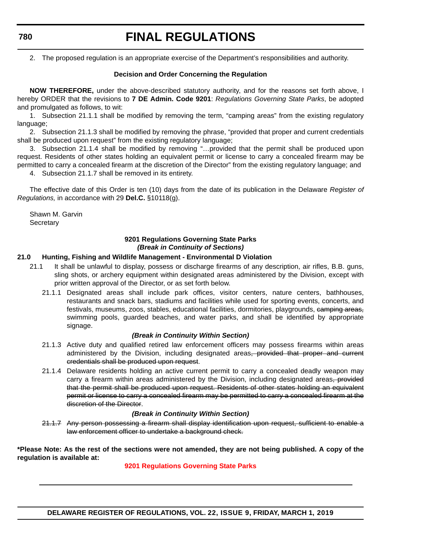### **780**

# **FINAL REGULATIONS**

2. The proposed regulation is an appropriate exercise of the Department's responsibilities and authority.

### **Decision and Order Concerning the Regulation**

**NOW THEREFORE,** under the above-described statutory authority, and for the reasons set forth above, I hereby ORDER that the revisions to **7 DE Admin. Code 9201**: *Regulations Governing State Parks*, be adopted and promulgated as follows, to wit:

1. Subsection 21.1.1 shall be modified by removing the term, "camping areas" from the existing regulatory language:

2. Subsection 21.1.3 shall be modified by removing the phrase, "provided that proper and current credentials shall be produced upon request" from the existing regulatory language;

3. Subsection 21.1.4 shall be modified by removing "…provided that the permit shall be produced upon request. Residents of other states holding an equivalent permit or license to carry a concealed firearm may be permitted to carry a concealed firearm at the discretion of the Director" from the existing regulatory language; and

4. Subsection 21.1.7 shall be removed in its entirety.

The effective date of this Order is ten (10) days from the date of its publication in the Delaware *Register of Regulations,* in accordance with 29 **Del.C.** §10118(g).

Shawn M. Garvin **Secretary** 

### **9201 Regulations Governing State Parks** *(Break in Continuity of Sections)*

### **21.0 Hunting, Fishing and Wildlife Management - Environmental D Violation**

- 21.1 It shall be unlawful to display, possess or discharge firearms of any description, air rifles, B.B. guns, sling shots, or archery equipment within designated areas administered by the Division, except with prior written approval of the Director, or as set forth below.
	- 21.1.1 Designated areas shall include park offices, visitor centers, nature centers, bathhouses, restaurants and snack bars, stadiums and facilities while used for sporting events, concerts, and festivals, museums, zoos, stables, educational facilities, dormitories, playgrounds, eamping areas, swimming pools, guarded beaches, and water parks, and shall be identified by appropriate signage.

### *(Break in Continuity Within Section)*

- 21.1.3 Active duty and qualified retired law enforcement officers may possess firearms within areas administered by the Division, including designated areas, provided that proper and current credentials shall be produced upon request.
- 21.1.4 Delaware residents holding an active current permit to carry a concealed deadly weapon may carry a firearm within areas administered by the Division, including designated areas, provided that the permit shall be produced upon request. Residents of other states holding an equivalent permit or license to carry a concealed firearm may be permitted to carry a concealed firearm at the discretion of the Director.

### *(Break in Continuity Within Section)*

21.1.7 Any person possessing a firearm shall display identification upon request, sufficient to enable a law enforcement officer to undertake a background check.

**\*Please Note: As the rest of the sections were not amended, they are not being published. A copy of the regulation is available at:**

### **[9201 Regulations Governing State Parks](http://regulations.delaware.gov/register/march2019/final/22 DE Reg 779 03-01-19.htm)**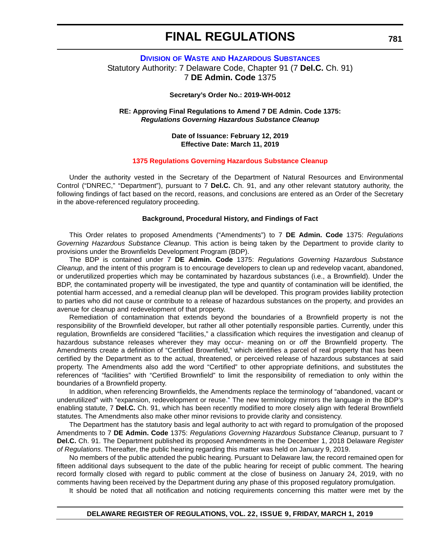## **DIVISION OF WASTE [AND HAZARDOUS SUBSTANCES](https://dnrec.alpha.delaware.gov/waste-hazardous/)** Statutory Authority: 7 Delaware Code, Chapter 91 (7 **Del.C.** Ch. 91) 7 **DE Admin. Code** 1375

### **Secretary's Order No.: 2019-WH-0012**

### **RE: Approving Final Regulations to Amend 7 DE Admin. Code 1375:** *Regulations Governing Hazardous Substance Cleanup*

### **Date of Issuance: February 12, 2019 Effective Date: March 11, 2019**

#### **[1375 Regulations Governing Hazardous Substance Cleanup](#page-4-0)**

Under the authority vested in the Secretary of the Department of Natural Resources and Environmental Control ("DNREC," "Department"), pursuant to 7 **Del.C.** Ch. 91, and any other relevant statutory authority, the following findings of fact based on the record, reasons, and conclusions are entered as an Order of the Secretary in the above-referenced regulatory proceeding.

### **Background, Procedural History, and Findings of Fact**

This Order relates to proposed Amendments ("Amendments") to 7 **DE Admin. Code** 1375: *Regulations Governing Hazardous Substance Cleanup*. This action is being taken by the Department to provide clarity to provisions under the Brownfields Development Program (BDP).

The BDP is contained under 7 **DE Admin. Code** 1375: *Regulations Governing Hazardous Substance Cleanup*, and the intent of this program is to encourage developers to clean up and redevelop vacant, abandoned, or underutilized properties which may be contaminated by hazardous substances (i.e., a Brownfield). Under the BDP, the contaminated property will be investigated, the type and quantity of contamination will be identified, the potential harm accessed, and a remedial cleanup plan will be developed. This program provides liability protection to parties who did not cause or contribute to a release of hazardous substances on the property, and provides an avenue for cleanup and redevelopment of that property.

Remediation of contamination that extends beyond the boundaries of a Brownfield property is not the responsibility of the Brownfield developer, but rather all other potentially responsible parties. Currently, under this regulation, Brownfields are considered "facilities," a classification which requires the investigation and cleanup of hazardous substance releases wherever they may occur- meaning on or *off* the Brownfield property. The Amendments create a definition of "Certified Brownfield," which identifies a parcel of real property that has been certified by the Department as to the actual, threatened, or perceived release of hazardous substances at said property. The Amendments also add the word "Certified" to other appropriate definitions, and substitutes the references of "facilities" with "Certified Brownfield" to limit the responsibility of remediation to only within the boundaries of a Brownfield property.

In addition, when referencing Brownfields, the Amendments replace the terminology of "abandoned, vacant or underutilized" with "expansion, redevelopment or reuse." The new terminology mirrors the language in the BDP's enabling statute, 7 **Del.C.** Ch. 91, which has been recently modified to more closely align with federal Brownfield statutes. The Amendments also make other minor revisions to provide clarity and consistency.

The Department has the statutory basis and legal authority to act with regard to promulgation of the proposed Amendments to 7 **DE Admin. Code** 1375: *Regulations Governing Hazardous Substance Cleanup*, pursuant to 7 **Del.C.** Ch. 91. The Department published its proposed Amendments in the December 1, 2018 Delaware *Register of Regulations*. Thereafter, the public hearing regarding this matter was held on January 9, 2019.

No members of the public attended the public hearing. Pursuant to Delaware law, the record remained open for fifteen additional days subsequent to the date of the public hearing for receipt of public comment. The hearing record formally closed with regard to public comment at the close of business on January 24, 2019, with no comments having been received by the Department during any phase of this proposed regulatory promulgation.

It should be noted that all notification and noticing requirements concerning this matter were met by the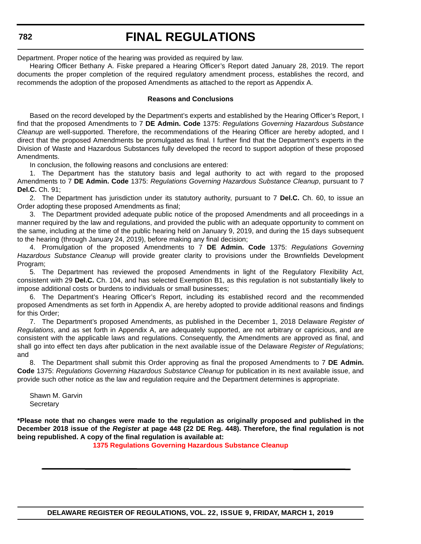Department. Proper notice of the hearing was provided as required by law.

Hearing Officer Bethany A. Fiske prepared a Hearing Officer's Report dated January 28, 2019. The report documents the proper completion of the required regulatory amendment process, establishes the record, and recommends the adoption of the proposed Amendments as attached to the report as Appendix A.

### **Reasons and Conclusions**

Based on the record developed by the Department's experts and established by the Hearing Officer's Report, I find that the proposed Amendments to 7 **DE Admin. Code** 1375: *Regulations Governing Hazardous Substance Cleanup* are well-supported. Therefore, the recommendations of the Hearing Officer are hereby adopted, and I direct that the proposed Amendments be promulgated as final. I further find that the Department's experts in the Division of Waste and Hazardous Substances fully developed the record to support adoption of these proposed Amendments.

In conclusion, the following reasons and conclusions are entered:

1. The Department has the statutory basis and legal authority to act with regard to the proposed Amendments to 7 **DE Admin. Code** 1375: *Regulations Governing Hazardous Substance Cleanup*, pursuant to 7 **Del.C.** Ch. 91;

2. The Department has jurisdiction under its statutory authority, pursuant to 7 **Del.C.** Ch. 60, to issue an Order adopting these proposed Amendments as final;

3. The Department provided adequate public notice of the proposed Amendments and all proceedings in a manner required by the law and regulations, and provided the public with an adequate opportunity to comment on the same, including at the time of the public hearing held on January 9, 2019, and during the 15 days subsequent to the hearing (through January 24, 2019), before making any final decision;

4. Promulgation of the proposed Amendments to 7 **DE Admin. Code** 1375: *Regulations Governing Hazardous Substance Cleanup* will provide greater clarity to provisions under the Brownfields Development Program;

5. The Department has reviewed the proposed Amendments in light of the Regulatory Flexibility Act, consistent with 29 **Del.C.** Ch. 104, and has selected Exemption B1, as this regulation is not substantially likely to impose additional costs or burdens to individuals or small businesses;

6. The Department's Hearing Officer's Report, including its established record and the recommended proposed Amendments as set forth in Appendix A, are hereby adopted to provide additional reasons and findings for this Order;

7. The Department's proposed Amendments, as published in the December 1, 2018 Delaware *Register of Regulations*, and as set forth in Appendix A, are adequately supported, are not arbitrary or capricious, and are consistent with the applicable laws and regulations. Consequently, the Amendments are approved as final, and shall go into effect ten days after publication in the next available issue of the Delaware *Register of Regulations*; and

8. The Department shall submit this Order approving as final the proposed Amendments to 7 **DE Admin. Code** 1375: *Regulations Governing Hazardous Substance Cleanup* for publication in its next available issue, and provide such other notice as the law and regulation require and the Department determines is appropriate.

Shawn M. Garvin **Secretary** 

**\*Please note that no changes were made to the regulation as originally proposed and published in the December 2018 issue of the** *Register* **at page 448 (22 DE Reg. 448). Therefore, the final regulation is not being republished. A copy of the final regulation is available at:**

**[1375 Regulations Governing Hazardous Substance Cleanup](http://regulations.delaware.gov/register/march2019/final/22 DE Reg 781 03-01-19.htm)**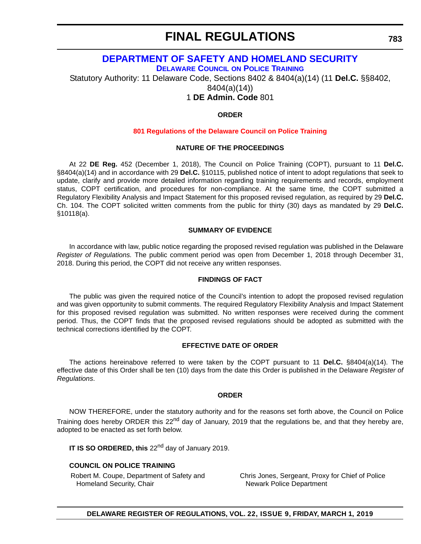# **[DEPARTMENT OF SAFETY AND HOMELAND SECURITY](https://dshs.delaware.gov/)**

**[DELAWARE COUNCIL](https://dshs.delaware.gov/) ON POLICE TRAINING**

Statutory Authority: 11 Delaware Code, Sections 8402 & 8404(a)(14) (11 **Del.C.** §§8402,

8404(a)(14))

1 **DE Admin. Code** 801

### **ORDER**

### **[801 Regulations of the Delaware Council on Police Training](#page-4-0)**

### **NATURE OF THE PROCEEDINGS**

At 22 **DE Reg.** 452 (December 1, 2018), The Council on Police Training (COPT), pursuant to 11 **Del.C.** §8404(a)(14) and in accordance with 29 **Del.C.** §10115, published notice of intent to adopt regulations that seek to update, clarify and provide more detailed information regarding training requirements and records, employment status, COPT certification, and procedures for non-compliance. At the same time, the COPT submitted a Regulatory Flexibility Analysis and Impact Statement for this proposed revised regulation, as required by 29 **Del.C.** Ch. 104. The COPT solicited written comments from the public for thirty (30) days as mandated by 29 **Del.C.** §10118(a).

### **SUMMARY OF EVIDENCE**

In accordance with law, public notice regarding the proposed revised regulation was published in the Delaware *Register of Regulations.* The public comment period was open from December 1, 2018 through December 31, 2018. During this period, the COPT did not receive any written responses.

### **FINDINGS OF FACT**

The public was given the required notice of the Council's intention to adopt the proposed revised regulation and was given opportunity to submit comments. The required Regulatory Flexibility Analysis and Impact Statement for this proposed revised regulation was submitted. No written responses were received during the comment period. Thus, the COPT finds that the proposed revised regulations should be adopted as submitted with the technical corrections identified by the COPT.

### **EFFECTIVE DATE OF ORDER**

The actions hereinabove referred to were taken by the COPT pursuant to 11 **Del.C.** §8404(a)(14). The effective date of this Order shall be ten (10) days from the date this Order is published in the Delaware *Register of Regulations*.

### **ORDER**

NOW THEREFORE, under the statutory authority and for the reasons set forth above, the Council on Police Training does hereby ORDER this  $22<sup>nd</sup>$  day of January, 2019 that the regulations be, and that they hereby are, adopted to be enacted as set forth below.

**IT IS SO ORDERED, this** 22<sup>nd</sup> day of January 2019.

### **COUNCIL ON POLICE TRAINING**

Robert M. Coupe, Department of Safety and Homeland Security, Chair

Chris Jones, Sergeant, Proxy for Chief of Police Newark Police Department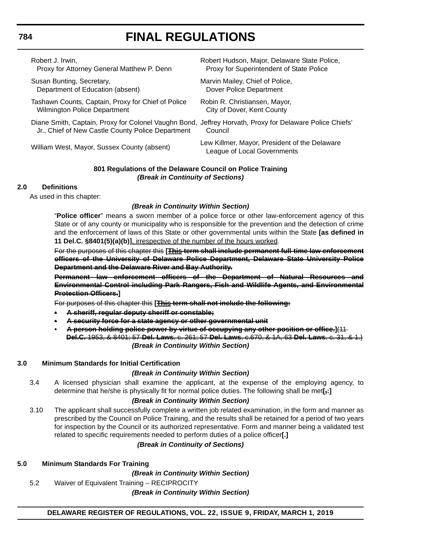Robert J. Irwin, Proxy for Attorney General Matthew P. Denn

Susan Bunting, Secretary, Department of Education (absent)

Tashawn Counts, Captain, Proxy for Chief of Police Wilmington Police Department

Diane Smith, Captain, Proxy for Colonel Vaughn Bond, Jeffrey Horvath, Proxy for Delaware Police Chiefs' Jr., Chief of New Castle County Police Department

Robert Hudson, Major, Delaware State Police, Proxy for Superintendent of State Police

Marvin Mailey, Chief of Police, Dover Police Department

Robin R. Christiansen, Mayor, City of Dover, Kent County

**Council** 

William West, Mayor, Sussex County (absent) Lew Killmer, Mayor, President of the Delaware League of Local Governments

### **801 Regulations of the Delaware Council on Police Training** *(Break in Continuity of Sections)*

# **2.0 Definitions**

As used in this chapter:

## *(Break in Continuity Within Section)*

"**Police officer**" means a sworn member of a police force or other law-enforcement agency of this State or of any county or municipality who is responsible for the prevention and the detection of crime and the enforcement of laws of this State or other governmental units within the State **[as defined in 11 Del.C. §8401(5)(a)(b)]**, irrespective of the number of the hours worked.

For the purposes of this chapter this **[This term shall include permanent full-time law enforcement officers of the University of Delaware Police Department, Delaware State University Police Department and the Delaware River and Bay Authority.**

**Permanent law enforcement officers of the Department of Natural Resources and Environmental Control including Park Rangers, Fish and Wildlife Agents, and Environmental Protection Officers.]**

For purposes of this chapter this **[This term shall not include the following:**

- **• A sheriff, regular deputy sheriff or constable;**
- **• A security force for a state agency or other governmental unit**
- **A person holding police power by virtue of occupying any other position or office.]**(11 **Del.C.** 1953, & 8401; 57 **Del. Laws**, c. 261; 57 **Del. Laws**, c.670, & 1A, 63 **Del. Laws**, c. 31, & 1.) *(Break in Continuity Within Section)*

# **3.0 Minimum Standards for Initial Certification**

# *(Break in Continuity Within Section)*

3.4 A licensed physician shall examine the applicant, at the expense of the employing agency, to determine that he/she is physically fit for normal police duties. The following shall be met**[,:]**

# *(Break in Continuity Within Section)*

3.10 The applicant shall successfully complete a written job related examination, in the form and manner as prescribed by the Council on Police Training, and the results shall be retained for a period of two years for inspection by the Council or its authorized representative. Form and manner being a validated test related to specific requirements needed to perform duties of a police officer**[.]**

# *(Break in Continuity of Sections)*

### **5.0 Minimum Standards For Training**

*(Break in Continuity Within Section)*

5.2 Waiver of Equivalent Training – RECIPROCITY

*(Break in Continuity Within Section)*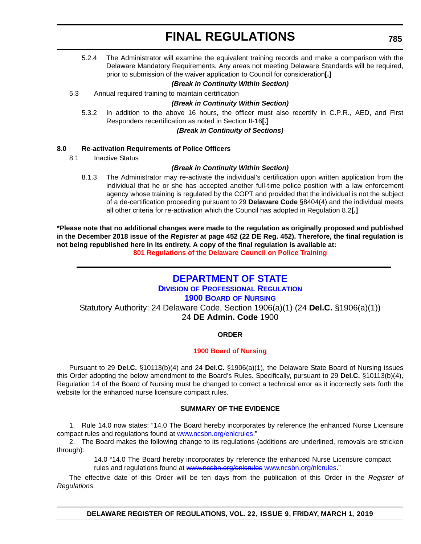5.2.4 The Administrator will examine the equivalent training records and make a comparison with the Delaware Mandatory Requirements. Any areas not meeting Delaware Standards will be required, prior to submission of the waiver application to Council for consideration**[.]**

### *(Break in Continuity Within Section)*

5.3 Annual required training to maintain certification

### *(Break in Continuity Within Section)*

5.3.2 In addition to the above 16 hours, the officer must also recertify in C.P.R., AED, and First Responders recertification as noted in Section II-16**[.]**

*(Break in Continuity of Sections)*

### **8.0 Re-activation Requirements of Police Officers**

8.1 Inactive Status

### *(Break in Continuity Within Section)*

8.1.3 The Administrator may re-activate the individual's certification upon written application from the individual that he or she has accepted another full-time police position with a law enforcement agency whose training is regulated by the COPT and provided that the individual is not the subject of a de-certification proceeding pursuant to 29 **Delaware Code** §8404(4) and the individual meets all other criteria for re-activation which the Council has adopted in Regulation 8.2**[.]**

**\*Please note that no additional changes were made to the regulation as originally proposed and published in the December 2018 issue of the** *Register* **at page 452 (22 DE Reg. 452). Therefore, the final regulation is not being republished here in its entirety. A copy of the final regulation is available at:**

**[801 Regulations of the Delaware Council on Police Training](http://regulations.delaware.gov/register/march2019/final/22 DE Reg 783 03-01-19.htm)**

# **[DEPARTMENT OF STATE](https://sos.delaware.gov/)**

**DIVISION [OF PROFESSIONAL REGULATION](https://dpr.delaware.gov/)**

### **[1900 BOARD](https://dpr.delaware.gov/boards/nursing/) OF NURSING**

Statutory Authority: 24 Delaware Code, Section 1906(a)(1) (24 **Del.C.** §1906(a)(1)) 24 **DE Admin. Code** 1900

# **ORDER**

### **[1900 Board of Nursing](#page-4-0)**

Pursuant to 29 **Del.C.** §10113(b)(4) and 24 **Del.C.** §1906(a)(1), the Delaware State Board of Nursing issues this Order adopting the below amendment to the Board's Rules. Specifically, pursuant to 29 **Del.C.** §10113(b)(4), Regulation 14 of the Board of Nursing must be changed to correct a technical error as it incorrectly sets forth the website for the enhanced nurse licensure compact rules.

### **SUMMARY OF THE EVIDENCE**

1. Rule 14.0 now states: "14.0 The Board hereby incorporates by reference the enhanced Nurse Licensure compact rules and regulations found at www.ncsbn.org/enlcrules."

2. The Board makes the following change to its regulations (additions are underlined, removals are stricken through):

> 14.0 "14.0 The Board hereby incorporates by reference the enhanced Nurse Licensure compact rules and regulations found at www.ncsbn.org/enlcrules www.ncsbn.org/nlcrules."

The effective date of this Order will be ten days from the publication of this Order in the *Register of Regulations*.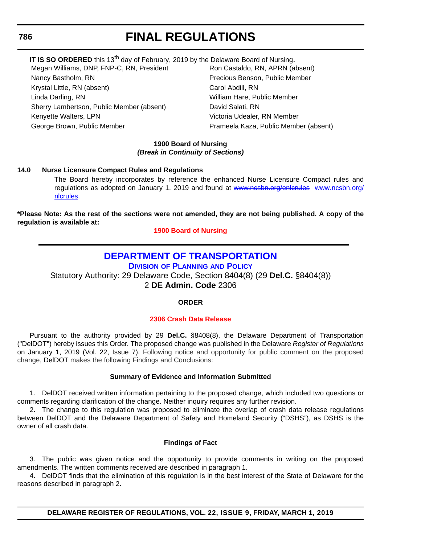## **786**

# **FINAL REGULATIONS**

| IT IS SO ORDERED this 13 <sup>th</sup> day of February, 2019 by the Delaware Board of Nursing. |                                       |
|------------------------------------------------------------------------------------------------|---------------------------------------|
| Megan Williams, DNP, FNP-C, RN, President                                                      | Ron Castaldo, RN, APRN (absent)       |
| Nancy Bastholm, RN                                                                             | Precious Benson, Public Member        |
| Krystal Little, RN (absent)                                                                    | Carol Abdill, RN                      |
| Linda Darling, RN                                                                              | William Hare, Public Member           |
| Sherry Lambertson, Public Member (absent)                                                      | David Salati, RN                      |
| Kenyette Walters, LPN                                                                          | Victoria Udealer, RN Member           |
| George Brown, Public Member                                                                    | Prameela Kaza, Public Member (absent) |
|                                                                                                |                                       |

### **1900 Board of Nursing** *(Break in Continuity of Sections)*

## **14.0 Nurse Licensure Compact Rules and Regulations**

The Board hereby incorporates by reference the enhanced Nurse Licensure Compact rules and regulations as adopted on January 1, 2019 and found at [www.ncsbn.org/](www.ncsbn.org/nlcrules)enlerules www.ncsbn.org/ [nlcrules.](www.ncsbn.org/nlcrules)

**\*Please Note: As the rest of the sections were not amended, they are not being published. A copy of the regulation is available at:**

**[1900 Board of Nursing](http://regulations.delaware.gov/register/march2019/final/22 DE Reg 785 03-01-19.htm)**

# **[DEPARTMENT OF TRANSPORTATION](https://www.deldot.gov/index.shtml)**

**DIVISION [OF PLANNING](https://www.deldot.gov/About/divisions/index.shtml) AND POLICY**

Statutory Authority: 29 Delaware Code, Section 8404(8) (29 **Del.C.** §8404(8)) 2 **DE Admin. Code** 2306

**ORDER**

# **[2306 Crash Data Release](#page-4-0)**

Pursuant to the authority provided by 29 **Del.C.** §8408(8), the Delaware Department of Transportation ("DelDOT") hereby issues this Order. The proposed change was published in the Delaware *Register of Regulations* on January 1, 2019 (Vol. 22, Issue 7). Following notice and opportunity for public comment on the proposed change, DelDOT makes the following Findings and Conclusions:

### **Summary of Evidence and Information Submitted**

1. DelDOT received written information pertaining to the proposed change, which included two questions or comments regarding clarification of the change. Neither inquiry requires any further revision.

2. The change to this regulation was proposed to eliminate the overlap of crash data release regulations between DelDOT and the Delaware Department of Safety and Homeland Security ("DSHS"), as DSHS is the owner of all crash data.

### **Findings of Fact**

3. The public was given notice and the opportunity to provide comments in writing on the proposed amendments. The written comments received are described in paragraph 1.

4. DelDOT finds that the elimination of this regulation is in the best interest of the State of Delaware for the reasons described in paragraph 2.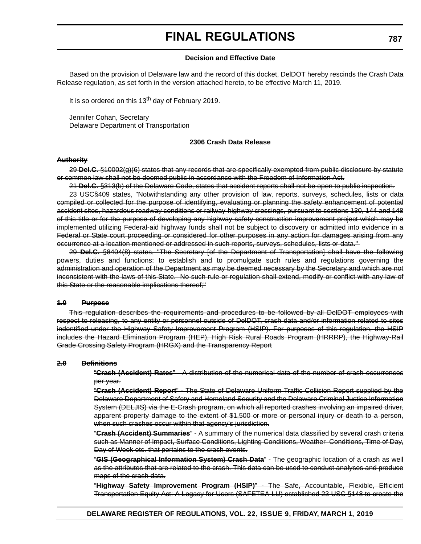### **Decision and Effective Date**

Based on the provision of Delaware law and the record of this docket, DelDOT hereby rescinds the Crash Data Release regulation, as set forth in the version attached hereto, to be effective March 11, 2019.

It is so ordered on this  $13<sup>th</sup>$  day of February 2019.

Jennifer Cohan, Secretary Delaware Department of Transportation

### **2306 Crash Data Release**

### **Authority**

29 **Del.C.** §10002(g)(6) states that any records that are specifically exempted from public disclosure by statute or common law shall not be deemed public in accordance with the Freedom of Information Act.

21 **Del.C.** §313(b) of the Delaware Code, states that accident reports shall not be open to public inspection.

23 USC§409 states, "Notwithstanding any other provision of law, reports, surveys, schedules, lists or data compiled or collected for the purpose of identifying, evaluating or planning the safety enhancement of potential accident sites, hazardous roadway conditions or railway-highway crossings, pursuant to sections 130, 144 and 148 of this title or for the purpose of developing any highway safety construction improvement project which may be implemented utilizing Federal-aid highway funds shall not be subject to discovery or admitted into evidence in a Federal or State court proceeding or considered for other purposes in any action for damages arising from any occurrence at a location mentioned or addressed in such reports, surveys, schedules, lists or data."

29 **Del.C.** §8404(8) states, "The Secretary [of the Department of Transportation] shall have the following powers, duties and functions: to establish and to promulgate such rules and regulations governing the administration and operation of the Department as may be deemed necessary by the Secretary and which are not inconsistent with the laws of this State. No such rule or regulation shall extend, modify or conflict with any law of this State or the reasonable implications thereof;"

### **1.0 Purpose**

This regulation describes the requirements and procedures to be followed by all DelDOT employees with respect to releasing, to any entity or personnel outside of DelDOT, crash data and/or information related to sites indentified under the Highway Safety Improvement Program (HSIP). For purposes of this regulation, the HSIP includes the Hazard Elimination Program (HEP), High Risk Rural Roads Program (HRRRP), the Highway-Rail Grade Crossing Safety Program (HRGX) and the Transparency Report

### **2.0 Definitions**

"**Crash (Accident) Rates**" - A distribution of the numerical data of the number of crash occurrences per year.

"**Crash (Accident) Report**" - The State of Delaware Uniform Traffic Collision Report supplied by the Delaware Department of Safety and Homeland Security and the Delaware Criminal Justice Information System (DELJIS) via the E-Crash program, on which all reported crashes involving an impaired driver, apparent property damage to the extent of \$1,500 or more or personal injury or death to a person, when such crashes occur within that agency's jurisdiction.

"**Crash (Accident) Summaries**" - A summary of the numerical data classified by several crash criteria such as Manner of Impact, Surface Conditions, Lighting Conditions, Weather Conditions, Time of Day, Day of Week etc. that pertains to the crash events.

"**GIS (Geographical Information System) Crash Data**" - The geographic location of a crash as well as the attributes that are related to the crash. This data can be used to conduct analyses and produce maps of the crash data.

"**Highway Safety Improvement Program (HSIP)**" - The Safe, Accountable, Flexible, Efficient Transportation Equity Act: A Legacy for Users (SAFETEA-LU) established 23 USC §148 to create the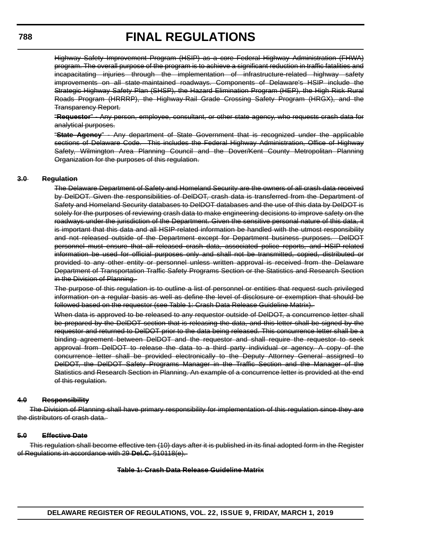Highway Safety Improvement Program (HSIP) as a core Federal Highway Administration (FHWA) program. The overall purpose of the program is to achieve a significant reduction in traffic fatalities and incapacitating injuries through the implementation of infrastructure-related highway safety improvements on all state-maintained roadways. Components of Delaware's HSIP include the Strategic Highway Safety Plan (SHSP), the Hazard Elimination Program (HEP), the High Risk Rural Roads Program (HRRRP), the Highway-Rail Grade Crossing Safety Program (HRGX), and the Transparency Report.

"**Requestor**" - Any person, employee, consultant, or other state agency, who requests crash data for analytical purposes.

"**State Agency**" - Any department of State Government that is recognized under the applicable sections of Delaware Code. This includes the Federal Highway Administration, Office of Highway Safety, Wilmington Area Planning Council and the Dover/Kent County Metropolitan Planning Organization for the purposes of this regulation.

### **3.0 Regulation**

The Delaware Department of Safety and Homeland Security are the owners of all crash data received by DelDOT. Given the responsibilities of DelDOT, crash data is transferred from the Department of Safety and Homeland Security databases to DelDOT databases and the use of this data by DelDOT is solely for the purposes of reviewing crash data to make engineering decisions to improve safety on the roadways under the jurisdiction of the Department. Given the sensitive personal nature of this data, it is important that this data and all HSIP-related information be handled with the utmost responsibility and not released outside of the Department except for Department business purposes. DelDOT personnel must ensure that all released crash data, associated police reports, and HSIP-related information be used for official purposes only and shall not be transmitted, copied, distributed or provided to any other entity or personnel unless written approval is received from the Delaware Department of Transportation Traffic Safety Programs Section or the Statistics and Research Section in the Division of Planning.

The purpose of this regulation is to outline a list of personnel or entities that request such privileged information on a regular basis as well as define the level of disclosure or exemption that should be followed based on the requestor (see Table 1: Crash Data Release Guideline Matrix).

When data is approved to be released to any requestor outside of DelDOT, a concurrence letter shall be prepared by the DelDOT section that is releasing the data, and this letter shall be signed by the requestor and returned to DelDOT prior to the data being released. This concurrence letter shall be a binding agreement between DelDOT and the requestor and shall require the requestor to seek approval from DelDOT to release the data to a third party individual or agency. A copy of the concurrence letter shall be provided electronically to the Deputy Attorney General assigned to DelDOT, the DelDOT Safety Programs Manager in the Traffic Section and the Manager of the Statistics and Research Section in Planning. An example of a concurrence letter is provided at the end of this regulation.

### **4.0 Responsibility**

The Division of Planning shall have primary responsibility for implementation of this regulation since they are the distributors of crash data.

### **5.0 Effective Date**

This regulation shall become effective ten (10) days after it is published in its final adopted form in the Register of Regulations in accordance with 29 **Del.C.** §10118(e).

### **Table 1: Crash Data Release Guideline Matrix**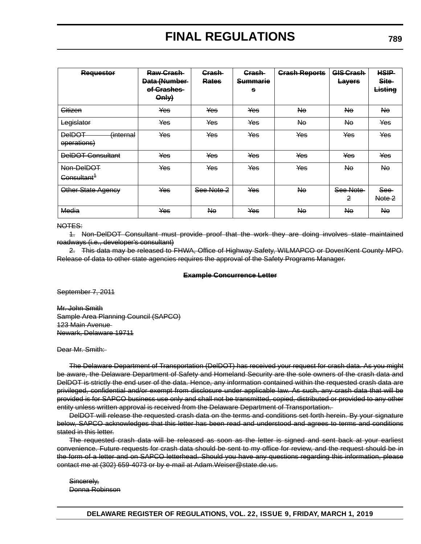| <b>Requestor</b>                          | Raw Grash-<br>Data (Number-<br>of Crashes<br>Only | <b>Grash</b><br>Rates | <b>Crash</b><br><b>Summarie</b><br>s | <b>Crash Reports</b> | <b>GIS Crash</b><br><b>Layers</b> | <b>HSIP</b><br>Site-<br>Listing |
|-------------------------------------------|---------------------------------------------------|-----------------------|--------------------------------------|----------------------|-----------------------------------|---------------------------------|
| Citizen                                   | Yes                                               | Yes                   | <b>Yes</b>                           | No.                  | No.                               | Ne.                             |
| Legislator                                | Yes                                               | Yes                   | Yes                                  | Nθ                   | Nө                                | Yes                             |
| <b>DeIDOT</b><br>(internal<br>operations) | Yes                                               | Yes                   | Yes                                  | Yes                  | Yes                               | Yes                             |
| <b>DeIDOT Consultant</b>                  | Yes                                               | Yes                   | Yes                                  | Yes                  | Yes                               | Yes                             |
| Non-DelDOT<br>Consultant <sup>1</sup>     | Yes                                               | Yes                   | <b>Yes</b>                           | Yes                  | Ne.                               | <b>No</b>                       |
| Other State Agency                        | Yes                                               | See Note 2            | Yes                                  | No                   | See Note<br>2                     | See-<br>Note 2                  |
| Media                                     | Yes                                               | No.                   | Yes                                  | Nө                   | No.                               | <b>Ne</b>                       |

#### NOTES:

1. Non-DelDOT Consultant must provide proof that the work they are doing involves state maintained roadways (i.e., developer's consultant)

2. This data may be released to FHWA, Office of Highway Safety, WILMAPCO or Dover/Kent County MPO. Release of data to other state agencies requires the approval of the Safety Programs Manager.

#### **Example Concurrence Letter**

September 7, 2011

Mr. John Smith Sample Area Planning Council (SAPCO) 123 Main Avenue Newark, Delaware 19711

### Dear Mr. Smith:

The Delaware Department of Transportation (DelDOT) has received your request for crash data. As you might be aware, the Delaware Department of Safety and Homeland Security are the sole owners of the crash data and DelDOT is strictly the end user of the data. Hence, any information contained within the requested crash data are privileged, confidential and/or exempt from disclosure under applicable law. As such, any crash data that will be provided is for SAPCO business use only and shall not be transmitted, copied, distributed or provided to any other entity unless written approval is received from the Delaware Department of Transportation.

DelDOT will release the requested crash data on the terms and conditions set forth herein. By your signature below, SAPCO acknowledges that this letter has been read and understood and agrees to terms and conditions stated in this letter.

The requested crash data will be released as soon as the letter is signed and sent back at your earliest convenience. Future requests for crash data should be sent to my office for review, and the request should be in the form of a letter and on SAPCO letterhead. Should you have any questions regarding this information, please contact me at (302) 659-4073 or by e-mail at Adam.Weiser@state.de.us.

Sincerely, Donna Robinson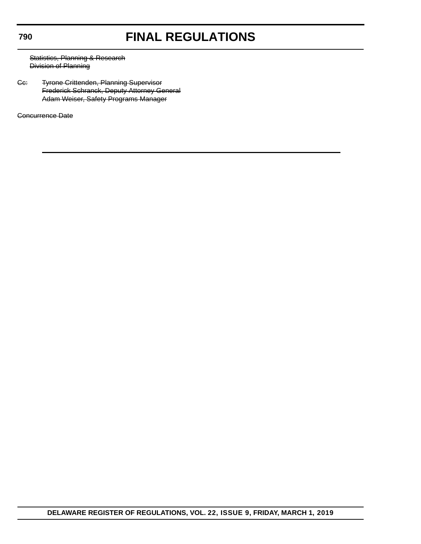## **790**

# **FINAL REGULATIONS**

Statistics, Planning & Research Division of Planning

Cc: Tyrone Crittenden, Planning Supervisor Frederick Schranck, Deputy Attorney General Adam Weiser, Safety Programs Manager

Concurrence Date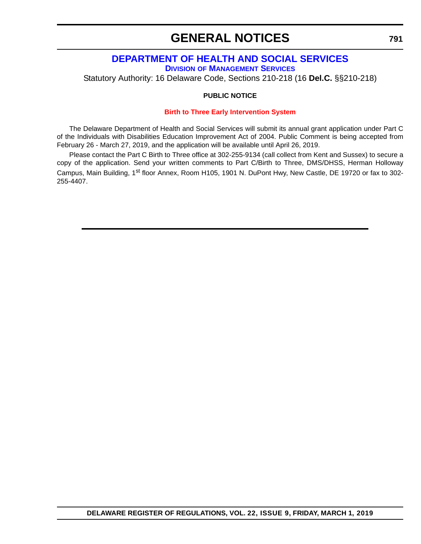# **GENERAL NOTICES**

# **[DEPARTMENT OF HEALTH AND SOCIAL SERVICES](https://www.dhss.delaware.gov/dhss/index.html ) DIVISION [OF MANAGEMENT SERVICES](https://www.dhss.delaware.gov/dhss/dms/ )**

Statutory Authority: 16 Delaware Code, Sections 210-218 (16 **Del.C.** §§210-218)

### **PUBLIC NOTICE**

### **[Birth to Three Early Intervention System](#page-4-0)**

The Delaware Department of Health and Social Services will submit its annual grant application under Part C of the Individuals with Disabilities Education Improvement Act of 2004. Public Comment is being accepted from February 26 - March 27, 2019, and the application will be available until April 26, 2019.

Please contact the Part C Birth to Three office at 302-255-9134 (call collect from Kent and Sussex) to secure a copy of the application. Send your written comments to Part C/Birth to Three, DMS/DHSS, Herman Holloway Campus, Main Building, 1<sup>st</sup> floor Annex, Room H105, 1901 N. DuPont Hwy, New Castle, DE 19720 or fax to 302-255-4407.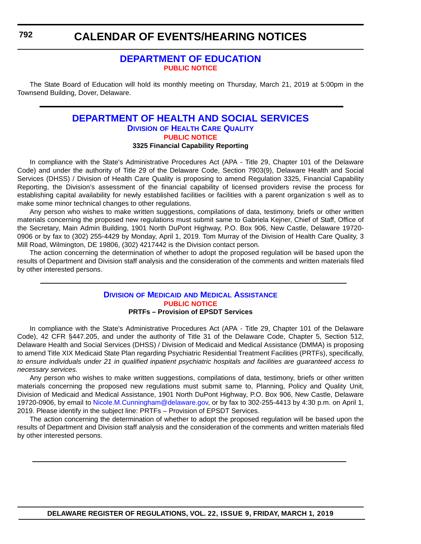# **[DEPARTMENT OF EDUCATION](https://www.doe.k12.de.us/) [PUBLIC NOTICE](#page-4-0)**

The State Board of Education will hold its monthly meeting on Thursday, March 21, 2019 at 5:00pm in the Townsend Building, Dover, Delaware.

# **[DEPARTMENT OF HEALTH AND SOCIAL SERVICES](https://www.dhss.delaware.gov/dhss/index.html ) DIVISION [OF HEALTH CARE QUALITY](https://www.dhss.delaware.gov/dhss/dltcrp/ ) [PUBLIC NOTICE](#page-4-0) 3325 Financial Capability Reporting**

In compliance with the State's Administrative Procedures Act (APA - Title 29, Chapter 101 of the Delaware Code) and under the authority of Title 29 of the Delaware Code, Section 7903(9), Delaware Health and Social Services (DHSS) / Division of Health Care Quality is proposing to amend Regulation 3325, Financial Capability Reporting, the Division's assessment of the financial capability of licensed providers revise the process for establishing capital availability for newly established facilities or facilities with a parent organization s well as to make some minor technical changes to other regulations.

Any person who wishes to make written suggestions, compilations of data, testimony, briefs or other written materials concerning the proposed new regulations must submit same to Gabriela Kejner, Chief of Staff, Office of the Secretary, Main Admin Building, 1901 North DuPont Highway, P.O. Box 906, New Castle, Delaware 19720- 0906 or by fax to (302) 255-4429 by Monday, April 1, 2019. Tom Murray of the Division of Health Care Quality, 3 Mill Road, Wilmington, DE 19806, (302) 4217442 is the Division contact person.

The action concerning the determination of whether to adopt the proposed regulation will be based upon the results of Department and Division staff analysis and the consideration of the comments and written materials filed by other interested persons.

### **DIVISION OF MEDICAID [AND MEDICAL ASSISTANCE](https://www.dhss.delaware.gov/dhss/dmma/) [PUBLIC NOTICE](#page-4-0) PRTFs – Provision of EPSDT Services**

In compliance with the State's Administrative Procedures Act (APA - Title 29, Chapter 101 of the Delaware Code), 42 CFR §447.205, and under the authority of Title 31 of the Delaware Code, Chapter 5, Section 512, Delaware Health and Social Services (DHSS) / Division of Medicaid and Medical Assistance (DMMA) is proposing to amend Title XIX Medicaid State Plan regarding Psychiatric Residential Treatment Facilities (PRTFs), specifically, *to ensure individuals under 21 in qualified inpatient psychiatric hospitals and facilities are guaranteed access to necessary services.*

Any person who wishes to make written suggestions, compilations of data, testimony, briefs or other written materials concerning the proposed new regulations must submit same to, Planning, Policy and Quality Unit, Division of Medicaid and Medical Assistance, 1901 North DuPont Highway, P.O. Box 906, New Castle, Delaware 19720-0906, by email to [Nicole.M.Cunningham@delaware.gov,](mailto:Nicole.M.Cunningham@delaware.gov) or by fax to 302-255-4413 by 4:30 p.m. on April 1, 2019. Please identify in the subject line: PRTFs – Provision of EPSDT Services.

The action concerning the determination of whether to adopt the proposed regulation will be based upon the results of Department and Division staff analysis and the consideration of the comments and written materials filed by other interested persons.

**DELAWARE REGISTER OF REGULATIONS, VOL. 22, ISSUE 9, FRIDAY, MARCH 1, 2019**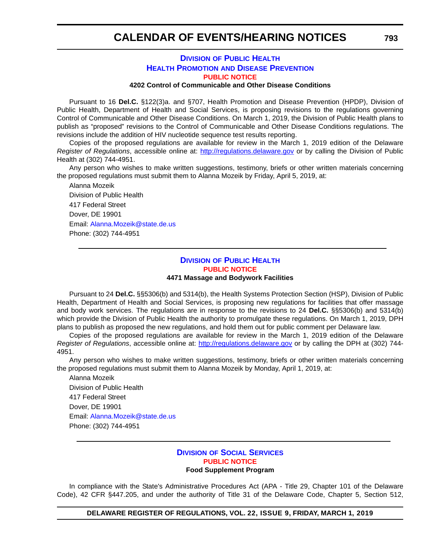# **DIVISION [OF PUBLIC HEALTH](https://www.dhss.delaware.gov/dhss/dph/index.html) HEALTH PROMOTION [AND DISEASE PREVENTION](https://dhss.delaware.gov/dph/dpc/dpcsection.html) [PUBLIC NOTICE](#page-4-0)**

**4202 Control of Communicable and Other Disease Conditions**

Pursuant to 16 **Del.C.** §122(3)a. and §707, Health Promotion and Disease Prevention (HPDP), Division of Public Health, Department of Health and Social Services, is proposing revisions to the regulations governing Control of Communicable and Other Disease Conditions. On March 1, 2019, the Division of Public Health plans to publish as "proposed" revisions to the Control of Communicable and Other Disease Conditions regulations. The revisions include the addition of HIV nucleotide sequence test results reporting.

Copies of the proposed regulations are available for review in the March 1, 2019 edition of the Delaware *Register of Regulations*, accessible online at: <http://regulations.delaware.gov>or by calling the Division of Public Health at (302) 744-4951.

Any person who wishes to make written suggestions, testimony, briefs or other written materials concerning the proposed regulations must submit them to Alanna Mozeik by Friday, April 5, 2019, at:

Alanna Mozeik Division of Public Health 417 Federal Street Dover, DE 19901 Email: [Alanna.Mozeik@state.de.us](mailto:Alanna.Mozeik@state.de.us) Phone: (302) 744-4951

### **DIVISION [OF PUBLIC HEALTH](https://www.dhss.delaware.gov/dhss/dph/index.html) [PUBLIC NOTICE](#page-4-0) 4471 Massage and Bodywork Facilities**

Pursuant to 24 **Del.C.** §§5306(b) and 5314(b), the Health Systems Protection Section (HSP), Division of Public Health, Department of Health and Social Services, is proposing new regulations for facilities that offer massage and body work services. The regulations are in response to the revisions to 24 **Del.C.** §§5306(b) and 5314(b) which provide the Division of Public Health the authority to promulgate these regulations. On March 1, 2019, DPH plans to publish as proposed the new regulations, and hold them out for public comment per Delaware law.

Copies of the proposed regulations are available for review in the March 1, 2019 edition of the Delaware *Register of Regulations*, accessible online at: <http://regulations.delaware.gov>or by calling the DPH at (302) 744- 4951.

Any person who wishes to make written suggestions, testimony, briefs or other written materials concerning the proposed regulations must submit them to Alanna Mozeik by Monday, April 1, 2019, at:

Alanna Mozeik Division of Public Health 417 Federal Street Dover, DE 19901 Email: [Alanna.Mozeik@state.de.us](mailto:Alanna.Mozeik@state.de.us) Phone: (302) 744-4951

### **DIVISION [OF SOCIAL SERVICES](https://www.dhss.delaware.gov/dhss/dss/) [PUBLIC NOTICE](#page-4-0) Food Supplement Program**

In compliance with the State's Administrative Procedures Act (APA - Title 29, Chapter 101 of the Delaware Code), 42 CFR §447.205, and under the authority of Title 31 of the Delaware Code, Chapter 5, Section 512,

**DELAWARE REGISTER OF REGULATIONS, VOL. 22, ISSUE 9, FRIDAY, MARCH 1, 2019**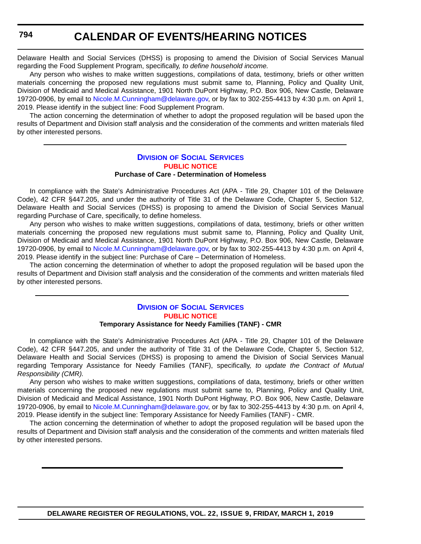Delaware Health and Social Services (DHSS) is proposing to amend the Division of Social Services Manual regarding the Food Supplement Program, specifically*, to define household income.*

Any person who wishes to make written suggestions, compilations of data, testimony, briefs or other written materials concerning the proposed new regulations must submit same to, Planning, Policy and Quality Unit, Division of Medicaid and Medical Assistance, 1901 North DuPont Highway, P.O. Box 906, New Castle, Delaware 19720-0906, by email to [Nicole.M.Cunningham@delaware.gov,](mailto:Nicole.M.Cunningham@delaware.gov) or by fax to 302-255-4413 by 4:30 p.m. on April 1, 2019. Please identify in the subject line: Food Supplement Program.

The action concerning the determination of whether to adopt the proposed regulation will be based upon the results of Department and Division staff analysis and the consideration of the comments and written materials filed by other interested persons.

# **DIVISION [OF SOCIAL SERVICES](https://www.dhss.delaware.gov/dhss/dss/) [PUBLIC NOTICE](#page-4-0) Purchase of Care - Determination of Homeless**

In compliance with the State's Administrative Procedures Act (APA - Title 29, Chapter 101 of the Delaware Code), 42 CFR §447.205, and under the authority of Title 31 of the Delaware Code, Chapter 5, Section 512, Delaware Health and Social Services (DHSS) is proposing to amend the Division of Social Services Manual regarding Purchase of Care, specifically, to define homeless.

Any person who wishes to make written suggestions, compilations of data, testimony, briefs or other written materials concerning the proposed new regulations must submit same to, Planning, Policy and Quality Unit, Division of Medicaid and Medical Assistance, 1901 North DuPont Highway, P.O. Box 906, New Castle, Delaware 19720-0906, by email to [Nicole.M.Cunningham@delaware.gov,](mailto:Nicole.M.Cunningham@delaware.gov) or by fax to 302-255-4413 by 4:30 p.m. on April 4, 2019. Please identify in the subject line: Purchase of Care – Determination of Homeless.

The action concerning the determination of whether to adopt the proposed regulation will be based upon the results of Department and Division staff analysis and the consideration of the comments and written materials filed by other interested persons.

# **DIVISION [OF SOCIAL SERVICES](https://www.dhss.delaware.gov/dhss/dss/) [PUBLIC NOTICE](#page-4-0)**

### **Temporary Assistance for Needy Families (TANF) - CMR**

In compliance with the State's Administrative Procedures Act (APA - Title 29, Chapter 101 of the Delaware Code), 42 CFR §447.205, and under the authority of Title 31 of the Delaware Code, Chapter 5, Section 512, Delaware Health and Social Services (DHSS) is proposing to amend the Division of Social Services Manual regarding Temporary Assistance for Needy Families (TANF), specifically*, to update the Contract of Mutual Responsibility (CMR).*

Any person who wishes to make written suggestions, compilations of data, testimony, briefs or other written materials concerning the proposed new regulations must submit same to, Planning, Policy and Quality Unit, Division of Medicaid and Medical Assistance, 1901 North DuPont Highway, P.O. Box 906, New Castle, Delaware 19720-0906, by email to [Nicole.M.Cunningham@delaware.gov,](mailto:Nicole.M.Cunningham@delaware.gov) or by fax to 302-255-4413 by 4:30 p.m. on April 4, 2019. Please identify in the subject line: Temporary Assistance for Needy Families (TANF) - CMR.

The action concerning the determination of whether to adopt the proposed regulation will be based upon the results of Department and Division staff analysis and the consideration of the comments and written materials filed by other interested persons.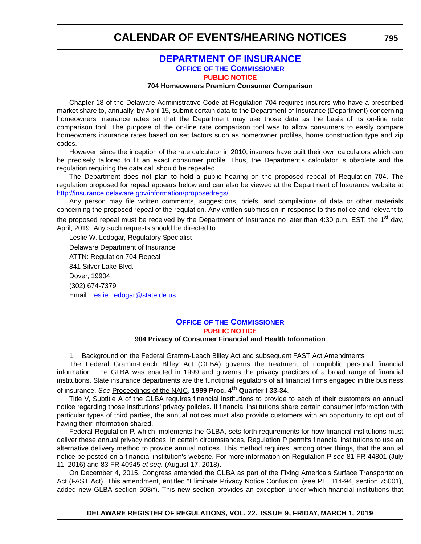# **[DEPARTMENT OF INSURANCE](https://insurance.delaware.gov/) OFFICE OF [THE COMMISSIONER](https://insurance.delaware.gov/bio/) [PUBLIC NOTICE](#page-4-0)**

### **704 Homeowners Premium Consumer Comparison**

Chapter 18 of the Delaware Administrative Code at Regulation 704 requires insurers who have a prescribed market share to, annually, by April 15, submit certain data to the Department of Insurance (Department) concerning homeowners insurance rates so that the Department may use those data as the basis of its on-line rate comparison tool. The purpose of the on-line rate comparison tool was to allow consumers to easily compare homeowners insurance rates based on set factors such as homeowner profiles, home construction type and zip codes.

However, since the inception of the rate calculator in 2010, insurers have built their own calculators which can be precisely tailored to fit an exact consumer profile. Thus, the Department's calculator is obsolete and the regulation requiring the data call should be repealed.

The Department does not plan to hold a public hearing on the proposed repeal of Regulation 704. The regulation proposed for repeal appears below and can also be viewed at the Department of Insurance website at <http://insurance.delaware.gov/information/proposedregs/>.

Any person may file written comments, suggestions, briefs, and compilations of data or other materials concerning the proposed repeal of the regulation. Any written submission in response to this notice and relevant to the proposed repeal must be received by the Department of Insurance no later than 4:30 p.m. EST, the 1<sup>st</sup> day, April, 2019. Any such requests should be directed to:

Leslie W. Ledogar, Regulatory Specialist Delaware Department of Insurance ATTN: Regulation 704 Repeal 841 Silver Lake Blvd. Dover, 19904 (302) 674-7379 Email: [Leslie.Ledogar@state.de.us](mailto:Leslie.Ledogar@state.de.us)

### **OFFICE OF [THE COMMISSIONER](https://insurance.delaware.gov/bio/) [PUBLIC NOTICE](#page-4-0) 904 Privacy of Consumer Financial and Health Information**

1. Background on the Federal Gramm-Leach Bliley Act and subsequent FAST Act Amendments

The Federal Gramm-Leach Bliley Act (GLBA) governs the treatment of nonpublic personal financial information. The GLBA was enacted in 1999 and governs the privacy practices of a broad range of financial institutions. State insurance departments are the functional regulators of all financial firms engaged in the business of insurance. *See* Proceedings of the NAIC, **1999 Proc. 4th Quarter I 33-34**.

Title V, Subtitle A of the GLBA requires financial institutions to provide to each of their customers an annual notice regarding those institutions' privacy policies. If financial institutions share certain consumer information with particular types of third parties, the annual notices must also provide customers with an opportunity to opt out of having their information shared.

Federal Regulation P, which implements the GLBA, sets forth requirements for how financial institutions must deliver these annual privacy notices. In certain circumstances, Regulation P permits financial institutions to use an alternative delivery method to provide annual notices. This method requires, among other things, that the annual notice be posted on a financial institution's website. For more information on Regulation P *see* 81 FR 44801 (July 11, 2016) and 83 FR 40945 *et seq.* (August 17, 2018).

On December 4, 2015, Congress amended the GLBA as part of the Fixing America's Surface Transportation Act (FAST Act). This amendment, entitled "Eliminate Privacy Notice Confusion" (see P.L. 114-94, section 75001), added new GLBA section 503(f). This new section provides an exception under which financial institutions that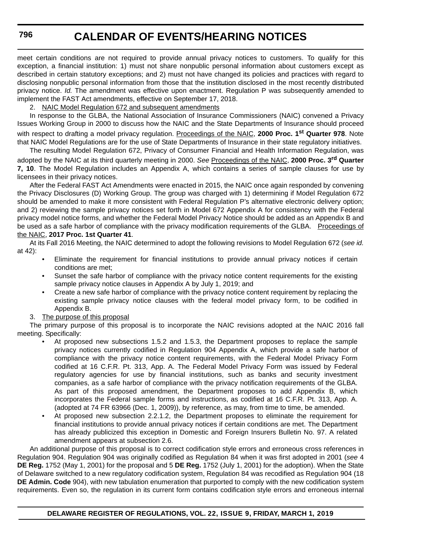meet certain conditions are not required to provide annual privacy notices to customers. To qualify for this exception, a financial institution: 1) must not share nonpublic personal information about customers except as described in certain statutory exceptions; and 2) must not have changed its policies and practices with regard to disclosing nonpublic personal information from those that the institution disclosed in the most recently distributed privacy notice. *Id.* The amendment was effective upon enactment. Regulation P was subsequently amended to implement the FAST Act amendments, effective on September 17, 2018.

### 2. NAIC Model Regulation 672 and subsequent amendments

In response to the GLBA, the National Association of Insurance Commissioners (NAIC) convened a Privacy Issues Working Group in 2000 to discuss how the NAIC and the State Departments of Insurance should proceed with respect to drafting a model privacy regulation. Proceedings of the NAIC, **2000 Proc. 1st Quarter 978**. Note that NAIC Model Regulations are for the use of State Departments of Insurance in their state regulatory initiatives. The resulting Model Regulation 672, Privacy of Consumer Financial and Health Information Regulation, was

adopted by the NAIC at its third quarterly meeting in 2000. *See* Proceedings of the NAIC, **2000 Proc. 3rd Quarter 7, 10**. The Model Regulation includes an Appendix A, which contains a series of sample clauses for use by licensees in their privacy notices.

After the Federal FAST Act Amendments were enacted in 2015, the NAIC once again responded by convening the Privacy Disclosures (D) Working Group. The group was charged with 1) determining if Model Regulation 672 should be amended to make it more consistent with Federal Regulation P's alternative electronic delivery option; and 2) reviewing the sample privacy notices set forth in Model 672 Appendix A for consistency with the Federal privacy model notice forms, and whether the Federal Model Privacy Notice should be added as an Appendix B and be used as a safe harbor of compliance with the privacy modification requirements of the GLBA. Proceedings of the NAIC, **2017 Proc. 1st Quarter 41**.

At its Fall 2016 Meeting, the NAIC determined to adopt the following revisions to Model Regulation 672 (*see id.* at 42):

- Eliminate the requirement for financial institutions to provide annual privacy notices if certain conditions are met;
- Sunset the safe harbor of compliance with the privacy notice content requirements for the existing sample privacy notice clauses in Appendix A by July 1, 2019; and
- Create a new safe harbor of compliance with the privacy notice content requirement by replacing the existing sample privacy notice clauses with the federal model privacy form, to be codified in Appendix B.
- 3. The purpose of this proposal

The primary purpose of this proposal is to incorporate the NAIC revisions adopted at the NAIC 2016 fall meeting. Specifically:

- At proposed new subsections 1.5.2 and 1.5.3, the Department proposes to replace the sample privacy notices currently codified in Regulation 904 Appendix A, which provide a safe harbor of compliance with the privacy notice content requirements, with the Federal Model Privacy Form codified at 16 C.F.R. Pt. 313, App. A. The Federal Model Privacy Form was issued by Federal regulatory agencies for use by financial institutions, such as banks and security investment companies, as a safe harbor of compliance with the privacy notification requirements of the GLBA. As part of this proposed amendment, the Department proposes to add Appendix B, which incorporates the Federal sample forms and instructions, as codified at 16 C.F.R. Pt. 313, App. A. (adopted at 74 FR 63966 (Dec. 1, 2009)), by reference, as may, from time to time, be amended.
- At proposed new subsection 2.2.1.2, the Department proposes to eliminate the requirement for financial institutions to provide annual privacy notices if certain conditions are met. The Department has already publicized this exception in Domestic and Foreign Insurers Bulletin No. 97. A related amendment appears at subsection 2.6.

An additional purpose of this proposal is to correct codification style errors and erroneous cross references in Regulation 904. Regulation 904 was originally codified as Regulation 84 when it was first adopted in 2001 (*see* 4 **DE Reg.** 1752 (May 1, 2001) for the proposal and 5 **DE Reg.** 1752 (July 1, 2001) for the adoption). When the State of Delaware switched to a new regulatory codification system, Regulation 84 was recodified as Regulation 904 (18 **DE Admin. Code** 904), with new tabulation enumeration that purported to comply with the new codification system requirements. Even so, the regulation in its current form contains codification style errors and erroneous internal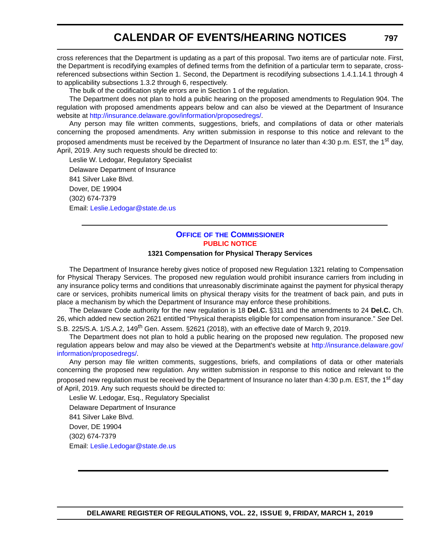cross references that the Department is updating as a part of this proposal. Two items are of particular note. First, the Department is recodifying examples of defined terms from the definition of a particular term to separate, crossreferenced subsections within Section 1. Second, the Department is recodifying subsections 1.4.1.14.1 through 4 to applicability subsections 1.3.2 through 6, respectively.

The bulk of the codification style errors are in Section 1 of the regulation.

The Department does not plan to hold a public hearing on the proposed amendments to Regulation 904. The regulation with proposed amendments appears below and can also be viewed at the Department of Insurance website at [http://insurance.delaware.gov/information/proposedregs/.](http://insurance.delaware.gov/information/proposedregs/)

Any person may file written comments, suggestions, briefs, and compilations of data or other materials concerning the proposed amendments. Any written submission in response to this notice and relevant to the proposed amendments must be received by the Department of Insurance no later than 4:30 p.m. EST, the 1<sup>st</sup> day, April, 2019. Any such requests should be directed to:

Leslie W. Ledogar, Regulatory Specialist Delaware Department of Insurance 841 Silver Lake Blvd. Dover, DE 19904 (302) 674-7379 Email: [Leslie.Ledogar@state.de.us](mailto:Leslie.Ledogar@state.de.us)

# **OFFICE OF [THE COMMISSIONER](https://insurance.delaware.gov/bio/) [PUBLIC NOTICE](#page-4-0)**

### **1321 Compensation for Physical Therapy Services**

The Department of Insurance hereby gives notice of proposed new Regulation 1321 relating to Compensation for Physical Therapy Services. The proposed new regulation would prohibit insurance carriers from including in any insurance policy terms and conditions that unreasonably discriminate against the payment for physical therapy care or services, prohibits numerical limits on physical therapy visits for the treatment of back pain, and puts in place a mechanism by which the Department of Insurance may enforce these prohibitions.

The Delaware Code authority for the new regulation is 18 **Del.C.** §311 and the amendments to 24 **Del.C.** Ch. 26, which added new section 2621 entitled "Physical therapists eligible for compensation from insurance." *See* Del.

S.B. 225/S.A. 1/S.A.2, 149<sup>th</sup> Gen. Assem. §2621 (2018), with an effective date of March 9, 2019.

The Department does not plan to hold a public hearing on the proposed new regulation. The proposed new regulation appears below and may also be viewed at the Department's website a[t http://insurance.delaware.gov/](http://insurance.delaware.gov/information/proposedregs/.) [information/proposedregs/.](http://insurance.delaware.gov/information/proposedregs/.)

Any person may file written comments, suggestions, briefs, and compilations of data or other materials concerning the proposed new regulation. Any written submission in response to this notice and relevant to the proposed new regulation must be received by the Department of Insurance no later than 4:30 p.m. EST, the 1<sup>st</sup> day of April, 2019. Any such requests should be directed to:

Leslie W. Ledogar, Esq., Regulatory Specialist Delaware Department of Insurance 841 Silver Lake Blvd. Dover, DE 19904 (302) 674-7379 Email: [Leslie.Ledogar@state.de.us](mailto:Leslie.Ledogar@state.de.us)